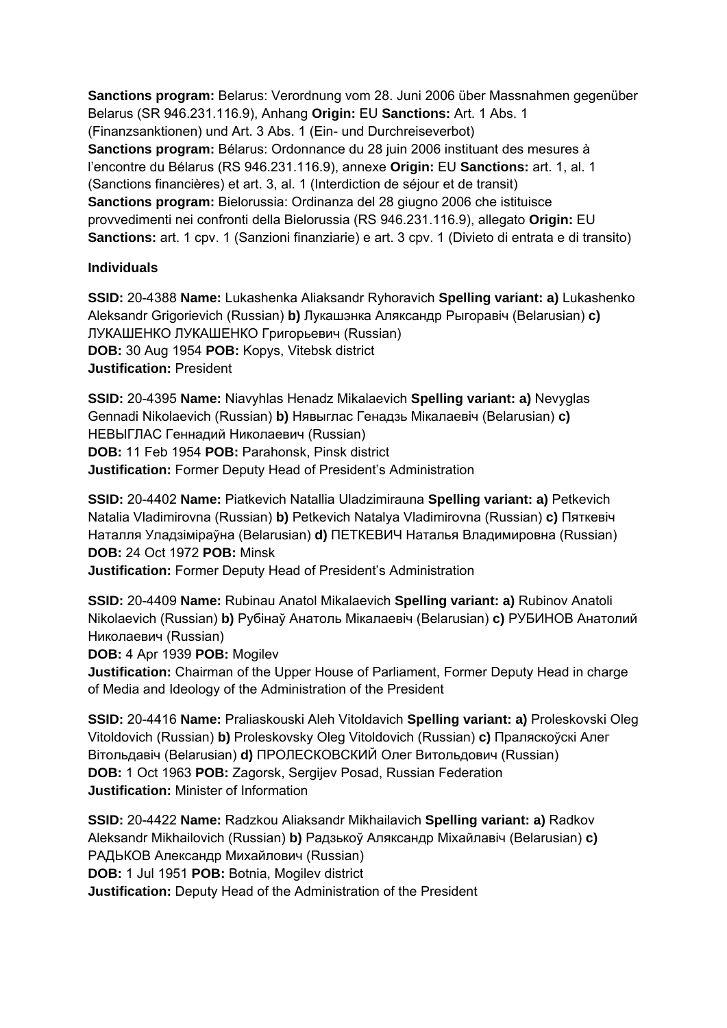**Sanctions program:** Belarus: Verordnung vom 28. Juni 2006 über Massnahmen gegenüber Belarus (SR 946.231.116.9), Anhang **Origin:** EU **Sanctions:** Art. 1 Abs. 1 (Finanzsanktionen) und Art. 3 Abs. 1 (Ein- und Durchreiseverbot) **Sanctions program:** Bélarus: Ordonnance du 28 juin 2006 instituant des mesures à l'encontre du Bélarus (RS 946.231.116.9), annexe **Origin:** EU **Sanctions:** art. 1, al. 1 (Sanctions financières) et art. 3, al. 1 (Interdiction de séjour et de transit) **Sanctions program:** Bielorussia: Ordinanza del 28 giugno 2006 che istituisce provvedimenti nei confronti della Bielorussia (RS 946.231.116.9), allegato **Origin:** EU **Sanctions:** art. 1 cpv. 1 (Sanzioni finanziarie) e art. 3 cpv. 1 (Divieto di entrata e di transito)

## **Individuals**

**SSID:** 20-4388 **Name:** Lukashenka Aliaksandr Ryhoravich **Spelling variant: a)** Lukashenko Aleksandr Grigorievich (Russian) **b)** Лукашэнка Аляксандр Рыгоравіч (Belarusian) **c)**  ЛУКАШЕНКО ЛУКАШЕНКО Григорьевич (Russian) **DOB:** 30 Aug 1954 **POB:** Kopys, Vitebsk district **Justification:** President

**SSID:** 20-4395 **Name:** Niavyhlas Henadz Mikalaevich **Spelling variant: a)** Nevyglas Gennadi Nikolaevich (Russian) **b)** Нявыглас Генадзь Мiкалаевіч (Belarusian) **c)**  НЕВЫГЛАС Геннадий Николаевич (Russian)

**DOB:** 11 Feb 1954 **POB:** Parahonsk, Pinsk district

**Justification:** Former Deputy Head of President's Administration

**SSID:** 20-4402 **Name:** Piatkevich Natallia Uladzimirauna **Spelling variant: a)** Petkevich Natalia Vladimirovna (Russian) **b)** Petkevich Natalya Vladimirovna (Russian) **c)** Пяткевіч Наталля Уладзіміраўна (Belarusian) **d)** ПЕТКЕВИЧ Наталья Владимировна (Russian) **DOB:** 24 Oct 1972 **POB:** Minsk

**Justification:** Former Deputy Head of President's Administration

**SSID:** 20-4409 **Name:** Rubinau Anatol Mikalaevich **Spelling variant: a)** Rubinov Anatoli Nikolaevich (Russian) **b)** Рубінаў Анатоль Мікалаевіч (Belarusian) **c)** РУБИНОВ Анатолий Николаевич (Russian)

**DOB:** 4 Apr 1939 **POB:** Mogilev

**Justification:** Chairman of the Upper House of Parliament, Former Deputy Head in charge of Media and Ideology of the Administration of the President

**SSID:** 20-4416 **Name:** Praliaskouski Aleh Vitoldavich **Spelling variant: a)** Proleskovski Oleg Vitoldovich (Russian) **b)** Proleskovsky Oleg Vitoldovich (Russian) **c)** Праляскоўскі Алег Вітольдавіч (Belarusian) **d)** ПРОЛЕСКОВСКИЙ Олег Витольдович (Russian) **DOB:** 1 Oct 1963 **POB:** Zagorsk, Sergijev Posad, Russian Federation **Justification:** Minister of Information

**SSID:** 20-4422 **Name:** Radzkou Aliaksandr Mikhailavich **Spelling variant: a)** Radkov Aleksandr Mikhailovich (Russian) **b)** Радзькоў Аляксандр Міхайлавіч (Belarusian) **c)**  РАДЬКОВ Александр Михайлович (Russian) **DOB:** 1 Jul 1951 **POB:** Botnia, Mogilev district **Justification:** Deputy Head of the Administration of the President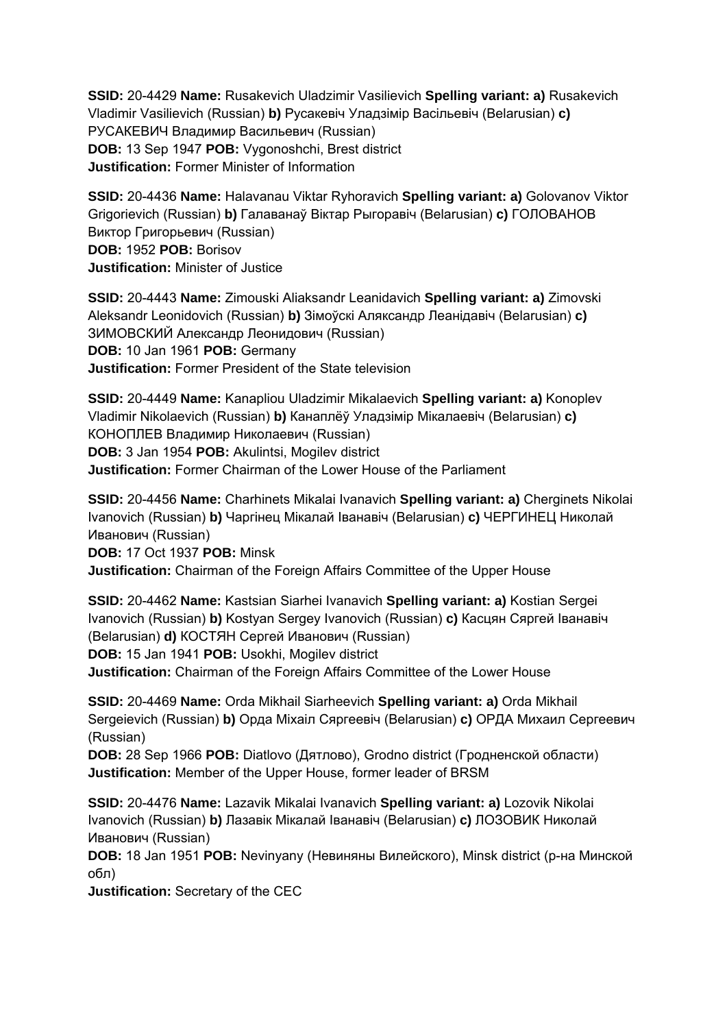**SSID:** 20-4429 **Name:** Rusakevich Uladzimir Vasilievich **Spelling variant: a)** Rusakevich Vladimir Vasilievich (Russian) **b)** Русакевіч Уладзімір Васільевіч (Belarusian) **c)**  РУСАКЕВИЧ Владимир Васильевич (Russian) **DOB:** 13 Sep 1947 **POB:** Vygonoshchi, Brest district **Justification:** Former Minister of Information

**SSID:** 20-4436 **Name:** Halavanau Viktar Ryhoravich **Spelling variant: a)** Golovanov Viktor Grigorievich (Russian) **b)** Галаванаў Віктар Рыгоравіч (Belarusian) **c)** ГОЛОВАНОВ Виктор Григорьевич (Russian) **DOB:** 1952 **POB:** Borisov **Justification:** Minister of Justice

**SSID:** 20-4443 **Name:** Zimouski Aliaksandr Leanidavich **Spelling variant: a)** Zimovski Aleksandr Leonidovich (Russian) **b)** Зімоўскі Аляксандр Леанідавіч (Belarusian) **c)**  ЗИМОВСКИЙ Александр Леонидович (Russian) **DOB:** 10 Jan 1961 **POB:** Germany **Justification:** Former President of the State television

**SSID:** 20-4449 **Name:** Kanapliou Uladzimir Mikalaevich **Spelling variant: a)** Konoplev Vladimir Nikolaevich (Russian) **b)** Канаплёў Уладзімір Мікалаевіч (Belarusian) **c)**  КОНОПЛЕВ Владимир Николаевич (Russian) **DOB:** 3 Jan 1954 **POB:** Akulintsi, Mogilev district **Justification:** Former Chairman of the Lower House of the Parliament

**SSID:** 20-4456 **Name:** Charhinets Mikalai Ivanavich **Spelling variant: a)** Cherginets Nikolai Ivanovich (Russian) **b)** Чаргінец Мікалай Іванавіч (Belarusian) **c)** ЧЕРГИНЕЦ Николай Иванович (Russian)

**DOB:** 17 Oct 1937 **POB:** Minsk

**Justification:** Chairman of the Foreign Affairs Committee of the Upper House

**SSID:** 20-4462 **Name:** Kastsian Siarhei Ivanavich **Spelling variant: a)** Kostian Sergei Ivanovich (Russian) **b)** Kostyan Sergey Ivanovich (Russian) **c)** Касцян Сяргей Іванавіч (Belarusian) **d)** КОСТЯН Сергей Иванович (Russian)

**DOB:** 15 Jan 1941 **POB:** Usokhi, Mogilev district

**Justification:** Chairman of the Foreign Affairs Committee of the Lower House

**SSID:** 20-4469 **Name:** Orda Mikhail Siarheevich **Spelling variant: a)** Orda Mikhail Sergeievich (Russian) **b)** Орда Міхаіл Сяргеевіч (Belarusian) **c)** ОРДА Михаил Сергеевич (Russian)

**DOB:** 28 Sep 1966 **POB:** Diatlovo (Дятлово), Grodno district (Гродненской области) **Justification:** Member of the Upper House, former leader of BRSM

**SSID:** 20-4476 **Name:** Lazavik Mikalai Ivanavich **Spelling variant: a)** Lozovik Nikolai Ivanovich (Russian) **b)** Лазавік Мікалай Іванавіч (Belarusian) **c)** ЛОЗОВИК Николай Иванович (Russian)

**DOB:** 18 Jan 1951 **POB:** Nevinyany (Невиняны Вилейского), Minsk district (р-на Минской обл)

**Justification:** Secretary of the CEC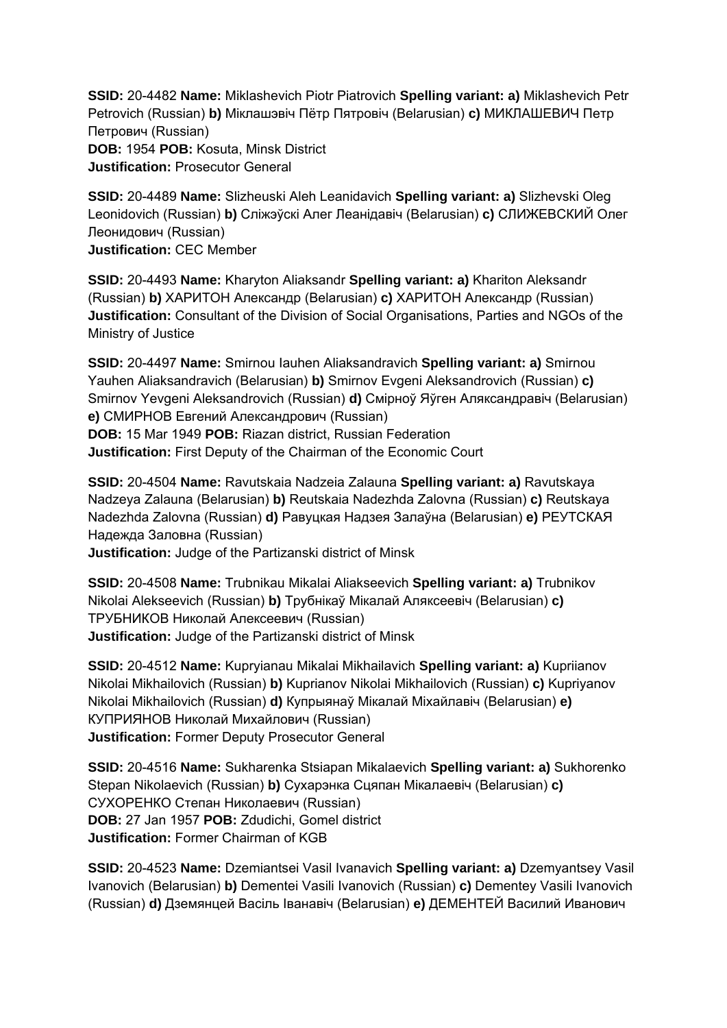**SSID:** 20-4482 **Name:** Miklashevich Piotr Piatrovich **Spelling variant: a)** Miklashevich Petr Petrovich (Russian) **b)** Міклашэвіч Пётр Пятровіч (Belarusian) **c)** МИКЛАШЕВИЧ Петр Петрович (Russian) **DOB:** 1954 **POB:** Kosuta, Minsk District **Justification:** Prosecutor General

**SSID:** 20-4489 **Name:** Slizheuski Aleh Leanidavich **Spelling variant: a)** Slizhevski Oleg Leonidovich (Russian) **b)** Слiжэўскi Алег Леанідавіч (Belarusian) **c)** СЛИЖЕВСКИЙ Олег Леонидович (Russian) **Justification:** CEC Member

**SSID:** 20-4493 **Name:** Kharyton Aliaksandr **Spelling variant: a)** Khariton Aleksandr (Russian) **b)** ХАРИТОН Александр (Belarusian) **c)** ХАРИТОН Александр (Russian) **Justification:** Consultant of the Division of Social Organisations, Parties and NGOs of the Ministry of Justice

**SSID:** 20-4497 **Name:** Smirnou Iauhen Aliaksandravich **Spelling variant: a)** Smirnou Yauhen Aliaksandravich (Belarusian) **b)** Smirnov Evgeni Aleksandrovich (Russian) **c)**  Smirnov Yevgeni Aleksandrovich (Russian) **d)** Смірноў Яўген Аляксандравіч (Belarusian) **e)** СМИРНОВ Евгений Александрович (Russian) **DOB:** 15 Mar 1949 **POB:** Riazan district, Russian Federation **Justification:** First Deputy of the Chairman of the Economic Court

**SSID:** 20-4504 **Name:** Ravutskaia Nadzeia Zalauna **Spelling variant: a)** Ravutskaya Nadzeya Zalauna (Belarusian) **b)** Reutskaia Nadezhda Zalovna (Russian) **c)** Reutskaya Nadezhda Zalovna (Russian) **d)** Равуцкая Надзея Залаўна (Belarusian) **e)** РЕУТСКАЯ Надежда Заловна (Russian)

**Justification:** Judge of the Partizanski district of Minsk

**SSID:** 20-4508 **Name:** Trubnikau Mikalai Aliakseevich **Spelling variant: a)** Trubnikov Nikolai Alekseevich (Russian) **b)** Трубнікаў Мікалай Аляксеевіч (Belarusian) **c)**  ТРУБНИКОВ Николай Алексеевич (Russian) **Justification:** Judge of the Partizanski district of Minsk

**SSID:** 20-4512 **Name:** Kupryianau Mikalai Mikhailavich **Spelling variant: a)** Kupriianov Nikolai Mikhailovich (Russian) **b)** Kuprianov Nikolai Mikhailovich (Russian) **c)** Kupriyanov Nikolai Mikhailovich (Russian) **d)** Купрыянаў Мікалай Міхайлавіч (Belarusian) **e)**  КУПРИЯНОВ Николай Михайлович (Russian) **Justification:** Former Deputy Prosecutor General

**SSID:** 20-4516 **Name:** Sukharenka Stsiapan Mikalaevich **Spelling variant: a)** Sukhorenko Stepan Nikolaevich (Russian) **b)** Сухарэнка Сцяпан Мікалаевіч (Belarusian) **c)**  СУХОРЕНКО Степан Николаевич (Russian) **DOB:** 27 Jan 1957 **POB:** Zdudichi, Gomel district **Justification:** Former Chairman of KGB

**SSID:** 20-4523 **Name:** Dzemiantsei Vasil Ivanavich **Spelling variant: a)** Dzemyantsey Vasil Ivanovich (Belarusian) **b)** Dementei Vasili Ivanovich (Russian) **c)** Dementey Vasili Ivanovich (Russian) **d)** Дземянцей Васіль Iванавіч (Belarusian) **e)** ДЕМЕНТЕЙ Василий Иванович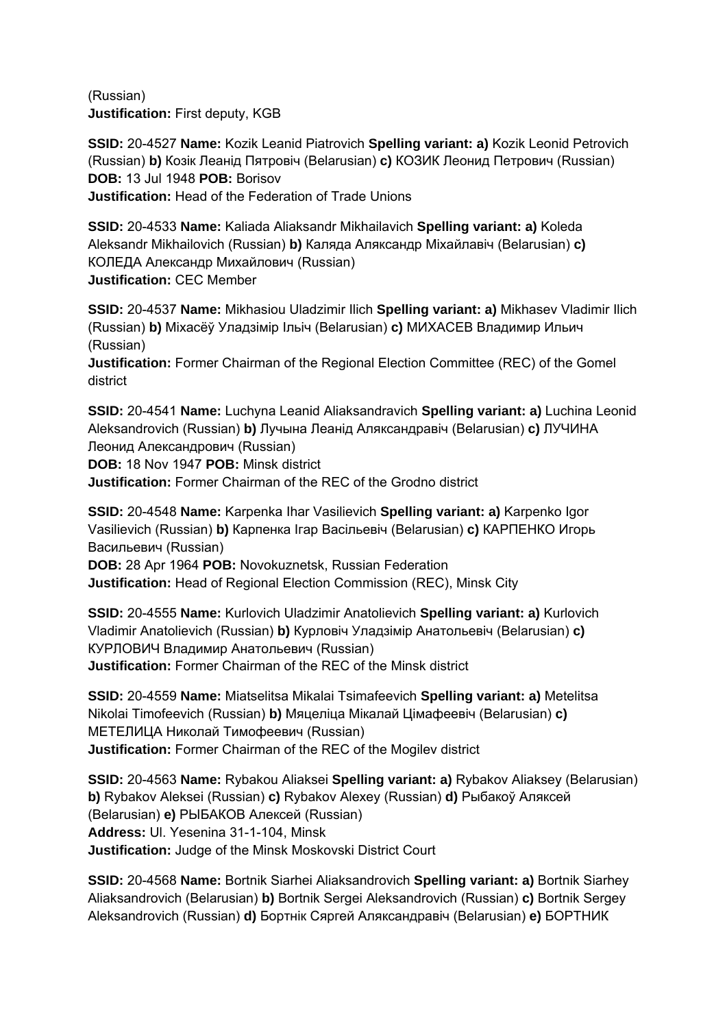(Russian) **Justification:** First deputy, KGB

**SSID:** 20-4527 **Name:** Kozik Leanid Piatrovich **Spelling variant: a)** Kozik Leonid Petrovich (Russian) **b)** Козік Леанід Пятровіч (Belarusian) **c)** КОЗИК Леонид Петрович (Russian) **DOB:** 13 Jul 1948 **POB:** Borisov **Justification:** Head of the Federation of Trade Unions

**SSID:** 20-4533 **Name:** Kaliada Aliaksandr Mikhailavich **Spelling variant: a)** Koleda Aleksandr Mikhailovich (Russian) **b)** Каляда Аляксандр Міхайлавіч (Belarusian) **c)**  КОЛЕДА Александр Михайлович (Russian) **Justification:** CEC Member

**SSID:** 20-4537 **Name:** Mikhasiou Uladzimir Ilich **Spelling variant: a)** Mikhasev Vladimir Ilich (Russian) **b)** Міхасёў Уладзімір Ільіч (Belarusian) **c)** МИХАСЕВ Владимир Ильич (Russian)

**Justification:** Former Сhairman of the Regional Election Committee (REC) of the Gomel district

**SSID:** 20-4541 **Name:** Luchyna Leanid Aliaksandravich **Spelling variant: a)** Luchina Leonid Aleksandrovich (Russian) **b)** Лучына Леанід Аляксандравіч (Belarusian) **c)** ЛУЧИНА Леонид Александрович (Russian)

**DOB:** 18 Nov 1947 **POB:** Minsk district

**Justification:** Former Сhairman of the REC of the Grodno district

**SSID:** 20-4548 **Name:** Karpenka Ihar Vasilievich **Spelling variant: a)** Karpenko Igor Vasilievich (Russian) **b)** Карпенка Ігар Васільевіч (Belarusian) **c)** КАРПЕНКО Игорь Васильевич (Russian)

**DOB:** 28 Apr 1964 **POB:** Novokuznetsk, Russian Federation **Justification:** Head of Regional Election Commission (REC), Minsk City

**SSID:** 20-4555 **Name:** Kurlovich Uladzimir Anatolievich **Spelling variant: a)** Kurlovich Vladimir Anatolievich (Russian) **b)** Курловіч Уладзімір Анатольевіч (Belarusian) **c)**  КУРЛОВИЧ Владимир Анатольевич (Russian) **Justification:** Former Сhairman of the REC of the Minsk district

**SSID:** 20-4559 **Name:** Miatselitsa Mikalai Tsimafeevich **Spelling variant: a)** Metelitsa Nikolai Timofeevich (Russian) **b)** Мяцеліца Мікалай Цімафеевіч (Belarusian) **c)**  МЕТЕЛИЦА Николай Тимофеевич (Russian) **Justification:** Former Сhairman of the REC of the Mogilev district

**SSID:** 20-4563 **Name:** Rybakou Aliaksei **Spelling variant: a)** Rybakov Aliaksey (Belarusian) **b)** Rybakov Aleksei (Russian) **c)** Rybakov Alexey (Russian) **d)** Рыбакоў Аляксей (Belarusian) **e)** РЫБАКОВ Алексей (Russian) **Address:** Ul. Yesenina 31-1-104, Minsk **Justification:** Judge of the Minsk Moskovski District Court

**SSID:** 20-4568 **Name:** Bortnik Siarhei Aliaksandrovich **Spelling variant: a)** Bortnik Siarhey Aliaksandrovich (Belarusian) **b)** Bortnik Sergei Aleksandrovich (Russian) **c)** Bortnik Sergey Aleksandrovich (Russian) **d)** Бортнік Сяргей Аляксандравіч (Belarusian) **e)** БОРТНИК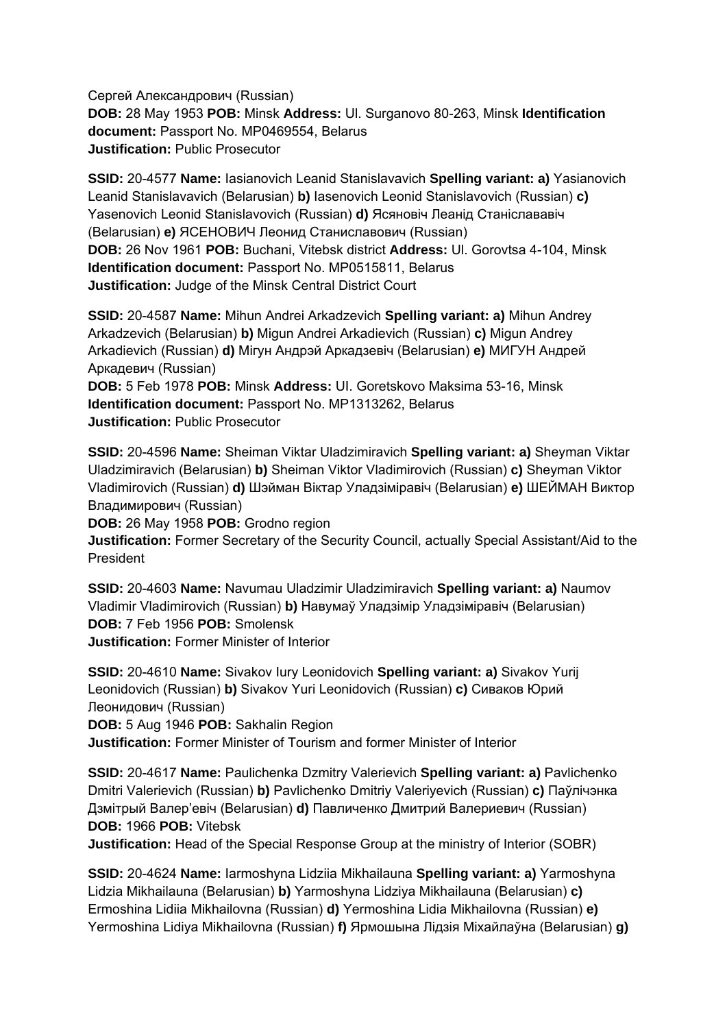Сергей Александрович (Russian) **DOB:** 28 May 1953 **POB:** Minsk **Address:** Ul. Surganovo 80-263, Minsk **Identification document:** Passport No. MP0469554, Belarus **Justification:** Public Prosecutor

**SSID:** 20-4577 **Name:** Iasianovich Leanid Stanislavavich **Spelling variant: a)** Yasianovich Leanid Stanislavavich (Belarusian) **b)** Iasenovich Leonid Stanislavovich (Russian) **c)**  Yasenovich Leonid Stanislavovich (Russian) **d)** Ясяновіч Леанід Станіслававіч (Belarusian) **e)** ЯСЕНОВИЧ Леонид Станиславович (Russian) **DOB:** 26 Nov 1961 **POB:** Buchani, Vitebsk district **Address:** Ul. Gorovtsa 4-104, Minsk **Identification document:** Passport No. MP0515811, Belarus **Justification:** Judge of the Minsk Central District Court

**SSID:** 20-4587 **Name:** Mihun Andrei Arkadzevich **Spelling variant: a)** Mihun Andrey Arkadzevich (Belarusian) **b)** Migun Andrei Arkadievich (Russian) **c)** Migun Andrey Arkadievich (Russian) **d)** Мігун Андрэй Аркадзевіч (Belarusian) **e)** МИГУН Андрей Аркадевич (Russian)

**DOB:** 5 Feb 1978 **POB:** Minsk **Address:** UI. Goretskovo Maksima 53-16, Minsk **Identification document:** Passport No. MP1313262, Belarus **Justification:** Public Prosecutor

**SSID:** 20-4596 **Name:** Sheiman Viktar Uladzimiravich **Spelling variant: a)** Sheyman Viktar Uladzimiravich (Belarusian) **b)** Sheiman Viktor Vladimirovich (Russian) **c)** Sheyman Viktor Vladimirovich (Russian) **d)** Шэйман Віктар Уладзіміравіч (Belarusian) **e)** ШЕЙМАН Виктор Владимирович (Russian)

**DOB:** 26 May 1958 **POB:** Grodno region

**Justification:** Former Secretary of the Security Council, actually Special Assistant/Aid to the President

**SSID:** 20-4603 **Name:** Navumau Uladzimir Uladzimiravich **Spelling variant: a)** Naumov Vladimir Vladimirovich (Russian) **b)** Навумаў Уладзімір Уладзіміравіч (Belarusian) **DOB:** 7 Feb 1956 **POB:** Smolensk **Justification:** Former Minister of Interior

**SSID:** 20-4610 **Name:** Sivakov Iury Leonidovich **Spelling variant: a)** Sivakov Yurij Leonidovich (Russian) **b)** Sivakov Yuri Leonidovich (Russian) **c)** Сиваков Юрий Леонидович (Russian)

**DOB:** 5 Aug 1946 **POB:** Sakhalin Region

**Justification:** Former Minister of Tourism and former Minister of Interior

**SSID:** 20-4617 **Name:** Paulichenka Dzmitry Valerievich **Spelling variant: a)** Pavlichenko Dmitri Valerievich (Russian) **b)** Pavlichenko Dmitriy Valeriyevich (Russian) **c)** Паўлічэнка Дзмiтрый Валер'евіч (Belarusian) **d)** Павличенко Дмитрий Валериевич (Russian) **DOB:** 1966 **POB:** Vitebsk

**Justification:** Head of the Special Response Group at the ministry of Interior (SOBR)

**SSID:** 20-4624 **Name:** Iarmoshyna Lidziia Mikhailauna **Spelling variant: a)** Yarmoshyna Lidzia Mikhailauna (Belarusian) **b)** Yarmoshyna Lidziya Mikhailauna (Belarusian) **c)**  Ermoshina Lidiia Mikhailovna (Russian) **d)** Yermoshina Lidia Mikhailovna (Russian) **e)**  Yermoshina Lidiya Mikhailovna (Russian) **f)** Ярмошына Лідзія Міхайлаўна (Belarusian) **g)**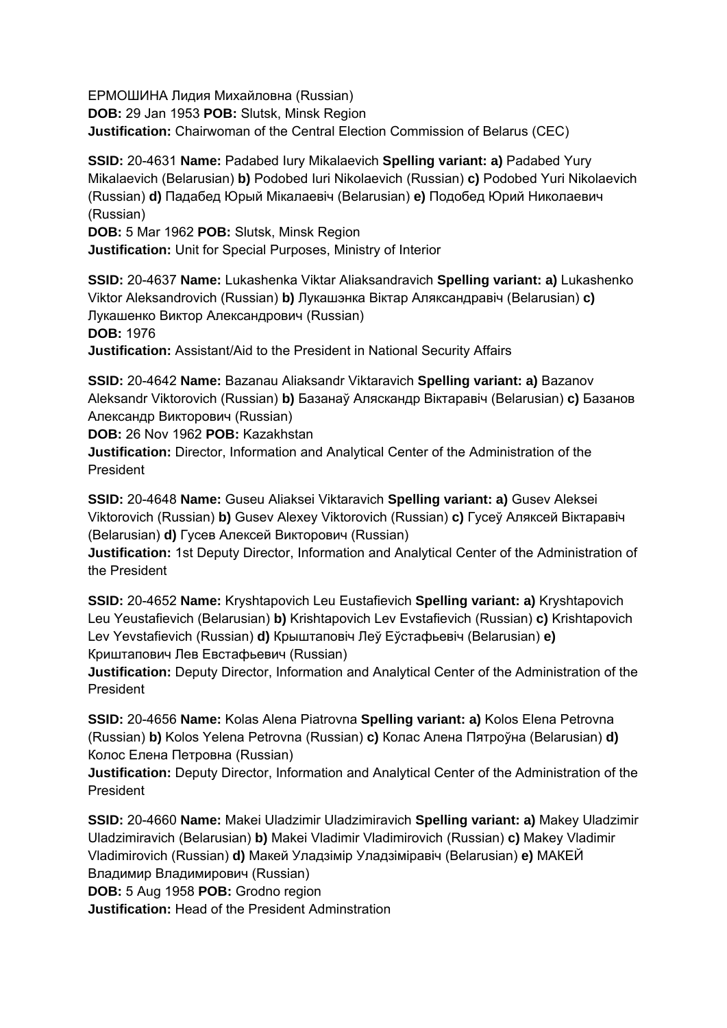ЕРМОШИНА Лидия Михайловна (Russian) **DOB:** 29 Jan 1953 **POB:** Slutsk, Minsk Region **Justification:** Chairwoman of the Central Election Commission of Belarus (CEC)

**SSID:** 20-4631 **Name:** Padabed Iury Mikalaevich **Spelling variant: a)** Padabed Yury Mikalaevich (Belarusian) **b)** Podobed Iuri Nikolaevich (Russian) **c)** Podobed Yuri Nikolaevich (Russian) **d)** Падабед Юрый Мікалаевіч (Belarusian) **e)** Подобед Юрий Николаевич (Russian)

**DOB:** 5 Mar 1962 **POB:** Slutsk, Minsk Region **Justification:** Unit for Special Purposes, Ministry of Interior

**SSID:** 20-4637 **Name:** Lukashenka Viktar Aliaksandravich **Spelling variant: a)** Lukashenko Viktor Aleksandrovich (Russian) **b)** Лукашэнка Віктар Аляксандравіч (Belarusian) **c)**  Лукашенко Виктор Александрович (Russian) **DOB:** 1976

**Justification:** Assistant/Aid to the President in National Security Affairs

**SSID:** 20-4642 **Name:** Bazanau Aliaksandr Viktaravich **Spelling variant: a)** Bazanov Aleksandr Viktorovich (Russian) **b)** Базанаў Аляскандр Віктаравіч (Belarusian) **c)** Базанов Александр Викторович (Russian)

**DOB:** 26 Nov 1962 **POB:** Kazakhstan

**Justification:** Director, Information and Analytical Center of the Administration of the President

**SSID:** 20-4648 **Name:** Guseu Aliaksei Viktaravich **Spelling variant: a)** Gusev Aleksei Viktorovich (Russian) **b)** Gusev Alexey Viktorovich (Russian) **c)** Гусеў Аляксей Вiктаравіч (Belarusian) **d)** Гусев Алексей Викторович (Russian)

**Justification:** 1st Deputy Director, Information and Analytical Center of the Administration of the President

**SSID:** 20-4652 **Name:** Kryshtapovich Leu Eustafievich **Spelling variant: a)** Kryshtapovich Leu Yeustafievich (Belarusian) **b)** Krishtapovich Lev Evstafievich (Russian) **c)** Krishtapovich Lev Yevstafievich (Russian) **d)** Крыштаповіч Леў Еўстафьевіч (Belarusian) **e)**  Криштапович Лев Евстафьевич (Russian)

**Justification:** Deputy Director, Information and Analytical Center of the Administration of the President

**SSID:** 20-4656 **Name:** Kolas Alena Piatrovna **Spelling variant: a)** Kolos Elena Petrovna (Russian) **b)** Kolos Yelena Petrovna (Russian) **c)** Колас Алена Пятроўна (Belarusian) **d)**  Колос Елена Петровна (Russian)

**Justification:** Deputy Director, Information and Analytical Center of the Administration of the President

**SSID:** 20-4660 **Name:** Makei Uladzimir Uladzimiravich **Spelling variant: a)** Makey Uladzimir Uladzimiravich (Belarusian) **b)** Makei Vladimir Vladimirovich (Russian) **c)** Makey Vladimir Vladimirovich (Russian) **d)** Макей Уладзімір Уладзіміравіч (Belarusian) **e)** МАКЕЙ Владимир Владимирович (Russian)

**DOB:** 5 Aug 1958 **POB:** Grodno region

**Justification:** Head of the President Adminstration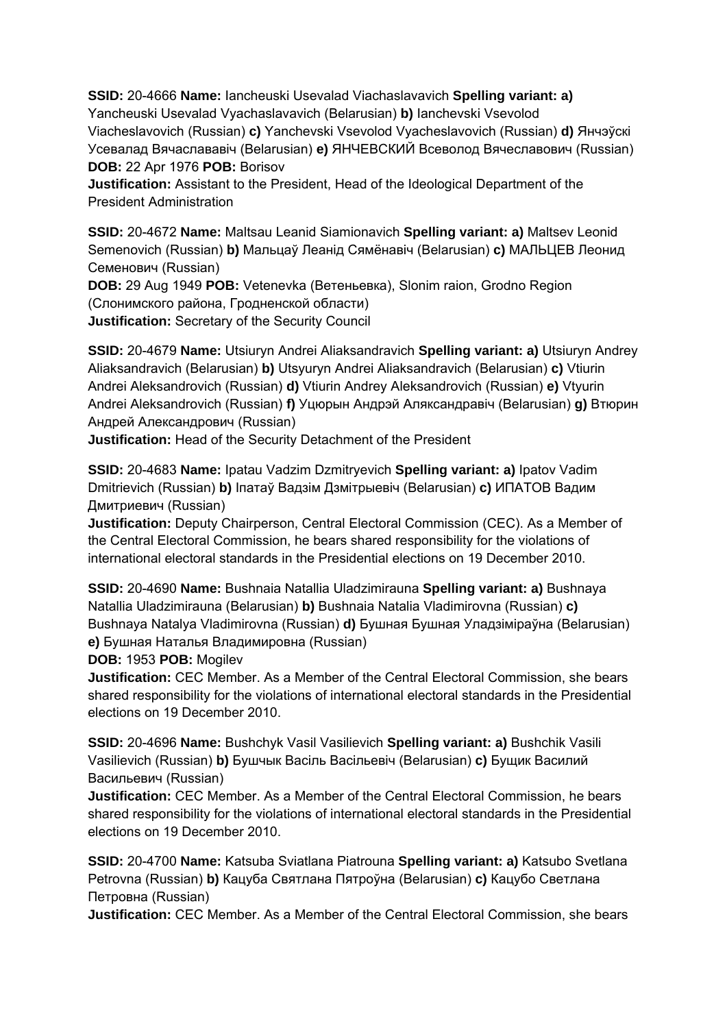**SSID:** 20-4666 **Name:** Iancheuski Usevalad Viachaslavavich **Spelling variant: a)**  Yancheuski Usevalad Vyachaslavavich (Belarusian) **b)** Ianchevski Vsevolod Viacheslavovich (Russian) **c)** Yanchevski Vsevolod Vyacheslavovich (Russian) **d)** Янчэўскі Усевалад Вячаслававіч (Belarusian) **e)** ЯНЧЕВСКИЙ Всеволод Вячеславович (Russian) **DOB:** 22 Apr 1976 **POB:** Borisov

**Justification:** Assistant to the President, Head of the Ideological Department of the President Administration

**SSID:** 20-4672 **Name:** Maltsau Leanid Siamionavich **Spelling variant: a)** Maltsev Leonid Semenovich (Russian) **b)** Мальцаў Леанід Сямёнавіч (Belarusian) **c)** МАЛЬЦЕВ Леонид Семенович (Russian)

**DOB:** 29 Aug 1949 **POB:** Vetenevka (Ветеньевка), Slonim raion, Grodno Region (Слонимского района, Гродненской области) **Justification:** Secretary of the Security Council

**SSID:** 20-4679 **Name:** Utsiuryn Andrei Aliaksandravich **Spelling variant: a)** Utsiuryn Andrey Aliaksandravich (Belarusian) **b)** Utsyuryn Andrei Aliaksandravich (Belarusian) **c)** Vtiurin Andrei Aleksandrovich (Russian) **d)** Vtiurin Andrey Aleksandrovich (Russian) **e)** Vtyurin Andrei Aleksandrovich (Russian) **f)** Уцюрын Андрэй Аляксандравіч (Belarusian) **g)** Втюрин Андрей Александрович (Russian)

**Justification:** Head of the Security Detachment of the President

**SSID:** 20-4683 **Name:** Ipatau Vadzim Dzmitryevich **Spelling variant: a)** Ipatov Vadim Dmitrievich (Russian) **b)** Іпатаў Вадзім Дзмітрыевіч (Belarusian) **c)** ИПАТОВ Вадим Дмитриевич (Russian)

**Justification:** Deputy Chairperson, Central Electoral Commission (CEC). As a Member of the Central Electoral Commission, he bears shared responsibility for the violations of international electoral standards in the Presidential elections on 19 December 2010.

**SSID:** 20-4690 **Name:** Bushnaia Natallia Uladzimirauna **Spelling variant: a)** Bushnaya Natallia Uladzimirauna (Belarusian) **b)** Bushnaia Natalia Vladimirovna (Russian) **c)**  Bushnaya Natalya Vladimirovna (Russian) **d)** Бушная Бушная Уладзіміраўна (Belarusian) **e)** Бушная Наталья Владимировна (Russian)

**DOB:** 1953 **POB:** Mogilev

**Justification:** CEC Member. As a Member of the Central Electoral Commission, she bears shared responsibility for the violations of international electoral standards in the Presidential elections on 19 December 2010.

**SSID:** 20-4696 **Name:** Bushchyk Vasil Vasilievich **Spelling variant: a)** Bushchik Vasili Vasilievich (Russian) **b)** Бушчык Васіль Васільевіч (Belarusian) **c)** Бущик Василий Васильевич (Russian)

**Justification:** CEC Member. As a Member of the Central Electoral Commission, he bears shared responsibility for the violations of international electoral standards in the Presidential elections on 19 December 2010.

**SSID:** 20-4700 **Name:** Katsuba Sviatlana Piatrouna **Spelling variant: a)** Katsubo Svetlana Petrovna (Russian) **b)** Кацуба Святлана Пятроўна (Belarusian) **c)** Кацубо Светлана Петровна (Russian)

**Justification:** CEC Member. As a Member of the Central Electoral Commission, she bears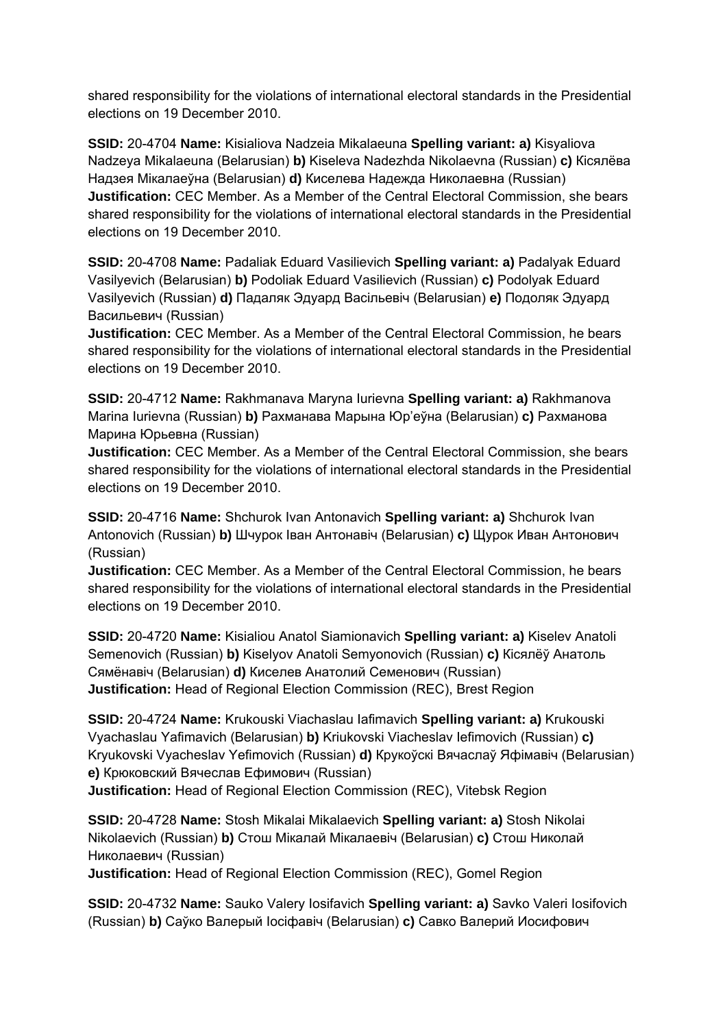shared responsibility for the violations of international electoral standards in the Presidential elections on 19 December 2010.

**SSID:** 20-4704 **Name:** Kisialiova Nadzeia Mikalaeuna **Spelling variant: a)** Kisyaliova Nadzeya Mikalaeuna (Belarusian) **b)** Kiseleva Nadezhda Nikolaevna (Russian) **c)** Кiсялёва Надзея Мiкалаеўна (Belarusian) **d)** Киселева Надежда Николаевна (Russian) **Justification:** CEC Member. As a Member of the Central Electoral Commission, she bears shared responsibility for the violations of international electoral standards in the Presidential elections on 19 December 2010.

**SSID:** 20-4708 **Name:** Padaliak Eduard Vasilievich **Spelling variant: a)** Padalyak Eduard Vasilyevich (Belarusian) **b)** Podoliak Eduard Vasilievich (Russian) **c)** Podolyak Eduard Vasilyevich (Russian) **d)** Падаляк Эдуард Васільевіч (Belarusian) **e)** Подоляк Эдуард Васильевич (Russian)

**Justification:** CEC Member. As a Member of the Central Electoral Commission, he bears shared responsibility for the violations of international electoral standards in the Presidential elections on 19 December 2010.

**SSID:** 20-4712 **Name:** Rakhmanava Maryna Iurievna **Spelling variant: a)** Rakhmanova Marina Iurievna (Russian) **b)** Рахманава Марына Юр'еўна (Belarusian) **c)** Рахманова Марина Юрьевна (Russian)

**Justification:** CEC Member. As a Member of the Central Electoral Commission, she bears shared responsibility for the violations of international electoral standards in the Presidential elections on 19 December 2010.

**SSID:** 20-4716 **Name:** Shchurok Ivan Antonavich **Spelling variant: a)** Shchurok Ivan Antonovich (Russian) **b)** Шчурок Іван Антонавіч (Belarusian) **c)** Щурок Иван Антонович (Russian)

**Justification:** CEC Member. As a Member of the Central Electoral Commission, he bears shared responsibility for the violations of international electoral standards in the Presidential elections on 19 December 2010.

**SSID:** 20-4720 **Name:** Kisialiou Anatol Siamionavich **Spelling variant: a)** Kiselev Anatoli Semenovich (Russian) **b)** Kiselyov Anatoli Semyonovich (Russian) **c)** Кісялёў Анатоль Сямёнавіч (Belarusian) **d)** Киселев Анатолий Семенович (Russian) **Justification:** Head of Regional Election Commission (REC), Brest Region

**SSID:** 20-4724 **Name:** Krukouski Viachaslau Iafimavich **Spelling variant: a)** Krukouski Vyachaslau Yafimavich (Belarusian) **b)** Kriukovski Viacheslav Iefimovich (Russian) **c)**  Kryukovski Vyacheslav Yefimovich (Russian) **d)** Крукоўскі Вячаслаў Яфімавіч (Belarusian) **e)** Крюковский Вячеслав Ефимович (Russian)

**Justification:** Head of Regional Election Commission (REC), Vitebsk Region

**SSID:** 20-4728 **Name:** Stosh Mikalai Mikalaevich **Spelling variant: a)** Stosh Nikolai Nikolaevich (Russian) **b)** Стош Мікалай Мікалаевіч (Belarusian) **c)** Стош Николай Николаевич (Russian)

**Justification:** Head of Regional Election Commission (REC), Gomel Region

**SSID:** 20-4732 **Name:** Sauko Valery Iosifavich **Spelling variant: a)** Savko Valeri Iosifovich (Russian) **b)** Саўко Валерый Іосіфавіч (Belarusian) **c)** Савко Валерий Иосифович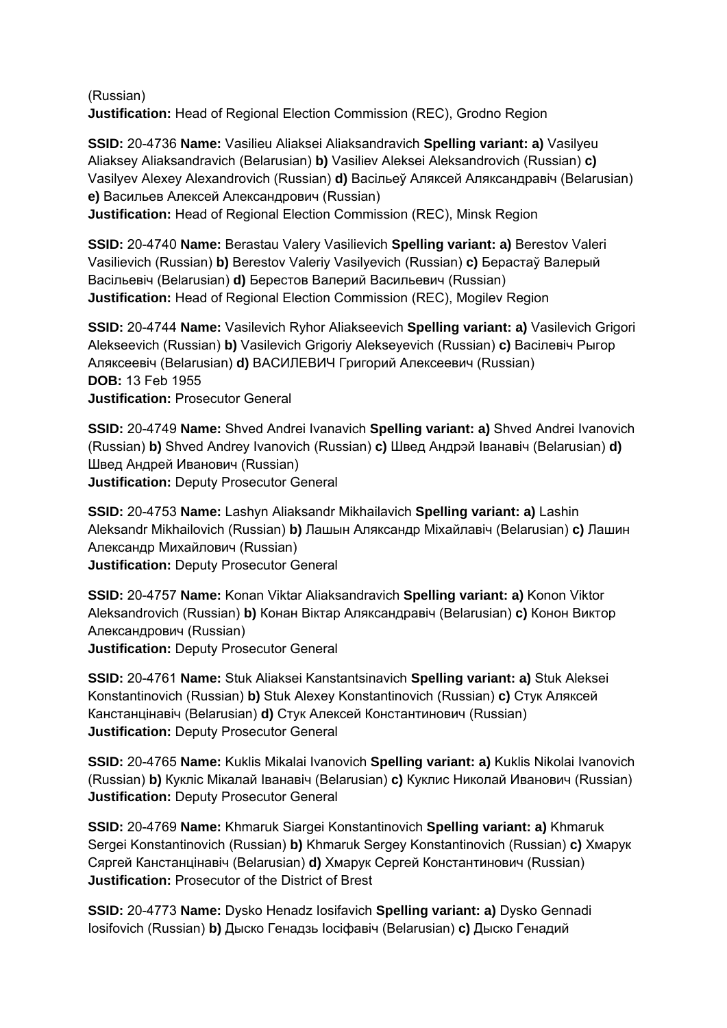(Russian) **Justification:** Head of Regional Election Commission (REC), Grodno Region

**SSID:** 20-4736 **Name:** Vasilieu Aliaksei Aliaksandravich **Spelling variant: a)** Vasilyeu Aliaksey Aliaksandravich (Belarusian) **b)** Vasiliev Aleksei Aleksandrovich (Russian) **c)**  Vasilyev Alexey Alexandrovich (Russian) **d)** Васільеў Аляксей Аляксандравіч (Belarusian) **e)** Васильев Алексей Александрович (Russian) **Justification:** Head of Regional Election Commission (REC), Minsk Region

**SSID:** 20-4740 **Name:** Berastau Valery Vasilievich **Spelling variant: a)** Berestov Valeri Vasilievich (Russian) **b)** Berestov Valeriy Vasilyevich (Russian) **c)** Берастаў Валерый Васільевіч (Belarusian) **d)** Берестов Валерий Васильевич (Russian) **Justification:** Head of Regional Election Commission (REC), Mogilev Region

**SSID:** 20-4744 **Name:** Vasilevich Ryhor Aliakseevich **Spelling variant: a)** Vasilevich Grigori Alekseevich (Russian) **b)** Vasilevich Grigoriy Alekseyevich (Russian) **c)** Васілевіч Рыгор Аляксеевіч (Belarusian) **d)** ВАСИЛЕВИЧ Григорий Алексеевич (Russian) **DOB:** 13 Feb 1955 **Justification:** Prosecutor General

**SSID:** 20-4749 **Name:** Shved Andrei Ivanavich **Spelling variant: a)** Shved Andrei Ivanovich (Russian) **b)** Shved Andrey Ivanovich (Russian) **c)** Швед Андрэй Іванавіч (Belarusian) **d)**  Швед Андрей Иванович (Russian) **Justification:** Deputy Prosecutor General

**SSID:** 20-4753 **Name:** Lashyn Aliaksandr Mikhailavich **Spelling variant: a)** Lashin Aleksandr Mikhailovich (Russian) **b)** Лашын Аляксандр Міхайлавіч (Belarusian) **c)** Лашин Александр Михайлович (Russian) **Justification:** Deputy Prosecutor General

**SSID:** 20-4757 **Name:** Konan Viktar Aliaksandravich **Spelling variant: a)** Konon Viktor Aleksandrovich (Russian) **b)** Конан Віктар Аляксандравіч (Belarusian) **c)** Конон Виктор Александрович (Russian) **Justification:** Deputy Prosecutor General

**SSID:** 20-4761 **Name:** Stuk Aliaksei Kanstantsinavich **Spelling variant: a)** Stuk Aleksei Konstantinovich (Russian) **b)** Stuk Alexey Konstantinovich (Russian) **c)** Стук Аляксей Канстанцінавіч (Belarusian) **d)** Стук Алексей Константинович (Russian) **Justification:** Deputy Prosecutor General

**SSID:** 20-4765 **Name:** Kuklis Mikalai Ivanovich **Spelling variant: a)** Kuklis Nikolai Ivanovich (Russian) **b)** Кукліс Мікалай Іванавіч (Belarusian) **c)** Куклис Николай Иванович (Russian) **Justification:** Deputy Prosecutor General

**SSID:** 20-4769 **Name:** Khmaruk Siargei Konstantinovich **Spelling variant: a)** Khmaruk Sergei Konstantinovich (Russian) **b)** Khmaruk Sergey Konstantinovich (Russian) **c)** Хмарук Сяргей Канстанцінавіч (Belarusian) **d)** Хмарук Сергей Константинович (Russian) **Justification:** Prosecutor of the District of Brest

**SSID:** 20-4773 **Name:** Dysko Henadz Iosifavich **Spelling variant: a)** Dysko Gennadi Iosifovich (Russian) **b)** Дыско Генадзь Іосіфавіч (Belarusian) **c)** Дыско Генадий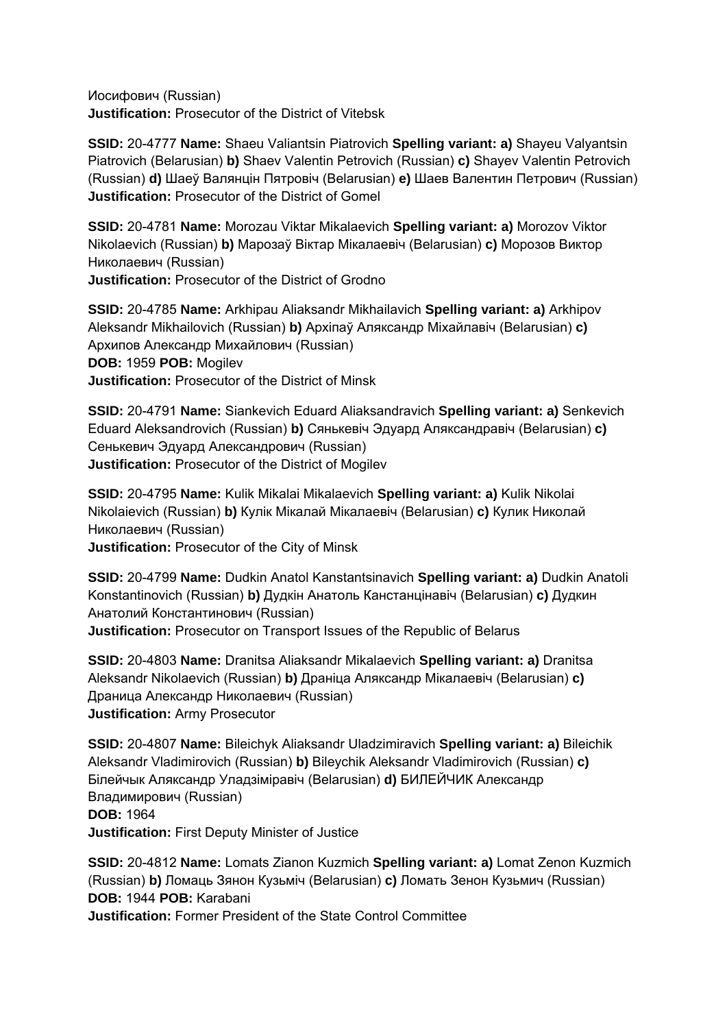Иосифович (Russian) **Justification:** Prosecutor of the District of Vitebsk

**SSID:** 20-4777 **Name:** Shaeu Valiantsin Piatrovich **Spelling variant: a)** Shayeu Valyantsin Piatrovich (Belarusian) **b)** Shaev Valentin Petrovich (Russian) **c)** Shayev Valentin Petrovich (Russian) **d)** Шаеў Валянцін Пятровіч (Belarusian) **e)** Шаев Валентин Петрович (Russian) **Justification:** Prosecutor of the District of Gomel

**SSID:** 20-4781 **Name:** Morozau Viktar Mikalaevich **Spelling variant: a)** Morozov Viktor Nikolaevich (Russian) **b)** Марозаў Віктар Мікалаевіч (Belarusian) **c)** Морозов Виктор Николаевич (Russian)

**Justification:** Prosecutor of the District of Grodno

**SSID:** 20-4785 **Name:** Arkhipau Aliaksandr Mikhailavich **Spelling variant: a)** Arkhipov Aleksandr Mikhailovich (Russian) **b)** Архіпаў Аляксандр Міхайлавіч (Belarusian) **c)**  Архипов Александр Михайлович (Russian) **DOB:** 1959 **POB:** Mogilev **Justification:** Prosecutor of the District of Minsk

**SSID:** 20-4791 **Name:** Siankevich Eduard Aliaksandravich **Spelling variant: a)** Senkevich Eduard Aleksandrovich (Russian) **b)** Сянькевіч Эдуард Аляксандравіч (Belarusian) **c)**  Сенькевич Эдуард Александрович (Russian) **Justification:** Prosecutor of the District of Mogilev

**SSID:** 20-4795 **Name:** Kulik Mikalai Mikalaevich **Spelling variant: a)** Kulik Nikolai Nikolaievich (Russian) **b)** Кулік Мікалай Мікалаевіч (Belarusian) **c)** Кулик Николай Николаевич (Russian)

**Justification:** Prosecutor of the City of Minsk

**SSID:** 20-4799 **Name:** Dudkin Anatol Kanstantsinavich **Spelling variant: a)** Dudkin Anatoli Konstantinovich (Russian) **b)** Дудкін Анатоль Канстанцінавіч (Belarusian) **c)** Дудкин Анатолий Константинович (Russian) **Justification:** Prosecutor on Transport Issues of the Republic of Belarus

**SSID:** 20-4803 **Name:** Dranitsa Aliaksandr Mikalaevich **Spelling variant: a)** Dranitsa Aleksandr Nikolaevich (Russian) **b)** Драніца Аляксандр Мікалаевіч (Belarusian) **c)**  Драница Александр Николаевич (Russian) **Justification:** Army Prosecutor

**SSID:** 20-4807 **Name:** Bileichyk Aliaksandr Uladzimiravich **Spelling variant: a)** Bileichik Aleksandr Vladimirovich (Russian) **b)** Bileychik Aleksandr Vladimirovich (Russian) **c)**  Білейчык Аляксандр Уладзіміравіч (Belarusian) **d)** БИЛЕЙЧИК Александр Владимирович (Russian) **DOB:** 1964 **Justification:** First Deputy Minister of Justice

**SSID:** 20-4812 **Name:** Lomats Zianon Kuzmich **Spelling variant: a)** Lomat Zenon Kuzmich (Russian) **b)** Ломаць Зянон Кузьміч (Belarusian) **c)** Ломать Зенон Кузьмич (Russian) **DOB:** 1944 **POB:** Karabani

**Justification:** Former President of the State Control Committee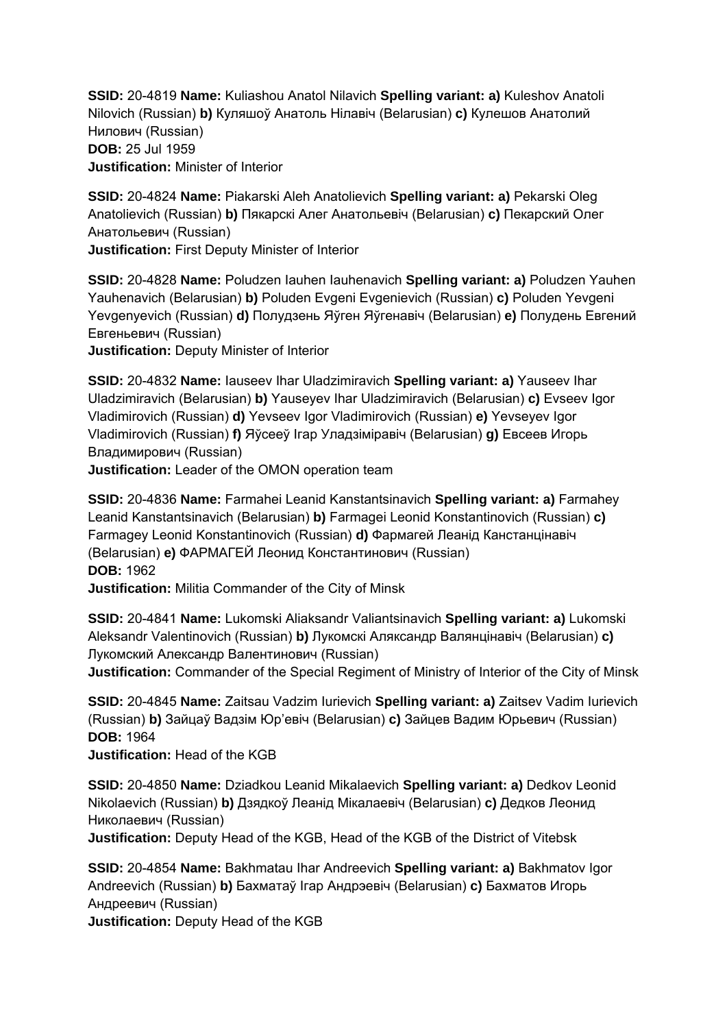**SSID:** 20-4819 **Name:** Kuliashou Anatol Nilavich **Spelling variant: a)** Kuleshov Anatoli Nilovich (Russian) **b)** Куляшоў Анатоль Нілавіч (Belarusian) **c)** Кулешов Анатолий Нилович (Russian) **DOB:** 25 Jul 1959 **Justification:** Minister of Interior

**SSID:** 20-4824 **Name:** Piakarski Aleh Anatolievich **Spelling variant: a)** Pekarski Oleg Anatolievich (Russian) **b)** Пякарскі Алег Анатольевіч (Belarusian) **c)** Пекарский Олег Анатольевич (Russian)

**Justification:** First Deputy Minister of Interior

**SSID:** 20-4828 **Name:** Poludzen Iauhen Iauhenavich **Spelling variant: a)** Poludzen Yauhen Yauhenavich (Belarusian) **b)** Poluden Evgeni Evgenievich (Russian) **c)** Poluden Yevgeni Yevgenyevich (Russian) **d)** Полудзень Яўген Яўгенавіч (Belarusian) **e)** Полудень Евгений Евгеньевич (Russian)

**Justification:** Deputy Minister of Interior

**SSID:** 20-4832 **Name:** Iauseev Ihar Uladzimiravich **Spelling variant: a)** Yauseev Ihar Uladzimiravich (Belarusian) **b)** Yauseyev Ihar Uladzimiravich (Belarusian) **c)** Evseev Igor Vladimirovich (Russian) **d)** Yevseev Igor Vladimirovich (Russian) **e)** Yevseyev Igor Vladimirovich (Russian) **f)** Яўсееў Ігар Уладзіміравіч (Belarusian) **g)** Евсеев Игорь Владимирович (Russian)

**Justification:** Leader of the OMON operation team

**SSID:** 20-4836 **Name:** Farmahei Leanid Kanstantsinavich **Spelling variant: a)** Farmahey Leanid Kanstantsinavich (Belarusian) **b)** Farmagei Leonid Konstantinovich (Russian) **c)**  Farmagey Leonid Konstantinovich (Russian) **d)** Фармагей Леанід Канстанцінавіч (Belarusian) **e)** ФАРМАГЕЙ Леонид Константинович (Russian) **DOB:** 1962 **Justification:** Militia Commander of the City of Minsk

**SSID:** 20-4841 **Name:** Lukomski Aliaksandr Valiantsinavich **Spelling variant: a)** Lukomski Aleksandr Valentinovich (Russian) **b)** Лукомскі Аляксандр Валянцінавіч (Belarusian) **c)**  Лукомский Александр Валентинович (Russian)

**Justification:** Commander of the Special Regiment of Ministry of Interior of the City of Minsk

**SSID:** 20-4845 **Name:** Zaitsau Vadzim Iurievich **Spelling variant: a)** Zaitsev Vadim Iurievich (Russian) **b)** Зайцаў Вадзім Юр'евіч (Belarusian) **c)** Зайцев Вадим Юрьевич (Russian) **DOB:** 1964

**Justification:** Head of the KGB

**SSID:** 20-4850 **Name:** Dziadkou Leanid Mikalaevich **Spelling variant: a)** Dedkov Leonid Nikolaevich (Russian) **b)** Дзядкоў Леанід Мікалаевіч (Belarusian) **c)** Дедков Леонид Николаевич (Russian)

**Justification:** Deputy Head of the KGB, Head of the KGB of the District of Vitebsk

**SSID:** 20-4854 **Name:** Bakhmatau Ihar Andreevich **Spelling variant: a)** Bakhmatov Igor Andreevich (Russian) **b)** Бахматаў Ігар Андрэевіч (Belarusian) **c)** Бахматов Игорь Андреевич (Russian)

**Justification:** Deputy Head of the KGB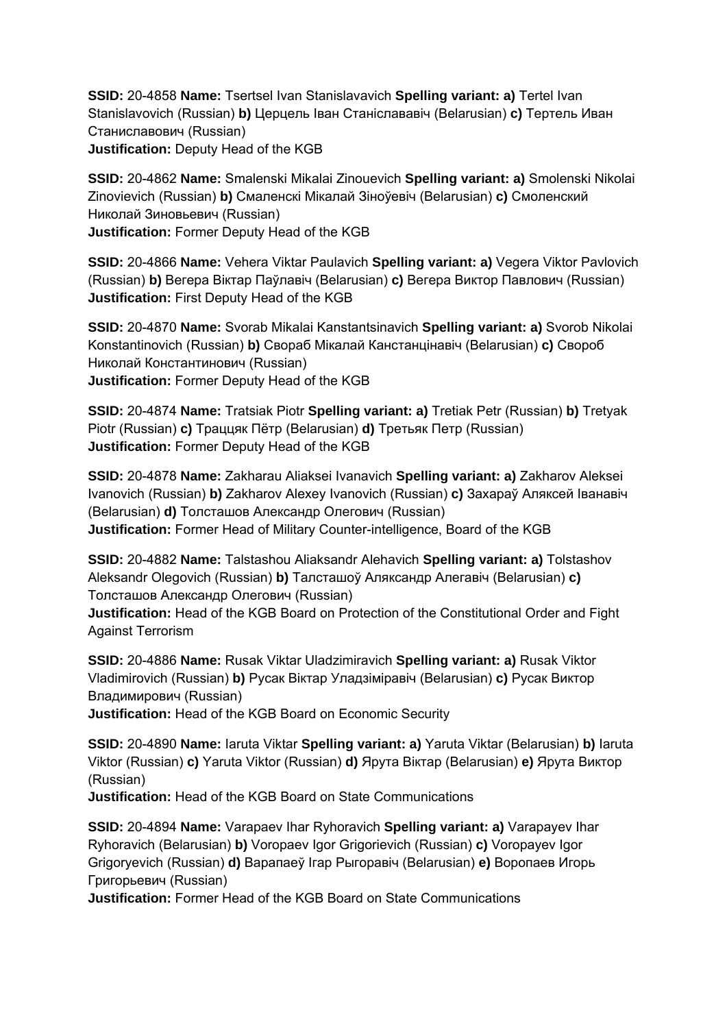**SSID:** 20-4858 **Name:** Tsertsel Ivan Stanislavavich **Spelling variant: a)** Tertel Ivan Stanislavovich (Russian) **b)** Церцель Іван Станіслававіч (Belarusian) **c)** Тертель Иван Станиславович (Russian) **Justification:** Deputy Head of the KGB

**SSID:** 20-4862 **Name:** Smalenski Mikalai Zinouevich **Spelling variant: a)** Smolenski Nikolai Zinovievich (Russian) **b)** Смаленскі Мікалай Зіноўевіч (Belarusian) **c)** Смоленский Николай Зиновьевич (Russian) **Justification:** Former Deputy Head of the KGB

**SSID:** 20-4866 **Name:** Vehera Viktar Paulavich **Spelling variant: a)** Vegera Viktor Pavlovich (Russian) **b)** Вегера Віктар Паўлавіч (Belarusian) **c)** Вегера Виктор Павлович (Russian) **Justification:** First Deputy Head of the KGB

**SSID:** 20-4870 **Name:** Svorab Mikalai Kanstantsinavich **Spelling variant: a)** Svorob Nikolai Konstantinovich (Russian) **b)** Свораб Мікалай Канстанцінавіч (Belarusian) **c)** Свороб Николай Константинович (Russian) **Justification:** Former Deputy Head of the KGB

**SSID:** 20-4874 **Name:** Tratsiak Piotr **Spelling variant: a)** Tretiak Petr (Russian) **b)** Tretyak Piotr (Russian) **c)** Траццяк Пётр (Belarusian) **d)** Третьяк Петр (Russian) **Justification:** Former Deputy Head of the KGB

**SSID:** 20-4878 **Name:** Zakharau Aliaksei Ivanavich **Spelling variant: a)** Zakharov Aleksei Ivanovich (Russian) **b)** Zakharov Alexey Ivanovich (Russian) **c)** Захараў Аляксей Іванавіч (Belarusian) **d)** Толсташов Александр Олегович (Russian) **Justification:** Former Head of Military Counter-intelligence, Board of the KGB

**SSID:** 20-4882 **Name:** Talstashou Aliaksandr Alehavich **Spelling variant: a)** Tolstashov Aleksandr Olegovich (Russian) **b)** Талсташоў Аляксандр Алегавіч (Belarusian) **c)**  Толсташов Александр Олегович (Russian)

**Justification:** Head of the KGB Board on Protection of the Constitutional Order and Fight Against Terrorism

**SSID:** 20-4886 **Name:** Rusak Viktar Uladzimiravich **Spelling variant: a)** Rusak Viktor Vladimirovich (Russian) **b)** Русак Віктар Уладзіміравіч (Belarusian) **c)** Русак Виктор Владимирович (Russian)

**Justification:** Head of the KGB Board on Economic Security

**SSID:** 20-4890 **Name:** Iaruta Viktar **Spelling variant: a)** Yaruta Viktar (Belarusian) **b)** Iaruta Viktor (Russian) **c)** Yaruta Viktor (Russian) **d)** Ярута Віктар (Belarusian) **e)** Ярута Виктор (Russian)

**Justification:** Head of the KGB Board on State Communications

**SSID:** 20-4894 **Name:** Varapaev Ihar Ryhoravich **Spelling variant: a)** Varapayev Ihar Ryhoravich (Belarusian) **b)** Voropaev Igor Grigorievich (Russian) **c)** Voropayev Igor Grigoryevich (Russian) **d)** Варапаеў Ігар Рыгоравiч (Belarusian) **e)** Воропаев Игорь Григорьевич (Russian)

**Justification:** Former Head of the KGB Board on State Communications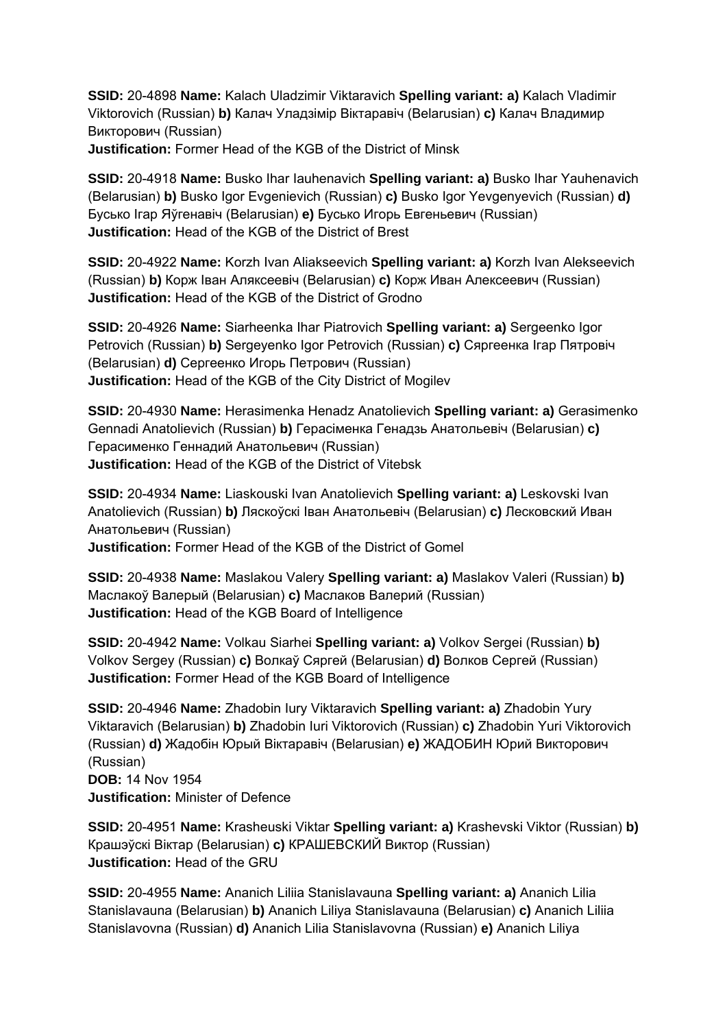**SSID:** 20-4898 **Name:** Kalach Uladzimir Viktaravich **Spelling variant: a)** Kalach Vladimir Viktorovich (Russian) **b)** Калач Уладзімір Віктаравіч (Belarusian) **c)** Калач Владимир Викторович (Russian)

**Justification:** Former Head of the KGB of the District of Minsk

**SSID:** 20-4918 **Name:** Busko Ihar Iauhenavich **Spelling variant: a)** Busko Ihar Yauhenavich (Belarusian) **b)** Busko Igor Evgenievich (Russian) **c)** Busko Igor Yevgenyevich (Russian) **d)**  Бусько Ігар Яўгенавіч (Belarusian) **e)** Бусько Игорь Евгеньевич (Russian) **Justification:** Head of the KGB of the District of Brest

**SSID:** 20-4922 **Name:** Korzh Ivan Aliakseevich **Spelling variant: a)** Korzh Ivan Alekseevich (Russian) **b)** Корж Іван Аляксеевіч (Belarusian) **c)** Корж Иван Алексеевич (Russian) **Justification:** Head of the KGB of the District of Grodno

**SSID:** 20-4926 **Name:** Siarheenka Ihar Piatrovich **Spelling variant: a)** Sergeenko Igor Petrovich (Russian) **b)** Sergeyenko Igor Petrovich (Russian) **c)** Сяргеенка Ігар Пятровіч (Belarusian) **d)** Сергеенко Игорь Петрович (Russian) **Justification:** Head of the KGB of the City District of Mogilev

**SSID:** 20-4930 **Name:** Herasimenka Henadz Anatolievich **Spelling variant: a)** Gerasimenko Gennadi Anatolievich (Russian) **b)** Герасіменка Генадзь Анатольевіч (Belarusian) **c)**  Герасименко Геннадий Анатольевич (Russian) **Justification:** Head of the KGB of the District of Vitebsk

**SSID:** 20-4934 **Name:** Liaskouski Ivan Anatolievich **Spelling variant: a)** Leskovski Ivan Anatolievich (Russian) **b)** Ляскоўскі Іван Анатольевіч (Belarusian) **c)** Лесковский Иван Анатольевич (Russian)

**Justification:** Former Head of the KGB of the District of Gomel

**SSID:** 20-4938 **Name:** Maslakou Valery **Spelling variant: a)** Maslakov Valeri (Russian) **b)**  Маслакоў Валерый (Belarusian) **c)** Маслаков Валерий (Russian) **Justification:** Head of the KGB Board of Intelligence

**SSID:** 20-4942 **Name:** Volkau Siarhei **Spelling variant: a)** Volkov Sergei (Russian) **b)**  Volkov Sergey (Russian) **c)** Волкаў Сяргей (Belarusian) **d)** Волков Сергей (Russian) **Justification:** Former Head of the KGB Board of Intelligence

**SSID:** 20-4946 **Name:** Zhadobin Iury Viktaravich **Spelling variant: a)** Zhadobin Yury Viktaravich (Belarusian) **b)** Zhadobin Iuri Viktorovich (Russian) **c)** Zhadobin Yuri Viktorovich (Russian) **d)** Жадобін Юрый Віктаравіч (Belarusian) **e)** ЖАДОБИН Юрий Викторович (Russian)

**DOB:** 14 Nov 1954 **Justification:** Minister of Defence

**SSID:** 20-4951 **Name:** Krasheuski Viktar **Spelling variant: a)** Krashevski Viktor (Russian) **b)**  Крашэўскі Віктар (Belarusian) **c)** КРАШЕВСКИЙ Виктор (Russian) **Justification:** Head of the GRU

**SSID:** 20-4955 **Name:** Ananich Liliia Stanislavauna **Spelling variant: a)** Ananich Lilia Stanislavauna (Belarusian) **b)** Ananich Liliya Stanislavauna (Belarusian) **c)** Ananich Liliia Stanislavovna (Russian) **d)** Ananich Lilia Stanislavovna (Russian) **e)** Ananich Liliya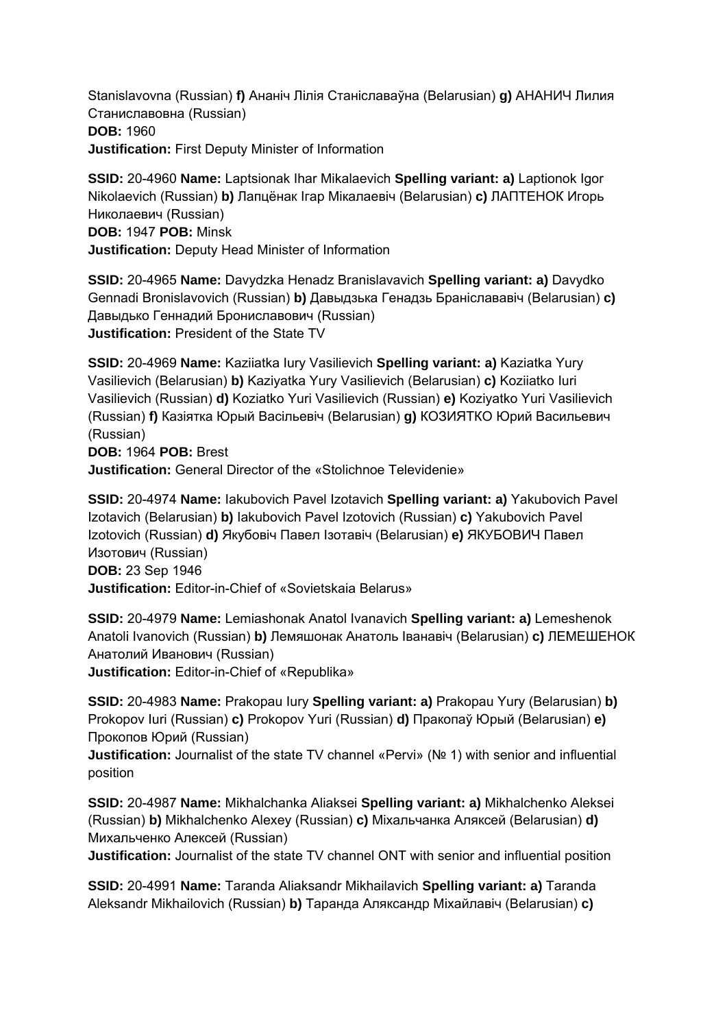Stanislavovna (Russian) **f)** Ананіч Лілія Станіславаўна (Belarusian) **g)** АНАНИЧ Лилия Станиславовна (Russian) **DOB:** 1960 **Justification:** First Deputy Minister of Information

**SSID:** 20-4960 **Name:** Laptsionak Ihar Mikalaevich **Spelling variant: a)** Laptionok Igor Nikolaevich (Russian) **b)** Лапцёнак Ігар Мікалаевіч (Belarusian) **c)** ЛАПТЕНОК Игорь Николаевич (Russian) **DOB:** 1947 **POB:** Minsk

**Justification:** Deputy Head Minister of Information

**SSID:** 20-4965 **Name:** Davydzka Henadz Branislavavich **Spelling variant: a)** Davydko Gennadi Bronislavovich (Russian) **b)** Давыдзька Генадзь Браніслававіч (Belarusian) **c)**  Давыдько Геннадий Брониславович (Russian) **Justification:** President of the State TV

**SSID:** 20-4969 **Name:** Kaziiatka Iury Vasilievich **Spelling variant: a)** Kaziatka Yury Vasilievich (Belarusian) **b)** Kaziyatka Yury Vasilievich (Belarusian) **c)** Koziiatko Iuri Vasilievich (Russian) **d)** Koziatko Yuri Vasilievich (Russian) **e)** Koziyatko Yuri Vasilievich (Russian) **f)** Казіятка Юрый Васільевіч (Belarusian) **g)** КОЗИЯТКО Юрий Васильевич (Russian)

**DOB:** 1964 **POB:** Brest

**Justification:** General Director of the «Stolichnoe Televidenie»

**SSID:** 20-4974 **Name:** Iakubovich Pavel Izotavich **Spelling variant: a)** Yakubovich Pavel Izotavich (Belarusian) **b)** Iakubovich Pavel Izotovich (Russian) **c)** Yakubovich Pavel Izotovich (Russian) **d)** Якубовіч Павел Ізотавіч (Belarusian) **e)** ЯКУБОВИЧ Павел Изотович (Russian) **DOB:** 23 Sep 1946 **Justification:** Editor-in-Chief of «Sovietskaia Belarus»

**SSID:** 20-4979 **Name:** Lemiashonak Anatol Ivanavich **Spelling variant: a)** Lemeshenok Anatoli Ivanovich (Russian) **b)** Лемяшонак Анатоль Іванавіч (Belarusian) **c)** ЛЕМЕШЕНОК Анатолий Иванович (Russian)

**Justification:** Editor-in-Chief of «Republika»

**SSID:** 20-4983 **Name:** Prakopau Iury **Spelling variant: a)** Prakopau Yury (Belarusian) **b)**  Prokopov Iuri (Russian) **c)** Prokopov Yuri (Russian) **d)** Пракопаў Юрый (Belarusian) **e)**  Прокопов Юрий (Russian)

**Justification:** Journalist of the state TV channel «Pervi» (№ 1) with senior and influential position

**SSID:** 20-4987 **Name:** Mikhalchanka Aliaksei **Spelling variant: a)** Mikhalchenko Aleksei (Russian) **b)** Mikhalchenko Alexey (Russian) **c)** Міхальчанка Аляксей (Belarusian) **d)**  Михальченко Алексей (Russian)

**Justification:** Journalist of the state TV channel ONT with senior and influential position

**SSID:** 20-4991 **Name:** Taranda Aliaksandr Mikhailavich **Spelling variant: a)** Taranda Aleksandr Mikhailovich (Russian) **b)** Таранда Аляксандр Міхайлавіч (Belarusian) **c)**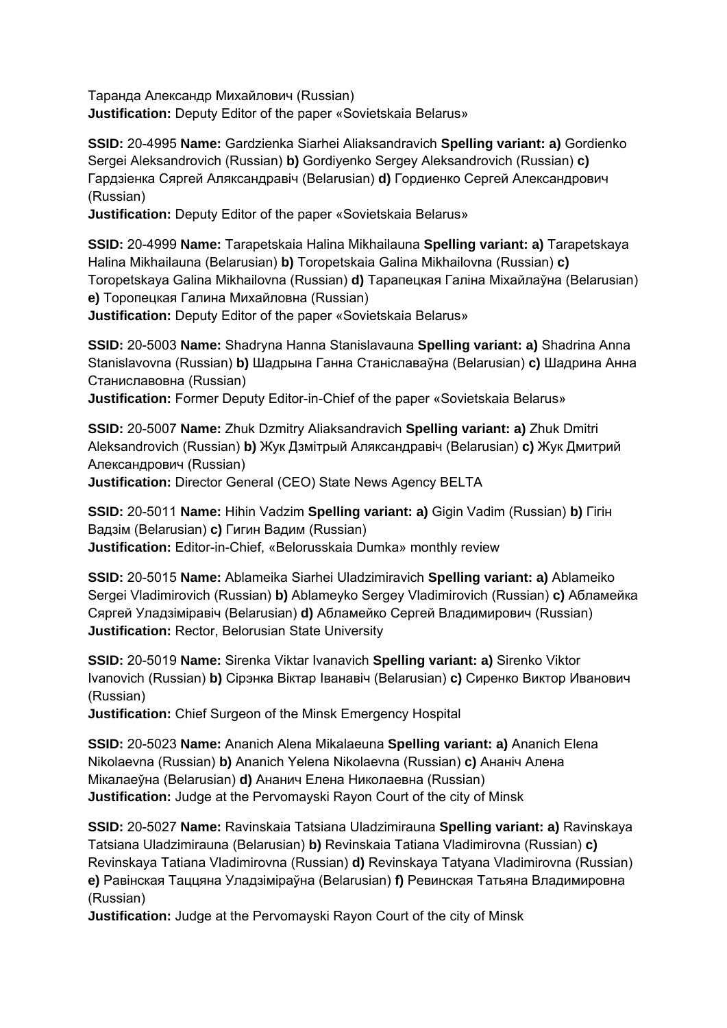Таранда Александр Михайлович (Russian) **Justification:** Deputy Editor of the paper «Sovietskaia Belarus»

**SSID:** 20-4995 **Name:** Gardzienka Siarhei Aliaksandravich **Spelling variant: a)** Gordienko Sergei Aleksandrovich (Russian) **b)** Gordiyenko Sergey Aleksandrovich (Russian) **c)**  Гардзіенка Сяргей Аляксандравіч (Belarusian) **d)** Гордиенко Сергей Александрович (Russian)

**Justification:** Deputy Editor of the paper «Sovietskaia Belarus»

**SSID:** 20-4999 **Name:** Tarapetskaia Halina Mikhailauna **Spelling variant: a)** Tarapetskaya Halina Mikhailauna (Belarusian) **b)** Toropetskaia Galina Mikhailovna (Russian) **c)**  Toropetskaya Galina Mikhailovna (Russian) **d)** Тарапецкая Галіна Міхайлаўна (Belarusian) **e)** Торопецкая Галина Михайловна (Russian)

**Justification:** Deputy Editor of the paper «Sovietskaia Belarus»

**SSID:** 20-5003 **Name:** Shadryna Hanna Stanislavauna **Spelling variant: a)** Shadrina Anna Stanislavovna (Russian) **b)** Шадрына Ганна Станіславаўна (Belarusian) **c)** Шадрина Анна Станиславовна (Russian)

**Justification:** Former Deputy Editor-in-Chief of the paper «Sovietskaia Belarus»

**SSID:** 20-5007 **Name:** Zhuk Dzmitry Aliaksandravich **Spelling variant: a)** Zhuk Dmitri Aleksandrovich (Russian) **b)** Жук Дзмітрый Аляксандравіч (Belarusian) **c)** Жук Дмитрий Александрович (Russian)

**Justification:** Director General (CEO) State News Agency BELTA

**SSID:** 20-5011 **Name:** Hihin Vadzim **Spelling variant: a)** Gigin Vadim (Russian) **b)** Гігін Вадзім (Belarusian) **c)** Гигин Вадим (Russian) **Justification:** Editor-in-Chief, «Belorusskaia Dumka» monthly review

**SSID:** 20-5015 **Name:** Ablameika Siarhei Uladzimiravich **Spelling variant: a)** Ablameiko Sergei Vladimirovich (Russian) **b)** Ablameyko Sergey Vladimirovich (Russian) **c)** Абламейка Сяргей Уладзіміравіч (Belarusian) **d)** Абламейко Сергей Владимирович (Russian) **Justification:** Rector, Belorusian State University

**SSID:** 20-5019 **Name:** Sirenka Viktar Ivanavich **Spelling variant: a)** Sirenko Viktor Ivanovich (Russian) **b)** Сірэнка Віктар Іванавіч (Belarusian) **c)** Сиренко Виктор Иванович (Russian)

**Justification:** Chief Surgeon of the Minsk Emergency Hospital

**SSID:** 20-5023 **Name:** Ananich Alena Mikalaeuna **Spelling variant: a)** Ananich Elena Nikolaevna (Russian) **b)** Ananich Yelena Nikolaevna (Russian) **c)** Ананіч Алена Мікалаеўна (Belarusian) **d)** Ананич Елена Николаевна (Russian) **Justification:** Judge at the Pervomayski Rayon Court of the city of Minsk

**SSID:** 20-5027 **Name:** Ravinskaia Tatsiana Uladzimirauna **Spelling variant: a)** Ravinskaya Tatsiana Uladzimirauna (Belarusian) **b)** Revinskaia Tatiana Vladimirovna (Russian) **c)**  Revinskaya Tatiana Vladimirovna (Russian) **d)** Revinskaya Tatyana Vladimirovna (Russian) **e)** Равінская Таццяна Уладзіміраўна (Belarusian) **f)** Ревинская Татьяна Владимировна (Russian)

**Justification:** Judge at the Pervomayski Rayon Court of the city of Minsk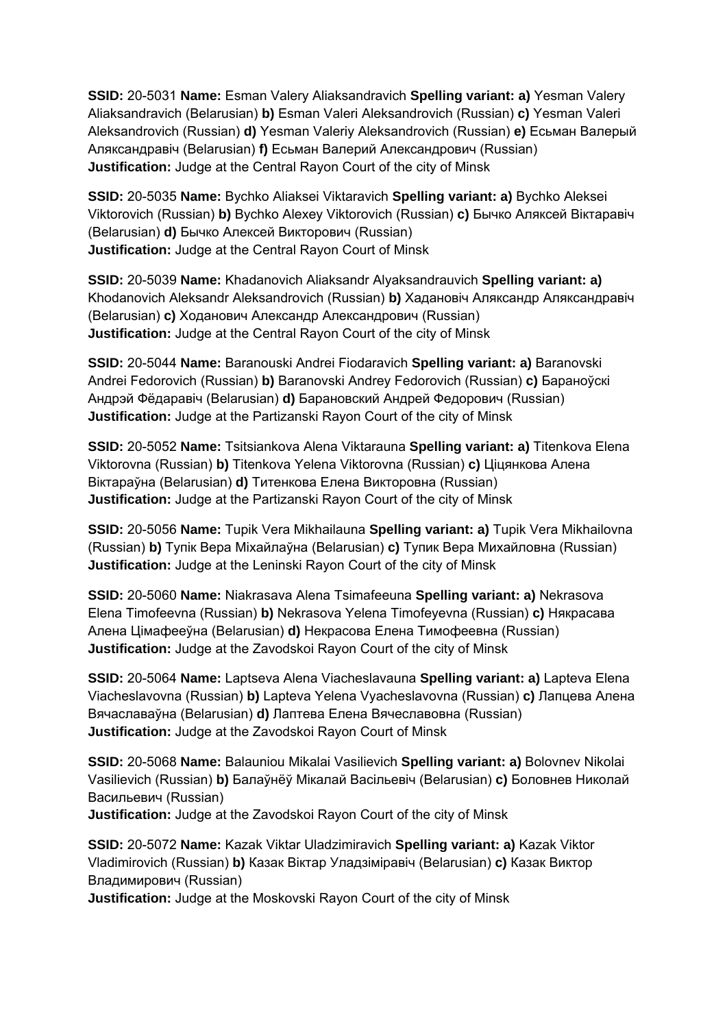**SSID:** 20-5031 **Name:** Esman Valery Aliaksandravich **Spelling variant: a)** Yesman Valery Aliaksandravich (Belarusian) **b)** Esman Valeri Aleksandrovich (Russian) **c)** Yesman Valeri Aleksandrovich (Russian) **d)** Yesman Valeriy Aleksandrovich (Russian) **e)** Есьман Валерый Аляксандравіч (Belarusian) **f)** Есьман Валерий Александрович (Russian) **Justification:** Judge at the Central Rayon Court of the city of Minsk

**SSID:** 20-5035 **Name:** Bychko Aliaksei Viktaravich **Spelling variant: a)** Bychko Aleksei Viktorovich (Russian) **b)** Bychko Alexey Viktorovich (Russian) **c)** Бычко Аляксей Віктаравіч (Belarusian) **d)** Бычко Алексей Викторович (Russian) **Justification:** Judge at the Central Rayon Court of Minsk

**SSID:** 20-5039 **Name:** Khadanovich Aliaksandr Alyaksandrauvich **Spelling variant: a)**  Khodanovich Aleksandr Aleksandrovich (Russian) **b)** Хадановіч Аляксандр Аляксандравіч (Belarusian) **c)** Ходанович Александр Александрович (Russian) **Justification:** Judge at the Central Rayon Court of the city of Minsk

**SSID:** 20-5044 **Name:** Baranouski Andrei Fiodaravich **Spelling variant: a)** Baranovski Andrei Fedorovich (Russian) **b)** Baranovski Andrey Fedorovich (Russian) **c)** Бараноўскі Андрэй Фёдаравіч (Belarusian) **d)** Барановский Андрей Федорович (Russian) **Justification:** Judge at the Partizanski Rayon Court of the city of Minsk

**SSID:** 20-5052 **Name:** Tsitsiankova Alena Viktarauna **Spelling variant: a)** Titenkova Elena Viktorovna (Russian) **b)** Titenkova Yelena Viktorovna (Russian) **c)** Ціцянкова Алена Віктараўна (Belarusian) **d)** Титенкова Елена Викторовна (Russian) **Justification:** Judge at the Partizanski Rayon Court of the city of Minsk

**SSID:** 20-5056 **Name:** Tupik Vera Mikhailauna **Spelling variant: a)** Tupik Vera Mikhailovna (Russian) **b)** Тупік Вера Міхайлаўна (Belarusian) **c)** Тупик Вера Михайловна (Russian) **Justification:** Judge at the Leninski Rayon Court of the city of Minsk

**SSID:** 20-5060 **Name:** Niakrasava Alena Tsimafeeuna **Spelling variant: a)** Nekrasova Elena Timofeevna (Russian) **b)** Nekrasova Yelena Timofeyevna (Russian) **c)** Някрасава Алена Цімафееўна (Belarusian) **d)** Некрасова Елена Тимофеевна (Russian) **Justification:** Judge at the Zavodskoi Rayon Court of the city of Minsk

**SSID:** 20-5064 **Name:** Laptseva Alena Viacheslavauna **Spelling variant: a)** Lapteva Elena Viacheslavovna (Russian) **b)** Lapteva Yelena Vyacheslavovna (Russian) **c)** Лапцева Алена Вячаславаўна (Belarusian) **d)** Лаптева Елена Вячеславовна (Russian) **Justification:** Judge at the Zavodskoi Rayon Court of Minsk

**SSID:** 20-5068 **Name:** Balauniou Mikalai Vasilievich **Spelling variant: a)** Bolovnev Nikolai Vasilievich (Russian) **b)** Балаўнёў Мікалай Васільевіч (Belarusian) **c)** Боловнев Николай Васильевич (Russian)

**Justification:** Judge at the Zavodskoi Rayon Court of the city of Minsk

**SSID:** 20-5072 **Name:** Kazak Viktar Uladzimiravich **Spelling variant: a)** Kazak Viktor Vladimirovich (Russian) **b)** Казак Віктар Уладзіміравіч (Belarusian) **c)** Казак Виктор Владимирович (Russian)

**Justification:** Judge at the Moskovski Rayon Court of the city of Minsk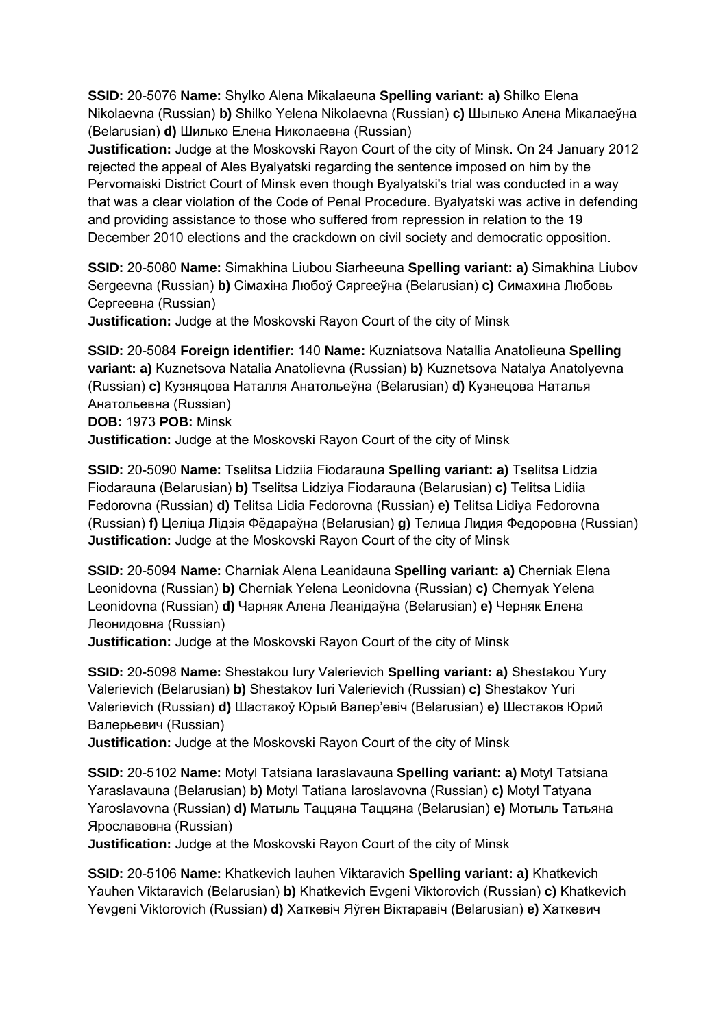**SSID:** 20-5076 **Name:** Shylko Alena Mikalaeuna **Spelling variant: a)** Shilko Elena Nikolaevna (Russian) **b)** Shilko Yelena Nikolaevna (Russian) **c)** Шылько Алена Мікалаеўна (Belarusian) **d)** Шилько Елена Николаевна (Russian)

**Justification:** Judge at the Moskovski Rayon Court of the city of Minsk. On 24 January 2012 rejected the appeal of Ales Byalyatski regarding the sentence imposed on him by the Pervomaiski District Court of Minsk even though Byalyatski's trial was conducted in a way that was a clear violation of the Code of Penal Procedure. Byalyatski was active in defending and providing assistance to those who suffered from repression in relation to the 19 December 2010 elections and the crackdown on civil society and democratic opposition.

**SSID:** 20-5080 **Name:** Simakhina Liubou Siarheeuna **Spelling variant: a)** Simakhina Liubov Sergeevna (Russian) **b)** Сімахіна Любоў Сяргееўна (Belarusian) **c)** Симахина Любовь Сергеевна (Russian)

**Justification:** Judge at the Moskovski Rayon Court of the city of Minsk

**SSID:** 20-5084 **Foreign identifier:** 140 **Name:** Kuzniatsova Natallia Anatolieuna **Spelling variant: a)** Kuznetsova Natalia Anatolievna (Russian) **b)** Kuznetsova Natalya Anatolyevna (Russian) **c)** Кузняцова Наталля Анатольеўна (Belarusian) **d)** Кузнецова Наталья Анатольевна (Russian) **DOB:** 1973 **POB:** Minsk **Justification:** Judge at the Moskovski Rayon Court of the city of Minsk

**SSID:** 20-5090 **Name:** Tselitsa Lidziia Fiodarauna **Spelling variant: a)** Tselitsa Lidzia Fiodarauna (Belarusian) **b)** Tselitsa Lidziya Fiodarauna (Belarusian) **c)** Telitsa Lidiia Fedorovna (Russian) **d)** Telitsa Lidia Fedorovna (Russian) **e)** Telitsa Lidiya Fedorovna (Russian) **f)** Целіца Лідзія Фёдараўна (Belarusian) **g)** Телица Лидия Федоровна (Russian) **Justification:** Judge at the Moskovski Rayon Court of the city of Minsk

**SSID:** 20-5094 **Name:** Charniak Alena Leanidauna **Spelling variant: a)** Cherniak Elena Leonidovna (Russian) **b)** Cherniak Yelena Leonidovna (Russian) **c)** Chernyak Yelena Leonidovna (Russian) **d)** Чарняк Алена Леанідаўна (Belarusian) **e)** Черняк Елена Леонидовна (Russian)

**Justification:** Judge at the Moskovski Rayon Court of the city of Minsk

**SSID:** 20-5098 **Name:** Shestakou Iury Valerievich **Spelling variant: a)** Shestakou Yury Valerievich (Belarusian) **b)** Shestakov Iuri Valerievich (Russian) **c)** Shestakov Yuri Valerievich (Russian) **d)** Шастакоў Юрый Валер'евіч (Belarusian) **e)** Шестаков Юрий Валерьевич (Russian)

**Justification:** Judge at the Moskovski Rayon Court of the city of Minsk

**SSID:** 20-5102 **Name:** Motyl Tatsiana Iaraslavauna **Spelling variant: a)** Motyl Tatsiana Yaraslavauna (Belarusian) **b)** Motyl Tatiana Iaroslavovna (Russian) **c)** Motyl Tatyana Yaroslavovna (Russian) **d)** Матыль Таццяна Таццяна (Belarusian) **e)** Мотыль Татьяна Ярославовна (Russian)

**Justification:** Judge at the Moskovski Rayon Court of the city of Minsk

**SSID:** 20-5106 **Name:** Khatkevich Iauhen Viktaravich **Spelling variant: a)** Khatkevich Yauhen Viktaravich (Belarusian) **b)** Khatkevich Evgeni Viktorovich (Russian) **c)** Khatkevich Yevgeni Viktorovich (Russian) **d)** Хаткевіч Яўген Віктаравіч (Belarusian) **e)** Хаткевич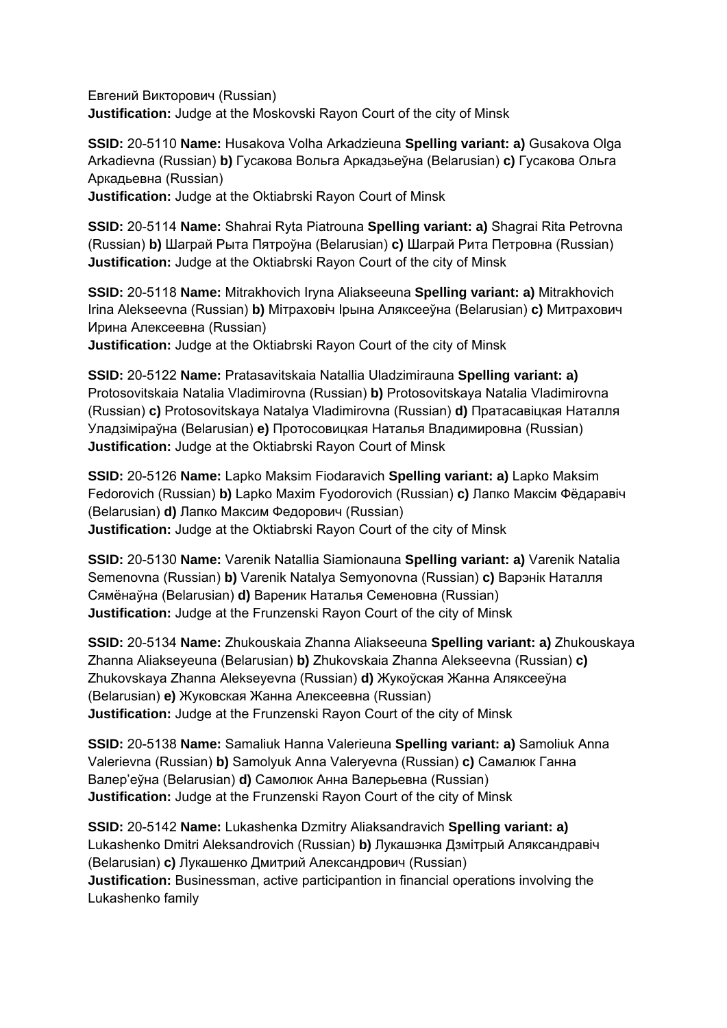Евгений Викторович (Russian) **Justification:** Judge at the Moskovski Rayon Court of the city of Minsk

**SSID:** 20-5110 **Name:** Husakova Volha Arkadzieuna **Spelling variant: a)** Gusakova Olga Arkadievna (Russian) **b)** Гусакова Вольга Аркадзьеўна (Belarusian) **c)** Гусакова Ольга Аркадьевна (Russian)

**Justification:** Judge at the Oktiabrski Rayon Court of Minsk

**SSID:** 20-5114 **Name:** Shahrai Ryta Piatrouna **Spelling variant: a)** Shagrai Rita Petrovna (Russian) **b)** Шаграй Рыта Пятроўна (Belarusian) **c)** Шаграй Рита Петровна (Russian) **Justification:** Judge at the Oktiabrski Rayon Court of the city of Minsk

**SSID:** 20-5118 **Name:** Mitrakhovich Iryna Aliakseeuna **Spelling variant: a)** Mitrakhovich Irina Alekseevna (Russian) **b)** Мітраховіч Ірына Аляксееўна (Belarusian) **c)** Митрахович Ирина Алексеевна (Russian)

**Justification:** Judge at the Oktiabrski Rayon Court of the city of Minsk

**SSID:** 20-5122 **Name:** Pratasavitskaia Natallia Uladzimirauna **Spelling variant: a)**  Protosovitskaia Natalia Vladimirovna (Russian) **b)** Protosovitskaya Natalia Vladimirovna (Russian) **c)** Protosovitskaya Natalya Vladimirovna (Russian) **d)** Пратасавіцкая Наталля Уладзіміраўна (Belarusian) **e)** Протосовицкая Наталья Владимировна (Russian) **Justification:** Judge at the Oktiabrski Rayon Court of Minsk

**SSID:** 20-5126 **Name:** Lapko Maksim Fiodaravich **Spelling variant: a)** Lapko Maksim Fedorovich (Russian) **b)** Lapko Maxim Fyodorovich (Russian) **c)** Лапко Максім Фёдаравіч (Belarusian) **d)** Лапко Максим Федорович (Russian) **Justification:** Judge at the Oktiabrski Rayon Court of the city of Minsk

**SSID:** 20-5130 **Name:** Varenik Natallia Siamionauna **Spelling variant: a)** Varenik Natalia Semenovna (Russian) **b)** Varenik Natalya Semyonovna (Russian) **c)** Варэнік Наталля Сямёнаўна (Belarusian) **d)** Вареник Наталья Семеновна (Russian) **Justification:** Judge at the Frunzenski Rayon Court of the city of Minsk

**SSID:** 20-5134 **Name:** Zhukouskaia Zhanna Aliakseeuna **Spelling variant: a)** Zhukouskaya Zhanna Aliakseyeuna (Belarusian) **b)** Zhukovskaia Zhanna Alekseevna (Russian) **c)**  Zhukovskaya Zhanna Alekseyevna (Russian) **d)** Жукоўская Жанна Аляксееўна (Belarusian) **e)** Жуковская Жанна Алексеевна (Russian) **Justification:** Judge at the Frunzenski Rayon Court of the city of Minsk

**SSID:** 20-5138 **Name:** Samaliuk Hanna Valerieuna **Spelling variant: a)** Samoliuk Anna Valerievna (Russian) **b)** Samolyuk Anna Valeryevna (Russian) **c)** Самалюк Ганна Валер'еўна (Belarusian) **d)** Самолюк Анна Валерьевна (Russian) **Justification:** Judge at the Frunzenski Rayon Court of the city of Minsk

**SSID:** 20-5142 **Name:** Lukashenka Dzmitry Aliaksandravich **Spelling variant: a)**  Lukashenko Dmitri Aleksandrovich (Russian) **b)** Лукашэнка Дзмітрый Аляксандравіч (Belarusian) **c)** Лукашенко Дмитрий Александрович (Russian) **Justification:** Businessman, active participantion in financial operations involving the Lukashenko family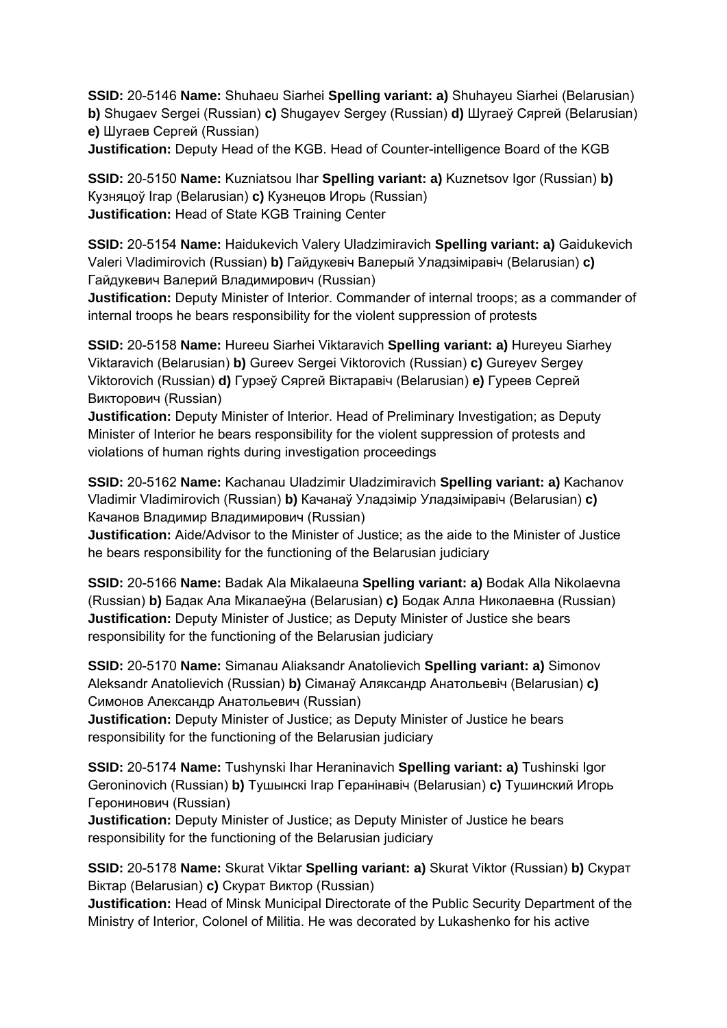**SSID:** 20-5146 **Name:** Shuhaeu Siarhei **Spelling variant: a)** Shuhayeu Siarhei (Belarusian) **b)** Shugaev Sergei (Russian) **c)** Shugayev Sergey (Russian) **d)** Шугаеў Сяргей (Belarusian) **e)** Шугаев Сергей (Russian) **Justification:** Deputy Head of the KGB. Head of Counter-intelligence Board of the KGB

**SSID:** 20-5150 **Name:** Kuzniatsou Ihar **Spelling variant: a)** Kuznetsov Igor (Russian) **b)**  Кузняцоў Ігар (Belarusian) **c)** Кузнецов Игорь (Russian) **Justification:** Head of State KGB Training Center

**SSID:** 20-5154 **Name:** Haidukevich Valery Uladzimiravich **Spelling variant: a)** Gaidukevich Valeri Vladimirovich (Russian) **b)** Гайдукевіч Валерый Уладзіміравіч (Belarusian) **c)**  Гайдукевич Валерий Владимирович (Russian)

**Justification:** Deputy Minister of Interior. Commander of internal troops; as a commander of internal troops he bears responsibility for the violent suppression of protests

**SSID:** 20-5158 **Name:** Hureeu Siarhei Viktaravich **Spelling variant: a)** Hureyeu Siarhey Viktaravich (Belarusian) **b)** Gureev Sergei Viktorovich (Russian) **c)** Gureyev Sergey Viktorovich (Russian) **d)** Гурэеў Сяргей Віктаравіч (Belarusian) **e)** Гуреев Сергей Викторович (Russian)

**Justification:** Deputy Minister of Interior. Head of Preliminary Investigation; as Deputy Minister of Interior he bears responsibility for the violent suppression of protests and violations of human rights during investigation proceedings

**SSID:** 20-5162 **Name:** Kachanau Uladzimir Uladzimiravich **Spelling variant: a)** Kachanov Vladimir Vladimirovich (Russian) **b)** Качанаў Уладзімір Уладзіміравіч (Belarusian) **c)**  Качанов Владимир Владимирович (Russian)

**Justification:** Aide/Advisor to the Minister of Justice; as the aide to the Minister of Justice he bears responsibility for the functioning of the Belarusian judiciary

**SSID:** 20-5166 **Name:** Badak Ala Mikalaeuna **Spelling variant: a)** Bodak Alla Nikolaevna (Russian) **b)** Бадак Ала Мікалаеўна (Belarusian) **c)** Бодак Алла Николаевна (Russian) **Justification:** Deputy Minister of Justice; as Deputy Minister of Justice she bears responsibility for the functioning of the Belarusian judiciary

**SSID:** 20-5170 **Name:** Simanau Aliaksandr Anatolievich **Spelling variant: a)** Simonov Aleksandr Anatolievich (Russian) **b)** Сіманаў Аляксандр Анатольевіч (Belarusian) **c)**  Симонов Александр Анатольевич (Russian)

**Justification:** Deputy Minister of Justice; as Deputy Minister of Justice he bears responsibility for the functioning of the Belarusian judiciary

**SSID:** 20-5174 **Name:** Tushynski Ihar Heraninavich **Spelling variant: a)** Tushinski Igor Geroninovich (Russian) **b)** Тушынскі Ігар Геранінавіч (Belarusian) **c)** Тушинский Игорь Геронинович (Russian)

**Justification:** Deputy Minister of Justice; as Deputy Minister of Justice he bears responsibility for the functioning of the Belarusian judiciary

**SSID:** 20-5178 **Name:** Skurat Viktar **Spelling variant: a)** Skurat Viktor (Russian) **b)** Скурат Віктар (Belarusian) **c)** Скурат Виктор (Russian)

**Justification:** Head of Minsk Municipal Directorate of the Public Security Department of the Ministry of Interior, Colonel of Militia. He was decorated by Lukashenko for his active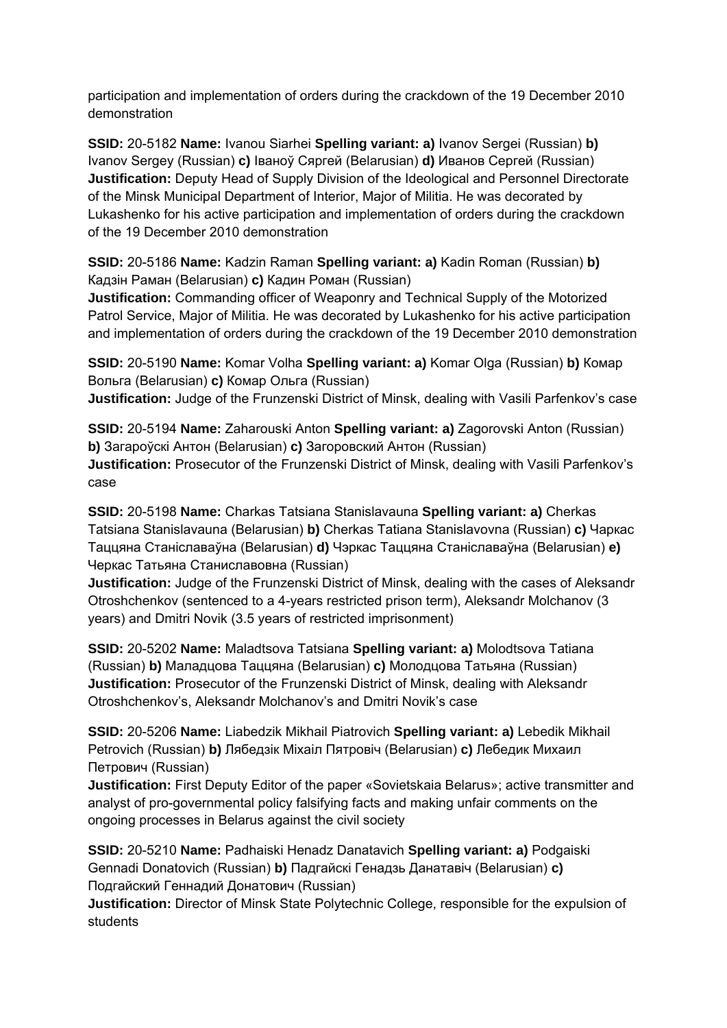participation and implementation of orders during the crackdown of the 19 December 2010 demonstration

**SSID:** 20-5182 **Name:** Ivanou Siarhei **Spelling variant: a)** Ivanov Sergei (Russian) **b)**  Ivanov Sergey (Russian) **c)** Іваноў Сяргей (Belarusian) **d)** Иванов Сергей (Russian) **Justification:** Deputy Head of Supply Division of the Ideological and Personnel Directorate of the Minsk Municipal Department of Interior, Major of Militia. He was decorated by Lukashenko for his active participation and implementation of orders during the crackdown of the 19 December 2010 demonstration

**SSID:** 20-5186 **Name:** Kadzin Raman **Spelling variant: a)** Kadin Roman (Russian) **b)**  Кадзін Раман (Belarusian) **c)** Кадин Роман (Russian)

**Justification:** Commanding officer of Weaponry and Technical Supply of the Motorized Patrol Service, Major of Militia. He was decorated by Lukashenko for his active participation and implementation of orders during the crackdown of the 19 December 2010 demonstration

**SSID:** 20-5190 **Name:** Komar Volha **Spelling variant: a)** Komar Olga (Russian) **b)** Комар Вольга (Belarusian) **c)** Комар Ольга (Russian)

**Justification:** Judge of the Frunzenski District of Minsk, dealing with Vasili Parfenkov's case

**SSID:** 20-5194 **Name:** Zaharouski Anton **Spelling variant: a)** Zagorovski Anton (Russian) **b)** Загароўскі Антон (Belarusian) **c)** Загоровский Антон (Russian) **Justification:** Prosecutor of the Frunzenski District of Minsk, dealing with Vasili Parfenkov's case

**SSID:** 20-5198 **Name:** Charkas Tatsiana Stanislavauna **Spelling variant: a)** Cherkas Tatsiana Stanislavauna (Belarusian) **b)** Cherkas Tatiana Stanislavovna (Russian) **c)** Чаркас Таццяна Станіславаўна (Belarusian) **d)** Чэркас Таццяна Станіславаўна (Belarusian) **e)**  Черкас Татьяна Станиславовна (Russian)

**Justification:** Judge of the Frunzenski District of Minsk, dealing with the cases of Aleksandr Otroshchenkov (sentenced to a 4-years restricted prison term), Aleksandr Molchanov (3 years) and Dmitri Novik (3.5 years of restricted imprisonment)

**SSID:** 20-5202 **Name:** Maladtsova Tatsiana **Spelling variant: a)** Molodtsova Tatiana (Russian) **b)** Маладцова Таццяна (Belarusian) **c)** Молодцова Татьяна (Russian) **Justification:** Prosecutor of the Frunzenski District of Minsk, dealing with Aleksandr Otroshchenkov's, Aleksandr Molchanov's and Dmitri Novik's case

**SSID:** 20-5206 **Name:** Liabedzik Mikhail Piatrovich **Spelling variant: a)** Lebedik Mikhail Petrovich (Russian) **b)** Лябедзiк Мiхаiл Пятровiч (Belarusian) **c)** Лебедик Михаил Петрович (Russian)

**Justification:** First Deputy Editor of the paper «Sovietskaia Belarus»; active transmitter and analyst of pro-governmental policy falsifying facts and making unfair comments on the ongoing processes in Belarus against the civil society

**SSID:** 20-5210 **Name:** Padhaiski Henadz Danatavich **Spelling variant: a)** Podgaiski Gennadi Donatovich (Russian) **b)** Падгайскі Генадзь Данатавіч (Belarusian) **c)**  Подгайский Геннадий Донатович (Russian)

**Justification:** Director of Minsk State Polytechnic College, responsible for the expulsion of students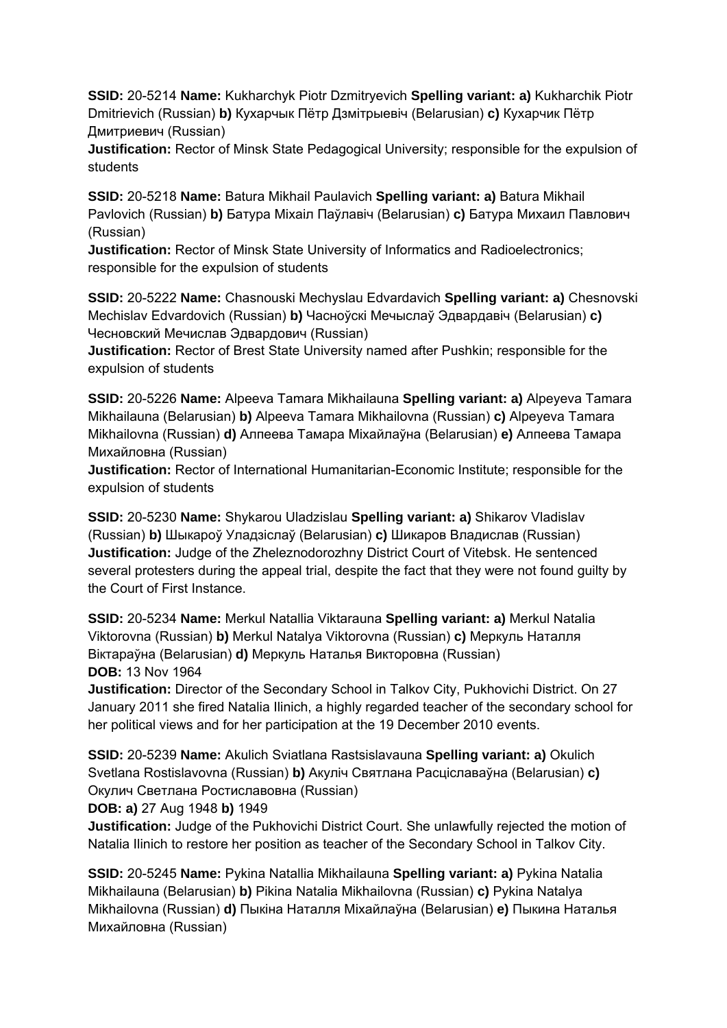**SSID:** 20-5214 **Name:** Kukharchyk Piotr Dzmitryevich **Spelling variant: a)** Kukharchik Piotr Dmitrievich (Russian) **b)** Кухарчык Пётр Дзмітрыевіч (Belarusian) **c)** Кухарчик Пётр Дмитриевич (Russian)

**Justification:** Rector of Minsk State Pedagogical University; responsible for the expulsion of students

**SSID:** 20-5218 **Name:** Batura Mikhail Paulavich **Spelling variant: a)** Batura Mikhail Pavlovich (Russian) **b)** Батура Міхаіл Паўлавіч (Belarusian) **c)** Батура Михаил Павлович (Russian)

**Justification:** Rector of Minsk State University of Informatics and Radioelectronics; responsible for the expulsion of students

**SSID:** 20-5222 **Name:** Chasnouski Mechyslau Edvardavich **Spelling variant: a)** Chesnovski Mechislav Edvardovich (Russian) **b)** Часноўскі Мечыслаў Эдвардавіч (Belarusian) **c)**  Чесновский Мечислав Эдвардович (Russian)

**Justification:** Rector of Brest State University named after Pushkin; responsible for the expulsion of students

**SSID:** 20-5226 **Name:** Alpeeva Tamara Mikhailauna **Spelling variant: a)** Alpeyeva Tamara Mikhailauna (Belarusian) **b)** Alpeeva Tamara Mikhailovna (Russian) **c)** Alpeyeva Tamara Mikhailovna (Russian) **d)** Алпеева Тамара Міхайлаўна (Belarusian) **e)** Алпеева Тамара Михайловна (Russian)

**Justification:** Rector of International Humanitarian-Economic Institute; responsible for the expulsion of students

**SSID:** 20-5230 **Name:** Shykarou Uladzislau **Spelling variant: a)** Shikarov Vladislav (Russian) **b)** Шыкароў Уладзіслаў (Belarusian) **c)** Шикаров Владислав (Russian) **Justification:** Judge of the Zheleznodorozhny District Court of Vitebsk. He sentenced several protesters during the appeal trial, despite the fact that they were not found guilty by the Court of First Instance.

**SSID:** 20-5234 **Name:** Merkul Natallia Viktarauna **Spelling variant: a)** Merkul Natalia Viktorovna (Russian) **b)** Merkul Natalya Viktorovna (Russian) **c)** Меркуль Наталля Віктараўна (Belarusian) **d)** Меркуль Наталья Викторовна (Russian) **DOB:** 13 Nov 1964

**Justification:** Director of the Secondary School in Talkov City, Pukhovichi District. On 27 January 2011 she fired Natalia Ilinich, a highly regarded teacher of the secondary school for her political views and for her participation at the 19 December 2010 events.

**SSID:** 20-5239 **Name:** Akulich Sviatlana Rastsislavauna **Spelling variant: a)** Okulich Svetlana Rostislavovna (Russian) **b)** Акуліч Святлана Расціславаўна (Belarusian) **c)**  Окулич Светлана Ростиславовна (Russian)

**DOB: a)** 27 Aug 1948 **b)** 1949

**Justification:** Judge of the Pukhovichi District Court. She unlawfully rejected the motion of Natalia Ilinich to restore her position as teacher of the Secondary School in Talkov City.

**SSID:** 20-5245 **Name:** Pykina Natallia Mikhailauna **Spelling variant: a)** Pykina Natalia Mikhailauna (Belarusian) **b)** Pikina Natalia Mikhailovna (Russian) **c)** Pykina Natalya Mikhailovna (Russian) **d)** Пыкіна Наталля Міхайлаўна (Belarusian) **e)** Пыкина Наталья Михайловна (Russian)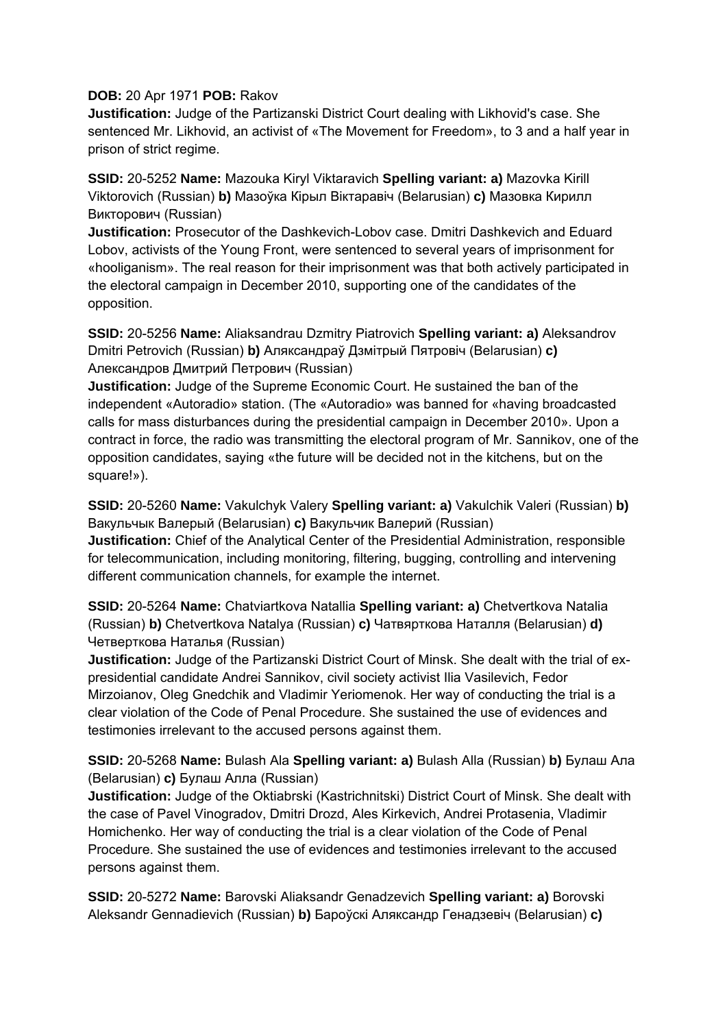#### **DOB:** 20 Apr 1971 **POB:** Rakov

**Justification:** Judge of the Partizanski District Court dealing with Likhovid's case. She sentenced Mr. Likhovid, an activist of «The Movement for Freedom», to 3 and a half year in prison of strict regime.

**SSID:** 20-5252 **Name:** Mazouka Kiryl Viktaravich **Spelling variant: a)** Mazovka Kirill Viktorovich (Russian) **b)** Мазоўка Кiрыл Вiктаравiч (Belarusian) **c)** Мазовка Кирилл Викторович (Russian)

**Justification:** Prosecutor of the Dashkevich-Lobov case. Dmitri Dashkevich and Eduard Lobov, activists of the Young Front, were sentenced to several years of imprisonment for «hooliganism». The real reason for their imprisonment was that both actively participated in the electoral campaign in December 2010, supporting one of the candidates of the opposition.

**SSID:** 20-5256 **Name:** Aliaksandrau Dzmitry Piatrovich **Spelling variant: a)** Aleksandrov Dmitri Petrovich (Russian) **b)** Аляксандраў Дзмітрый Пятровіч (Belarusian) **c)**  Александров Дмитрий Петрович (Russian)

**Justification:** Judge of the Supreme Economic Court. He sustained the ban of the independent «Autoradio» station. (The «Autoradio» was banned for «having broadcasted calls for mass disturbances during the presidential campaign in December 2010». Upon a contract in force, the radio was transmitting the electoral program of Mr. Sannikov, one of the opposition candidates, saying «the future will be decided not in the kitchens, but on the square!»).

**SSID:** 20-5260 **Name:** Vakulchyk Valery **Spelling variant: a)** Vakulchik Valeri (Russian) **b)**  Вакульчык Валерый (Belarusian) **c)** Вакульчик Валерий (Russian)

**Justification:** Chief of the Analytical Center of the Presidential Administration, responsible for telecommunication, including monitoring, filtering, bugging, controlling and intervening different communication channels, for example the internet.

**SSID:** 20-5264 **Name:** Chatviartkova Natallia **Spelling variant: a)** Chetvertkova Natalia (Russian) **b)** Chetvertkova Natalya (Russian) **c)** Чатвярткова Наталля (Belarusian) **d)**  Четверткова Наталья (Russian)

**Justification:** Judge of the Partizanski District Court of Minsk. She dealt with the trial of expresidential candidate Andrei Sannikov, civil society activist Ilia Vasilevich, Fedor Mirzoianov, Oleg Gnedchik and Vladimir Yeriomenok. Her way of conducting the trial is a clear violation of the Code of Penal Procedure. She sustained the use of evidences and testimonies irrelevant to the accused persons against them.

# **SSID:** 20-5268 **Name:** Bulash Ala **Spelling variant: a)** Bulash Alla (Russian) **b)** Булаш Ала (Belarusian) **c)** Булаш Алла (Russian)

**Justification:** Judge of the Oktiabrski (Kastrichnitski) District Court of Minsk. She dealt with the case of Pavel Vinogradov, Dmitri Drozd, Ales Kirkevich, Andrei Protasenia, Vladimir Homichenko. Her way of conducting the trial is a clear violation of the Code of Penal Procedure. She sustained the use of evidences and testimonies irrelevant to the accused persons against them.

**SSID:** 20-5272 **Name:** Barovski Aliaksandr Genadzevich **Spelling variant: a)** Borovski Aleksandr Gennadievich (Russian) **b)** Бароўскі Аляксандр Генадзевіч (Belarusian) **c)**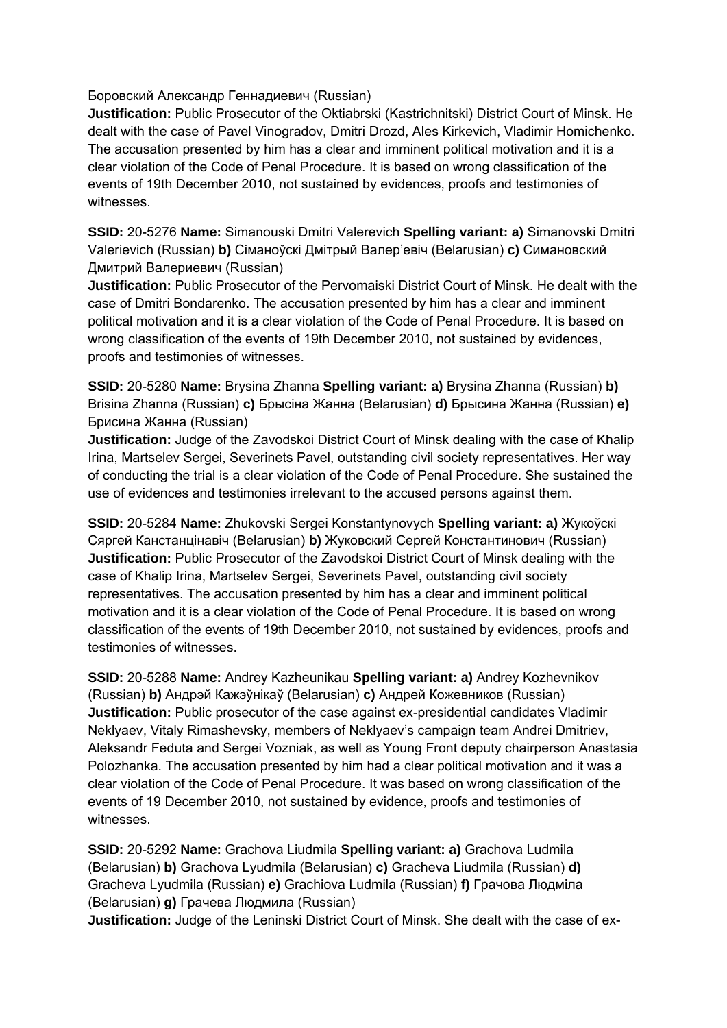Боровский Александр Геннадиевич (Russian)

**Justification:** Public Prosecutor of the Oktiabrski (Kastrichnitski) District Court of Minsk. He dealt with the case of Pavel Vinogradov, Dmitri Drozd, Ales Kirkevich, Vladimir Homichenko. The accusation presented by him has a clear and imminent political motivation and it is a clear violation of the Code of Penal Procedure. It is based on wrong classification of the events of 19th December 2010, not sustained by evidences, proofs and testimonies of witnesses.

**SSID:** 20-5276 **Name:** Simanouski Dmitri Valerevich **Spelling variant: a)** Simanovski Dmitri Valerievich (Russian) **b)** Сіманоўскі Дмітрый Валер'евіч (Belarusian) **c)** Симановский Дмитрий Валериевич (Russian)

**Justification:** Public Prosecutor of the Pervomaiski District Court of Minsk. He dealt with the case of Dmitri Bondarenko. The accusation presented by him has a clear and imminent political motivation and it is a clear violation of the Code of Penal Procedure. It is based on wrong classification of the events of 19th December 2010, not sustained by evidences, proofs and testimonies of witnesses.

**SSID:** 20-5280 **Name:** Brysina Zhanna **Spelling variant: a)** Brysina Zhanna (Russian) **b)**  Brisina Zhanna (Russian) **c)** Брысіна Жанна (Belarusian) **d)** Брысина Жанна (Russian) **e)**  Брисина Жанна (Russian)

**Justification:** Judge of the Zavodskoi District Court of Minsk dealing with the case of Khalip Irina, Martselev Sergei, Severinets Pavel, outstanding civil society representatives. Her way of conducting the trial is a clear violation of the Code of Penal Procedure. She sustained the use of evidences and testimonies irrelevant to the accused persons against them.

**SSID:** 20-5284 **Name:** Zhukovski Sergei Konstantynovych **Spelling variant: a)** Жукоўскі Сяргей Канстанцінавіч (Belarusian) **b)** Жуковский Сергей Константинович (Russian) **Justification:** Public Prosecutor of the Zavodskoi District Court of Minsk dealing with the case of Khalip Irina, Martselev Sergei, Severinets Pavel, outstanding civil society representatives. The accusation presented by him has a clear and imminent political motivation and it is a clear violation of the Code of Penal Procedure. It is based on wrong classification of the events of 19th December 2010, not sustained by evidences, proofs and testimonies of witnesses.

**SSID:** 20-5288 **Name:** Andrey Kazheunikau **Spelling variant: a)** Andrey Kozhevnikov (Russian) **b)** Андрэй Кажэўнікаў (Belarusian) **c)** Андрей Кожевников (Russian) **Justification:** Public prosecutor of the case against ex-presidential candidates Vladimir Neklyaev, Vitaly Rimashevsky, members of Neklyaev's campaign team Andrei Dmitriev, Aleksandr Feduta and Sergei Vozniak, as well as Young Front deputy chairperson Anastasia Polozhanka. The accusation presented by him had a clear political motivation and it was a clear violation of the Code of Penal Procedure. It was based on wrong classification of the events of 19 December 2010, not sustained by evidence, proofs and testimonies of witnesses.

**SSID:** 20-5292 **Name:** Grachova Liudmila **Spelling variant: a)** Grachova Ludmila (Belarusian) **b)** Grachova Lyudmila (Belarusian) **c)** Gracheva Liudmila (Russian) **d)**  Gracheva Lyudmila (Russian) **e)** Grachiova Ludmila (Russian) **f)** Грачова Людміла (Belarusian) **g)** Грачева Людмила (Russian)

**Justification:** Judge of the Leninski District Court of Minsk. She dealt with the case of ex-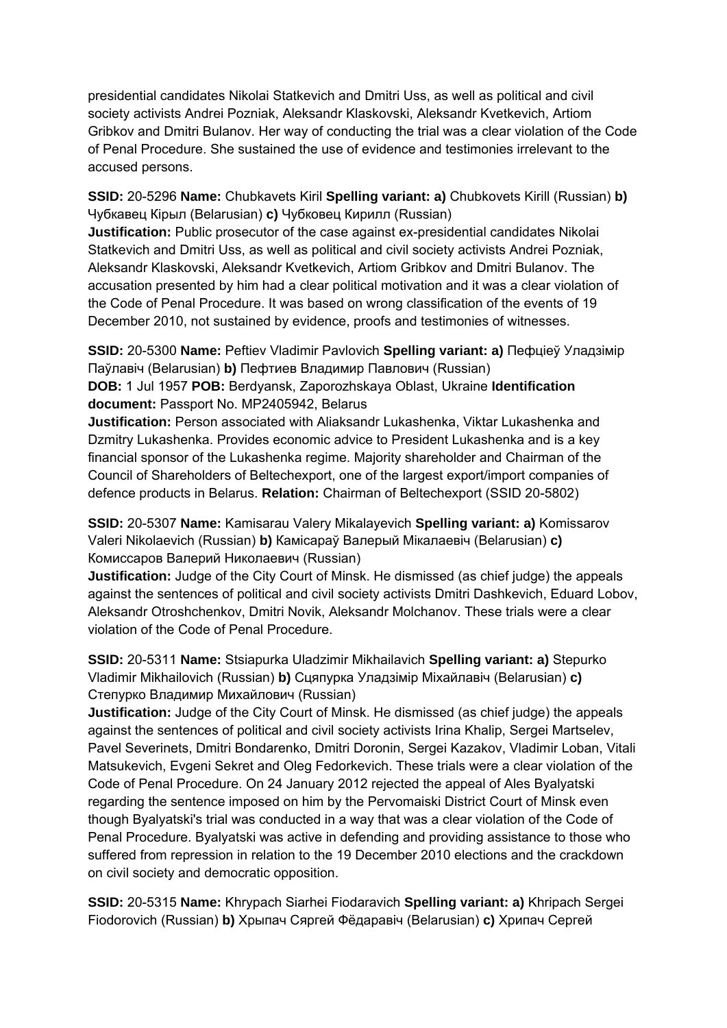presidential candidates Nikolai Statkevich and Dmitri Uss, as well as political and civil society activists Andrei Pozniak, Aleksandr Klaskovski, Aleksandr Kvetkevich, Artiom Gribkov and Dmitri Bulanov. Her way of conducting the trial was a clear violation of the Code of Penal Procedure. She sustained the use of evidence and testimonies irrelevant to the accused persons.

**SSID:** 20-5296 **Name:** Chubkavets Kiril **Spelling variant: a)** Chubkovets Kirill (Russian) **b)**  Чубкавец Кірыл (Belarusian) **c)** Чубковец Кирилл (Russian)

**Justification:** Public prosecutor of the case against ex-presidential candidates Nikolai Statkevich and Dmitri Uss, as well as political and civil society activists Andrei Pozniak, Aleksandr Klaskovski, Aleksandr Kvetkevich, Artiom Gribkov and Dmitri Bulanov. The accusation presented by him had a clear political motivation and it was a clear violation of the Code of Penal Procedure. It was based on wrong classification of the events of 19 December 2010, not sustained by evidence, proofs and testimonies of witnesses.

**SSID:** 20-5300 **Name:** Peftiev Vladimir Pavlovich **Spelling variant: a)** Пефціеў Уладзімір Паўлавіч (Belarusian) **b)** Пефтиев Владимир Павлович (Russian)

**DOB:** 1 Jul 1957 **POB:** Berdyansk, Zaporozhskaya Oblast, Ukraine **Identification document:** Passport No. MP2405942, Belarus

**Justification:** Person associated with Aliaksandr Lukashenka, Viktar Lukashenka and Dzmitry Lukashenka. Provides economic advice to President Lukashenka and is a key financial sponsor of the Lukashenka regime. Majority shareholder and Chairman of the Council of Shareholders of Beltechexport, one of the largest export/import companies of defence products in Belarus. **Relation:** Chairman of Beltechexport (SSID 20-5802)

**SSID:** 20-5307 **Name:** Kamisarau Valery Mikalayevich **Spelling variant: a)** Komissarov Valeri Nikolaevich (Russian) **b)** Камісараў Валерый Мікалаевіч (Belarusian) **c)**  Комиссаров Валерий Николаевич (Russian)

**Justification:** Judge of the City Court of Minsk. He dismissed (as chief judge) the appeals against the sentences of political and civil society activists Dmitri Dashkevich, Eduard Lobov, Aleksandr Otroshchenkov, Dmitri Novik, Aleksandr Molchanov. These trials were a clear violation of the Code of Penal Procedure.

**SSID:** 20-5311 **Name:** Stsiapurka Uladzimir Mikhailavich **Spelling variant: a)** Stepurko Vladimir Mikhailovich (Russian) **b)** Сцяпурка Уладзімір Міхайлавіч (Belarusian) **c)**  Степурко Владимир Михайлович (Russian)

**Justification:** Judge of the City Court of Minsk. He dismissed (as chief judge) the appeals against the sentences of political and civil society activists Irina Khalip, Sergei Martselev, Pavel Severinets, Dmitri Bondarenko, Dmitri Doronin, Sergei Kazakov, Vladimir Loban, Vitali Matsukevich, Evgeni Sekret and Oleg Fedorkevich. These trials were a clear violation of the Code of Penal Procedure. On 24 January 2012 rejected the appeal of Ales Byalyatski regarding the sentence imposed on him by the Pervomaiski District Court of Minsk even though Byalyatski's trial was conducted in a way that was a clear violation of the Code of Penal Procedure. Byalyatski was active in defending and providing assistance to those who suffered from repression in relation to the 19 December 2010 elections and the crackdown on civil society and democratic opposition.

**SSID:** 20-5315 **Name:** Khrypach Siarhei Fiodaravich **Spelling variant: a)** Khripach Sergei Fiodorovich (Russian) **b)** Хрыпач Сяргей Фёдаравіч (Belarusian) **c)** Хрипач Сергей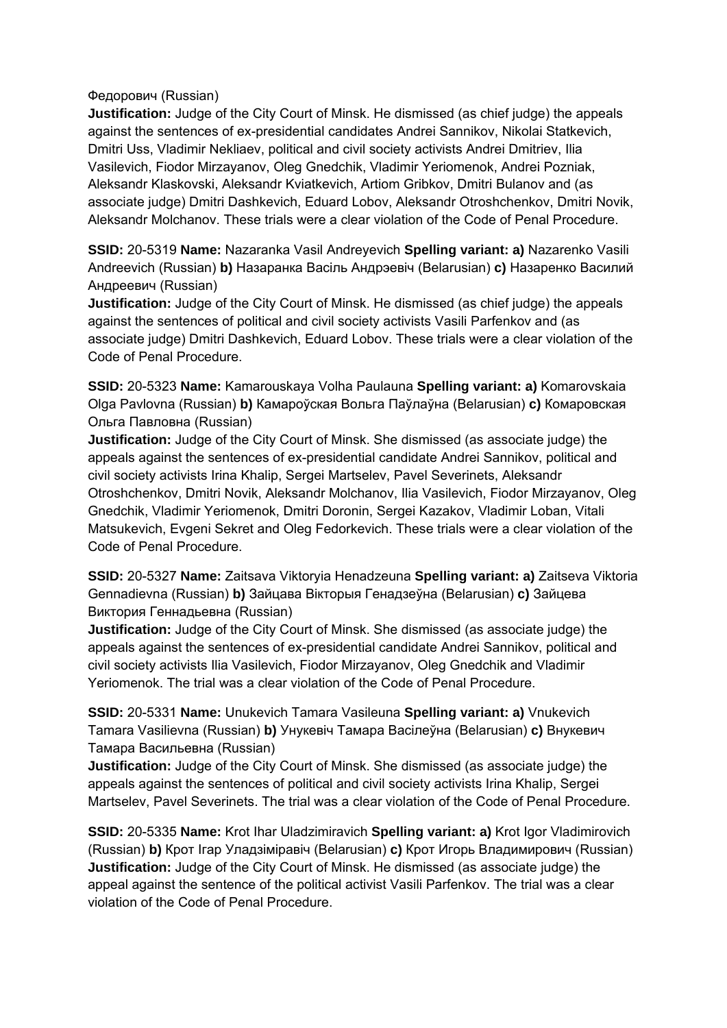Федорович (Russian)

**Justification:** Judge of the City Court of Minsk. He dismissed (as chief judge) the appeals against the sentences of ex-presidential candidates Andrei Sannikov, Nikolai Statkevich, Dmitri Uss, Vladimir Nekliaev, political and civil society activists Andrei Dmitriev, Ilia Vasilevich, Fiodor Mirzayanov, Oleg Gnedchik, Vladimir Yeriomenok, Andrei Pozniak, Aleksandr Klaskovski, Aleksandr Kviatkevich, Artiom Gribkov, Dmitri Bulanov and (as associate judge) Dmitri Dashkevich, Eduard Lobov, Aleksandr Otroshchenkov, Dmitri Novik, Aleksandr Molchanov. These trials were a clear violation of the Code of Penal Procedure.

**SSID:** 20-5319 **Name:** Nazaranka Vasil Andreyevich **Spelling variant: a)** Nazarenko Vasili Andreevich (Russian) **b)** Назаранка Васіль Андрэевіч (Belarusian) **c)** Назаренко Василий Андреевич (Russian)

**Justification:** Judge of the City Court of Minsk. He dismissed (as chief judge) the appeals against the sentences of political and civil society activists Vasili Parfenkov and (as associate judge) Dmitri Dashkevich, Eduard Lobov. These trials were a clear violation of the Code of Penal Procedure.

**SSID:** 20-5323 **Name:** Kamarouskaya Volha Paulauna **Spelling variant: a)** Komarovskaia Olga Pavlovna (Russian) **b)** Камароўская Вольга Паўлаўна (Belarusian) **c)** Комаровская Ольга Павловна (Russian)

**Justification:** Judge of the City Court of Minsk. She dismissed (as associate judge) the appeals against the sentences of ex-presidential candidate Andrei Sannikov, political and civil society activists Irina Khalip, Sergei Martselev, Pavel Severinets, Aleksandr Otroshchenkov, Dmitri Novik, Aleksandr Molchanov, Ilia Vasilevich, Fiodor Mirzayanov, Oleg Gnedchik, Vladimir Yeriomenok, Dmitri Doronin, Sergei Kazakov, Vladimir Loban, Vitali Matsukevich, Evgeni Sekret and Oleg Fedorkevich. These trials were a clear violation of the Code of Penal Procedure.

**SSID:** 20-5327 **Name:** Zaitsava Viktoryia Henadzeuna **Spelling variant: a)** Zaitseva Viktoria Gennadievna (Russian) **b)** Зайцава Вікторыя Генадзеўна (Belarusian) **c)** Зайцева Виктория Геннадьевна (Russian)

**Justification:** Judge of the City Court of Minsk. She dismissed (as associate judge) the appeals against the sentences of ex-presidential candidate Andrei Sannikov, political and civil society activists Ilia Vasilevich, Fiodor Mirzayanov, Oleg Gnedchik and Vladimir Yeriomenok. The trial was a clear violation of the Code of Penal Procedure.

**SSID:** 20-5331 **Name:** Unukevich Tamara Vasileuna **Spelling variant: a)** Vnukevich Tamara Vasilievna (Russian) **b)** Унукевіч Тамара Васілеўна (Belarusian) **c)** Внукевич Тамара Васильевна (Russian)

**Justification:** Judge of the City Court of Minsk. She dismissed (as associate judge) the appeals against the sentences of political and civil society activists Irina Khalip, Sergei Martselev, Pavel Severinets. The trial was a clear violation of the Code of Penal Procedure.

**SSID:** 20-5335 **Name:** Krot Ihar Uladzimiravich **Spelling variant: a)** Krot Igor Vladimirovich (Russian) **b)** Крот Ігар Уладзіміравіч (Belarusian) **c)** Крот Игорь Владимирович (Russian) **Justification:** Judge of the City Court of Minsk. He dismissed (as associate judge) the appeal against the sentence of the political activist Vasili Parfenkov. The trial was a clear violation of the Code of Penal Procedure.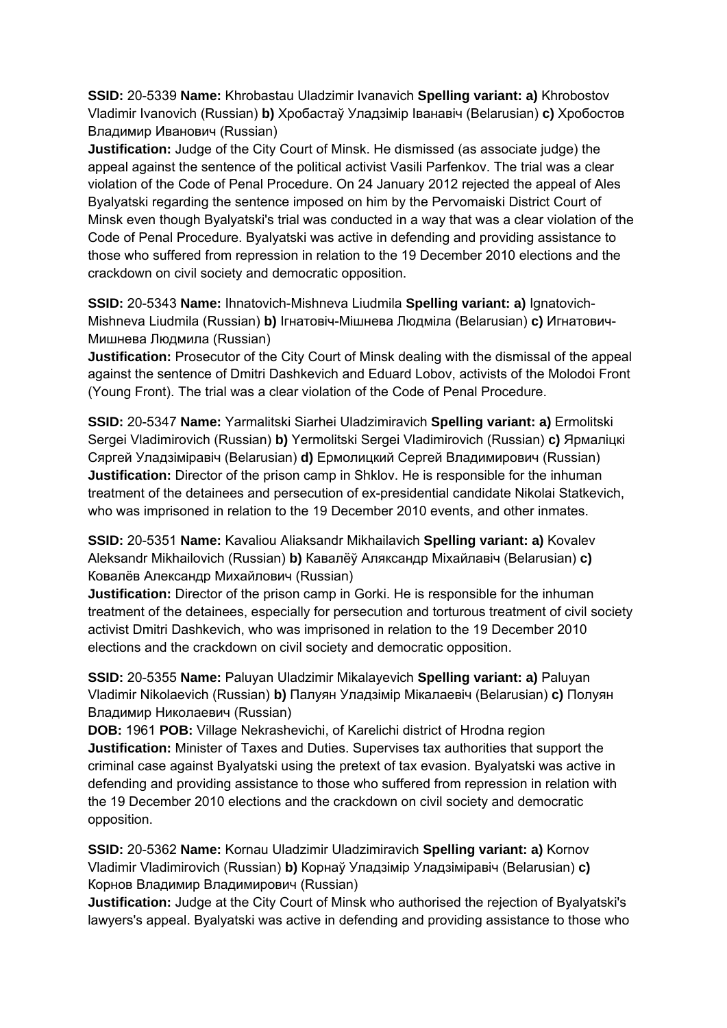**SSID:** 20-5339 **Name:** Khrobastau Uladzimir Ivanavich **Spelling variant: a)** Khrobostov Vladimir Ivanovich (Russian) **b)** Хробастаў Уладзімір Іванавіч (Belarusian) **c)** Хробостов Владимир Иванович (Russian)

**Justification:** Judge of the City Court of Minsk. He dismissed (as associate judge) the appeal against the sentence of the political activist Vasili Parfenkov. The trial was a clear violation of the Code of Penal Procedure. On 24 January 2012 rejected the appeal of Ales Byalyatski regarding the sentence imposed on him by the Pervomaiski District Court of Minsk even though Byalyatski's trial was conducted in a way that was a clear violation of the Code of Penal Procedure. Byalyatski was active in defending and providing assistance to those who suffered from repression in relation to the 19 December 2010 elections and the crackdown on civil society and democratic opposition.

**SSID:** 20-5343 **Name:** Ihnatovich-Mishneva Liudmila **Spelling variant: a)** Ignatovich-Mishneva Liudmila (Russian) **b)** Ігнатовіч-Мішнева Людміла (Belarusian) **c)** Игнатович-Мишнева Людмила (Russian)

**Justification:** Prosecutor of the City Court of Minsk dealing with the dismissal of the appeal against the sentence of Dmitri Dashkevich and Eduard Lobov, activists of the Molodoi Front (Young Front). The trial was a clear violation of the Code of Penal Procedure.

**SSID:** 20-5347 **Name:** Yarmalitski Siarhei Uladzimiravich **Spelling variant: a)** Ermolitski Sergei Vladimirovich (Russian) **b)** Yermolitski Sergei Vladimirovich (Russian) **c)** Ярмаліцкі Сяргей Уладзіміравіч (Belarusian) **d)** Ермолицкий Сергей Владимирович (Russian) **Justification:** Director of the prison camp in Shklov. He is responsible for the inhuman treatment of the detainees and persecution of ex-presidential candidate Nikolai Statkevich, who was imprisoned in relation to the 19 December 2010 events, and other inmates.

**SSID:** 20-5351 **Name:** Kavaliou Aliaksandr Mikhailavich **Spelling variant: a)** Kovalev Aleksandr Mikhailovich (Russian) **b)** Кавалёў Аляксандр Міхайлавіч (Belarusian) **c)**  Ковалёв Александр Михайлович (Russian)

**Justification:** Director of the prison camp in Gorki. He is responsible for the inhuman treatment of the detainees, especially for persecution and torturous treatment of civil society activist Dmitri Dashkevich, who was imprisoned in relation to the 19 December 2010 elections and the crackdown on civil society and democratic opposition.

**SSID:** 20-5355 **Name:** Paluyan Uladzimir Mikalayevich **Spelling variant: a)** Paluyan Vladimir Nikolaevich (Russian) **b)** Палуян Уладзімір Мікалаевіч (Belarusian) **c)** Полуян Владимир Николаевич (Russian)

**DOB:** 1961 **POB:** Village Nekrashevichi, of Karelichi district of Hrodna region **Justification:** Minister of Taxes and Duties. Supervises tax authorities that support the criminal case against Byalyatski using the pretext of tax evasion. Byalyatski was active in defending and providing assistance to those who suffered from repression in relation with the 19 December 2010 elections and the crackdown on civil society and democratic opposition.

**SSID:** 20-5362 **Name:** Kornau Uladzimir Uladzimiravich **Spelling variant: a)** Kornov Vladimir Vladimirovich (Russian) **b)** Корнаў Уладзімір Уладзіміравіч (Belarusian) **c)**  Корнов Владимир Владимирович (Russian)

**Justification:** Judge at the City Court of Minsk who authorised the rejection of Byalyatski's lawyers's appeal. Byalyatski was active in defending and providing assistance to those who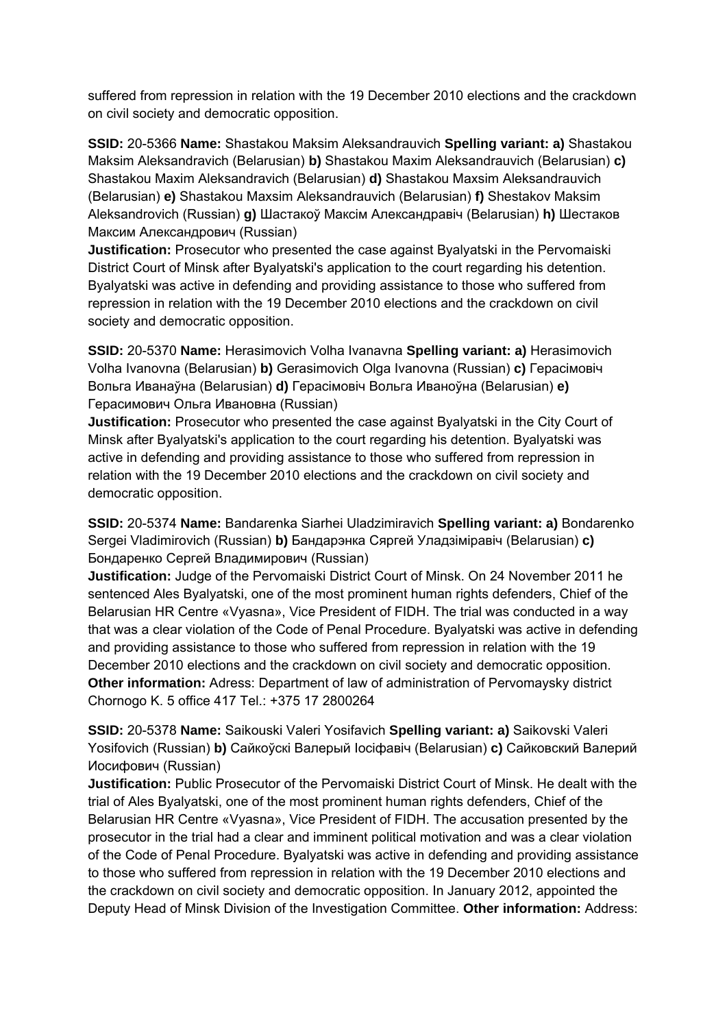suffered from repression in relation with the 19 December 2010 elections and the crackdown on civil society and democratic opposition.

**SSID:** 20-5366 **Name:** Shastakou Maksim Aleksandrauvich **Spelling variant: a)** Shastakou Maksim Aleksandravich (Belarusian) **b)** Shastakou Maxim Aleksandrauvich (Belarusian) **c)**  Shastakou Maxim Aleksandravich (Belarusian) **d)** Shastakou Maxsim Aleksandrauvich (Belarusian) **e)** Shastakou Maxsim Aleksandrauvich (Belarusian) **f)** Shestakov Maksim Aleksandrovich (Russian) **g)** Шастакоў Максім Александравіч (Belarusian) **h)** Шестаков Максим Александрович (Russian)

**Justification:** Prosecutor who presented the case against Byalyatski in the Pervomaiski District Court of Minsk after Byalyatski's application to the court regarding his detention. Byalyatski was active in defending and providing assistance to those who suffered from repression in relation with the 19 December 2010 elections and the crackdown on civil society and democratic opposition.

**SSID:** 20-5370 **Name:** Herasimovich Volha Ivanavna **Spelling variant: a)** Herasimovich Volha Ivanovna (Belarusian) **b)** Gerasimovich Olga Ivanovna (Russian) **c)** Герасімовіч Вольга Иванаўна (Belarusian) **d)** Герасімовіч Вольга Иваноўна (Belarusian) **e)**  Герасимович Ольга Ивановна (Russian)

**Justification:** Prosecutor who presented the case against Byalyatski in the City Court of Minsk after Byalyatski's application to the court regarding his detention. Byalyatski was active in defending and providing assistance to those who suffered from repression in relation with the 19 December 2010 elections and the crackdown on civil society and democratic opposition.

**SSID:** 20-5374 **Name:** Bandarenka Siarhei Uladzimiravich **Spelling variant: a)** Bondarenko Sergei Vladimirovich (Russian) **b)** Бандарэнка Сяргей Уладзіміравіч (Belarusian) **c)**  Бондаренко Сергей Владимирович (Russian)

**Justification:** Judge of the Pervomaiski District Court of Minsk. On 24 November 2011 he sentenced Ales Byalyatski, one of the most prominent human rights defenders, Chief of the Belarusian HR Centre «Vyasna», Vice President of FIDH. The trial was conducted in a way that was a clear violation of the Code of Penal Procedure. Byalyatski was active in defending and providing assistance to those who suffered from repression in relation with the 19 December 2010 elections and the crackdown on civil society and democratic opposition. **Other information:** Adress: Department of law of administration of Pervomaysky district Chornogo K. 5 office 417 Tel.: +375 17 2800264

**SSID:** 20-5378 **Name:** Saikouski Valeri Yosifavich **Spelling variant: a)** Saikovski Valeri Yosifovich (Russian) **b)** Сайкоўскі Валерый Іосіфавіч (Belarusian) **c)** Сайковский Валерий Иосифович (Russian)

**Justification:** Public Prosecutor of the Pervomaiski District Court of Minsk. He dealt with the trial of Ales Byalyatski, one of the most prominent human rights defenders, Chief of the Belarusian HR Centre «Vyasna», Vice President of FIDH. The accusation presented by the prosecutor in the trial had a clear and imminent political motivation and was a clear violation of the Code of Penal Procedure. Byalyatski was active in defending and providing assistance to those who suffered from repression in relation with the 19 December 2010 elections and the crackdown on civil society and democratic opposition. In January 2012, appointed the Deputy Head of Minsk Division of the Investigation Committee. **Other information:** Address: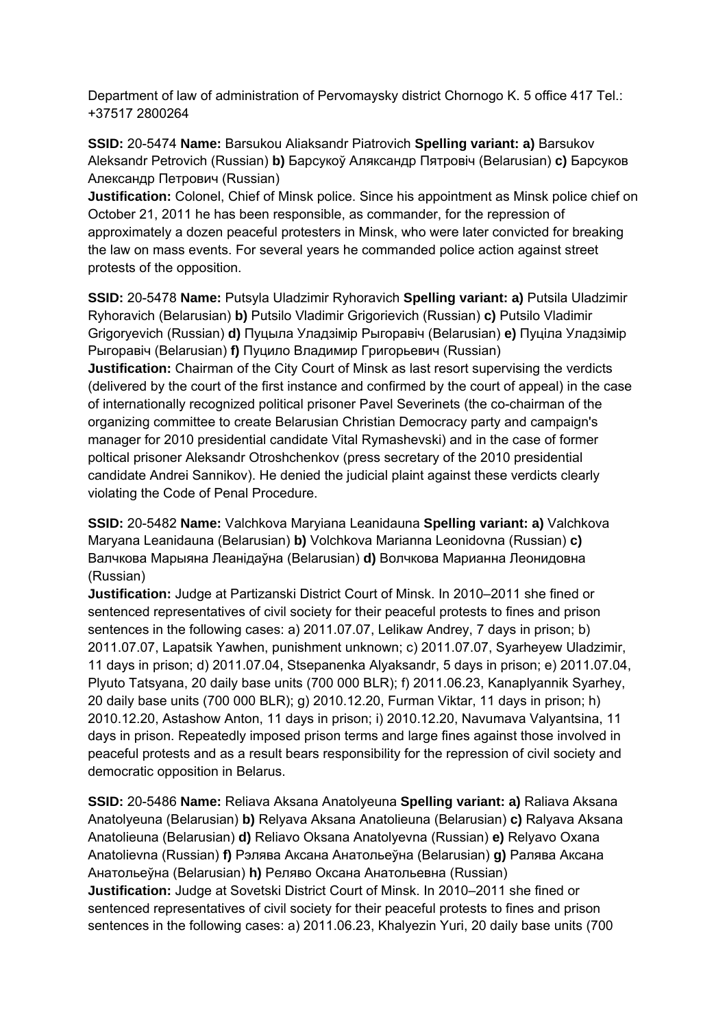Department of law of administration of Pervomaysky district Chornogo K. 5 office 417 Tel.: +37517 2800264

**SSID:** 20-5474 **Name:** Barsukou Aliaksandr Piatrovich **Spelling variant: a)** Barsukov Aleksandr Petrovich (Russian) **b)** Барсукоў Аляксандр Пятровіч (Belarusian) **c)** Барсуков Александр Петрович (Russian)

**Justification:** Colonel, Chief of Minsk police. Since his appointment as Minsk police chief on October 21, 2011 he has been responsible, as commander, for the repression of approximately a dozen peaceful protesters in Minsk, who were later convicted for breaking the law on mass events. For several years he commanded police action against street protests of the opposition.

**SSID:** 20-5478 **Name:** Putsyla Uladzimir Ryhoravich **Spelling variant: a)** Putsila Uladzimir Ryhoravich (Belarusian) **b)** Putsilo Vladimir Grigorievich (Russian) **c)** Putsilo Vladimir Grigoryevich (Russian) **d)** Пуцыла Уладзімір Рыгоравіч (Belarusian) **e)** Пуціла Уладзімір Рыгоравіч (Belarusian) **f)** Пуцило Владимир Григорьевич (Russian)

**Justification:** Chairman of the City Court of Minsk as last resort supervising the verdicts (delivered by the court of the first instance and confirmed by the court of appeal) in the case of internationally recognized political prisoner Pavel Severinets (the co-chairman of the organizing committee to create Belarusian Christian Democracy party and campaign's manager for 2010 presidential candidate Vital Rymashevski) and in the case of former poltical prisoner Aleksandr Otroshchenkov (press secretary of the 2010 presidential candidate Andrei Sannikov). He denied the judicial plaint against these verdicts clearly violating the Code of Penal Procedure.

**SSID:** 20-5482 **Name:** Valchkova Maryiana Leanidauna **Spelling variant: a)** Valchkova Maryana Leanidauna (Belarusian) **b)** Volchkova Marianna Leonidovna (Russian) **c)**  Валчкова Марыяна Леанідаўна (Belarusian) **d)** Волчкова Марианна Леонидовна (Russian)

**Justification:** Judge at Partizanski District Court of Minsk. In 2010–2011 she fined or sentenced representatives of civil society for their peaceful protests to fines and prison sentences in the following cases: a) 2011.07.07, Lelikaw Andrey, 7 days in prison; b) 2011.07.07, Lapatsik Yawhen, punishment unknown; c) 2011.07.07, Syarheyew Uladzimir, 11 days in prison; d) 2011.07.04, Stsepanenka Alyaksandr, 5 days in prison; e) 2011.07.04, Plyuto Tatsyana, 20 daily base units (700 000 BLR); f) 2011.06.23, Kanaplyannik Syarhey, 20 daily base units (700 000 BLR); g) 2010.12.20, Furman Viktar, 11 days in prison; h) 2010.12.20, Astashow Anton, 11 days in prison; i) 2010.12.20, Navumava Valyantsina, 11 days in prison. Repeatedly imposed prison terms and large fines against those involved in peaceful protests and as a result bears responsibility for the repression of civil society and democratic opposition in Belarus.

**SSID:** 20-5486 **Name:** Reliava Aksana Anatolyeuna **Spelling variant: a)** Raliava Aksana Anatolyeuna (Belarusian) **b)** Relyava Aksana Anatolieuna (Belarusian) **c)** Ralyava Aksana Anatolieuna (Belarusian) **d)** Reliavo Oksana Anatolyevna (Russian) **e)** Relyavo Oxana Anatolievna (Russian) **f)** Рэлява Аксана Анатольеўна (Belarusian) **g)** Ралява Аксана Анатольеўна (Belarusian) **h)** Реляво Оксана Анатольевна (Russian) **Justification:** Judge at Sovetski District Court of Minsk. In 2010–2011 she fined or sentenced representatives of civil society for their peaceful protests to fines and prison sentences in the following cases: a) 2011.06.23, Khalyezin Yuri, 20 daily base units (700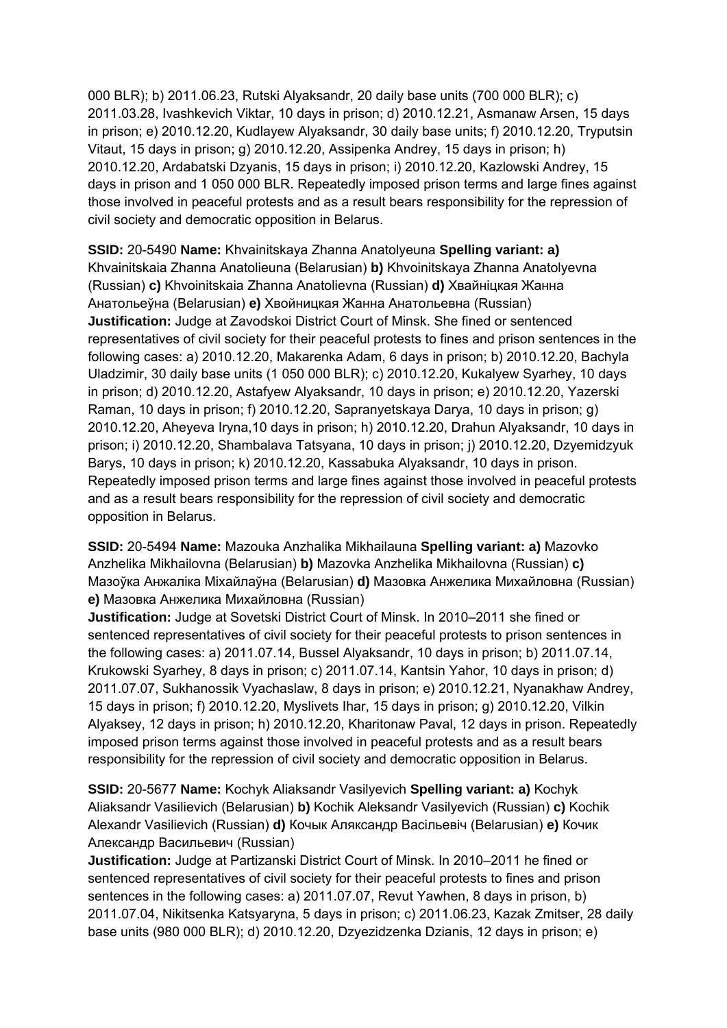000 BLR); b) 2011.06.23, Rutski Alyaksandr, 20 daily base units (700 000 BLR); c) 2011.03.28, Ivashkevich Viktar, 10 days in prison; d) 2010.12.21, Asmanaw Arsen, 15 days in prison; e) 2010.12.20, Kudlayew Alyaksandr, 30 daily base units; f) 2010.12.20, Tryputsin Vitaut, 15 days in prison; g) 2010.12.20, Assipenka Andrey, 15 days in prison; h) 2010.12.20, Ardabatski Dzyanis, 15 days in prison; i) 2010.12.20, Kazlowski Andrey, 15 days in prison and 1 050 000 BLR. Repeatedly imposed prison terms and large fines against those involved in peaceful protests and as a result bears responsibility for the repression of civil society and democratic opposition in Belarus.

**SSID:** 20-5490 **Name:** Khvainitskaya Zhanna Anatolyeuna **Spelling variant: a)**  Khvainitskaia Zhanna Anatolieuna (Belarusian) **b)** Khvoinitskaya Zhanna Anatolyevna (Russian) **c)** Khvoinitskaia Zhanna Anatolievna (Russian) **d)** Хвайніцкая Жанна Анатольеўна (Belarusian) **e)** Хвойницкая Жанна Анатольевна (Russian) **Justification:** Judge at Zavodskoi District Court of Minsk. She fined or sentenced representatives of civil society for their peaceful protests to fines and prison sentences in the following cases: a) 2010.12.20, Makarenka Adam, 6 days in prison; b) 2010.12.20, Bachyla Uladzimir, 30 daily base units (1 050 000 BLR); c) 2010.12.20, Kukalyew Syarhey, 10 days in prison; d) 2010.12.20, Astafyew Alyaksandr, 10 days in prison; e) 2010.12.20, Yazerski Raman, 10 days in prison; f) 2010.12.20, Sapranyetskaya Darya, 10 days in prison; g) 2010.12.20, Aheyeva Iryna,10 days in prison; h) 2010.12.20, Drahun Alyaksandr, 10 days in prison; i) 2010.12.20, Shambalava Tatsyana, 10 days in prison; j) 2010.12.20, Dzyemidzyuk Barys, 10 days in prison; k) 2010.12.20, Kassabuka Alyaksandr, 10 days in prison. Repeatedly imposed prison terms and large fines against those involved in peaceful protests and as a result bears responsibility for the repression of civil society and democratic opposition in Belarus.

**SSID:** 20-5494 **Name:** Mazouka Anzhalika Mikhailauna **Spelling variant: a)** Mazovko Anzhelika Mikhailovna (Belarusian) **b)** Mazovka Anzhelika Mikhailovna (Russian) **c)**  Мазоўка Анжаліка Міхайлаўна (Belarusian) **d)** Мазовка Анжелика Михайловна (Russian) **e)** Мазовка Анжелика Михайловна (Russian)

**Justification:** Judge at Sovetski District Court of Minsk. In 2010–2011 she fined or sentenced representatives of civil society for their peaceful protests to prison sentences in the following cases: a) 2011.07.14, Bussel Alyaksandr, 10 days in prison; b) 2011.07.14, Krukowski Syarhey, 8 days in prison; c) 2011.07.14, Kantsin Yahor, 10 days in prison; d) 2011.07.07, Sukhanossik Vyachaslaw, 8 days in prison; e) 2010.12.21, Nyanakhaw Andrey, 15 days in prison; f) 2010.12.20, Myslivets Ihar, 15 days in prison; g) 2010.12.20, Vilkin Alyaksey, 12 days in prison; h) 2010.12.20, Kharitonaw Paval, 12 days in prison. Repeatedly imposed prison terms against those involved in peaceful protests and as a result bears responsibility for the repression of civil society and democratic opposition in Belarus.

**SSID:** 20-5677 **Name:** Kochyk Aliaksandr Vasilyevich **Spelling variant: a)** Kochyk Aliaksandr Vasilievich (Belarusian) **b)** Kochik Aleksandr Vasilyevich (Russian) **c)** Kochik Alexandr Vasilievich (Russian) **d)** Кочык Аляксандр Васільевіч (Belarusian) **e)** Кочик Александр Васильевич (Russian)

**Justification:** Judge at Partizanski District Court of Minsk. In 2010–2011 he fined or sentenced representatives of civil society for their peaceful protests to fines and prison sentences in the following cases: a) 2011.07.07, Revut Yawhen, 8 days in prison, b) 2011.07.04, Nikitsenka Katsyaryna, 5 days in prison; c) 2011.06.23, Kazak Zmitser, 28 daily base units (980 000 BLR); d) 2010.12.20, Dzyezidzenka Dzianis, 12 days in prison; e)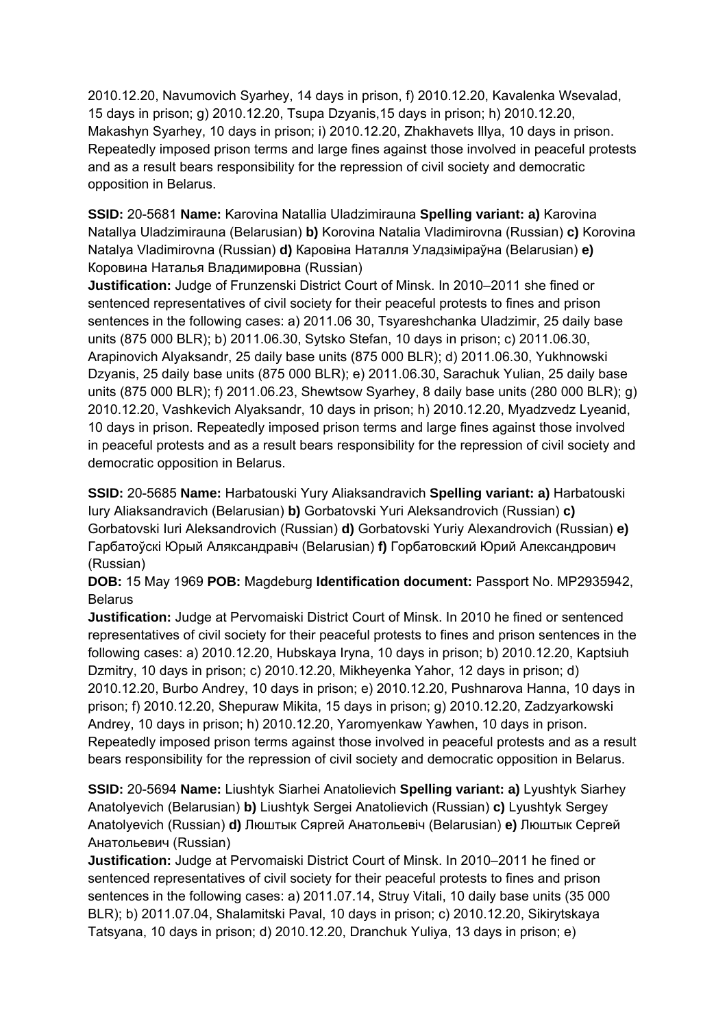2010.12.20, Navumovich Syarhey, 14 days in prison, f) 2010.12.20, Kavalenka Wsevalad, 15 days in prison; g) 2010.12.20, Tsupa Dzyanis,15 days in prison; h) 2010.12.20, Makashyn Syarhey, 10 days in prison; i) 2010.12.20, Zhakhavets Illya, 10 days in prison. Repeatedly imposed prison terms and large fines against those involved in peaceful protests and as a result bears responsibility for the repression of civil society and democratic opposition in Belarus.

**SSID:** 20-5681 **Name:** Karovina Natallia Uladzimirauna **Spelling variant: a)** Karovina Natallya Uladzimirauna (Belarusian) **b)** Korovina Natalia Vladimirovna (Russian) **c)** Korovina Natalya Vladimirovna (Russian) **d)** Каровіна Наталля Уладзіміраўна (Belarusian) **e)**  Коровина Наталья Владимировна (Russian)

**Justification:** Judge of Frunzenski District Court of Minsk. In 2010–2011 she fined or sentenced representatives of civil society for their peaceful protests to fines and prison sentences in the following cases: a) 2011.06 30, Tsyareshchanka Uladzimir, 25 daily base units (875 000 BLR); b) 2011.06.30, Sytsko Stefan, 10 days in prison; c) 2011.06.30, Arapinovich Alyaksandr, 25 daily base units (875 000 BLR); d) 2011.06.30, Yukhnowski Dzyanis, 25 daily base units (875 000 BLR); e) 2011.06.30, Sarachuk Yulian, 25 daily base units (875 000 BLR); f) 2011.06.23, Shewtsow Syarhey, 8 daily base units (280 000 BLR); g) 2010.12.20, Vashkevich Alyaksandr, 10 days in prison; h) 2010.12.20, Myadzvedz Lyeanid, 10 days in prison. Repeatedly imposed prison terms and large fines against those involved in peaceful protests and as a result bears responsibility for the repression of civil society and democratic opposition in Belarus.

**SSID:** 20-5685 **Name:** Harbatouski Yury Aliaksandravich **Spelling variant: a)** Harbatouski Iury Aliaksandravich (Belarusian) **b)** Gorbatovski Yuri Aleksandrovich (Russian) **c)**  Gorbatovski Iuri Aleksandrovich (Russian) **d)** Gorbatovski Yuriy Alexandrovich (Russian) **e)**  Гарбатоўскі Юрый Аляксандравіч (Belarusian) **f)** Горбатовский Юрий Александрович (Russian)

**DOB:** 15 May 1969 **POB:** Magdeburg **Identification document:** Passport No. MP2935942, Belarus

**Justification:** Judge at Pervomaiski District Court of Minsk. In 2010 he fined or sentenced representatives of civil society for their peaceful protests to fines and prison sentences in the following cases: a) 2010.12.20, Hubskaya Iryna, 10 days in prison; b) 2010.12.20, Kaptsiuh Dzmitry, 10 days in prison; c) 2010.12.20, Mikheyenka Yahor, 12 days in prison; d) 2010.12.20, Burbo Andrey, 10 days in prison; e) 2010.12.20, Pushnarova Hanna, 10 days in prison; f) 2010.12.20, Shepuraw Mikita, 15 days in prison; g) 2010.12.20, Zadzyarkowski Andrey, 10 days in prison; h) 2010.12.20, Yaromyenkaw Yawhen, 10 days in prison. Repeatedly imposed prison terms against those involved in peaceful protests and as a result bears responsibility for the repression of civil society and democratic opposition in Belarus.

**SSID:** 20-5694 **Name:** Liushtyk Siarhei Anatolievich **Spelling variant: a)** Lyushtyk Siarhey Anatolyevich (Belarusian) **b)** Liushtyk Sergei Anatolievich (Russian) **c)** Lyushtyk Sergey Anatolyevich (Russian) **d)** Люштык Сяргей Анатольевіч (Belarusian) **e)** Люштык Сергей Анатольевич (Russian)

**Justification:** Judge at Pervomaiski District Court of Minsk. In 2010–2011 he fined or sentenced representatives of civil society for their peaceful protests to fines and prison sentences in the following cases: a) 2011.07.14, Struy Vitali, 10 daily base units (35 000 BLR); b) 2011.07.04, Shalamitski Paval, 10 days in prison; c) 2010.12.20, Sikirytskaya Tatsyana, 10 days in prison; d) 2010.12.20, Dranchuk Yuliya, 13 days in prison; e)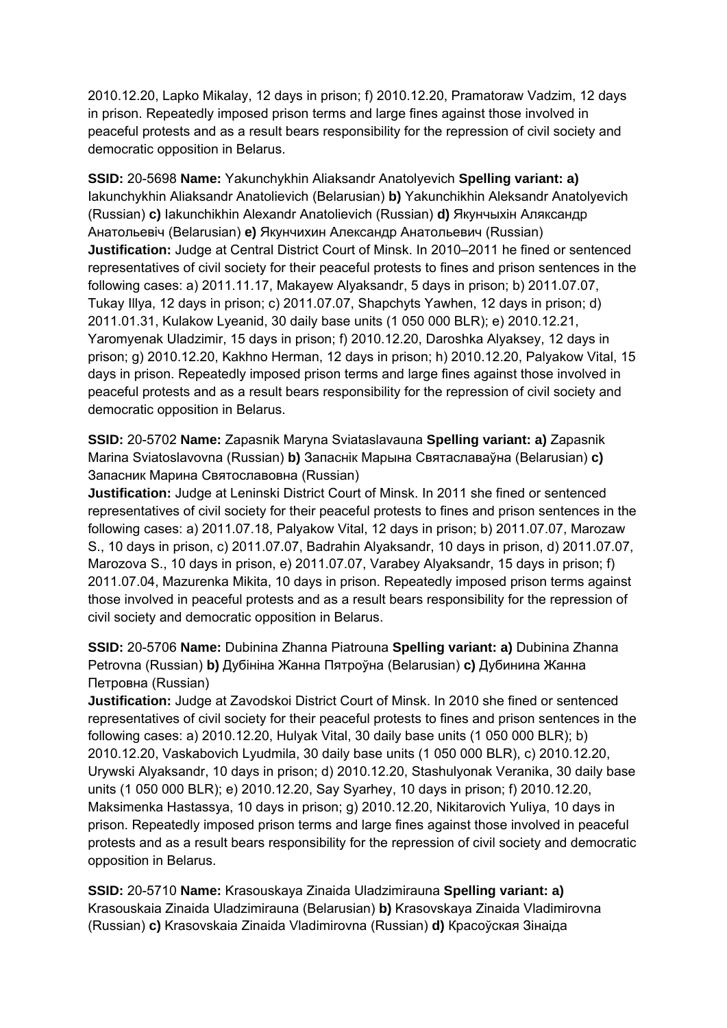2010.12.20, Lapko Mikalay, 12 days in prison; f) 2010.12.20, Pramatoraw Vadzim, 12 days in prison. Repeatedly imposed prison terms and large fines against those involved in peaceful protests and as a result bears responsibility for the repression of civil society and democratic opposition in Belarus.

**SSID:** 20-5698 **Name:** Yakunchykhin Aliaksandr Anatolyevich **Spelling variant: a)**  Iakunchykhin Aliaksandr Anatolievich (Belarusian) **b)** Yakunchikhin Aleksandr Anatolyevich (Russian) **c)** Iakunchikhin Alexandr Anatolievich (Russian) **d)** Якунчыхін Аляксандр Анатольевіч (Belarusian) **e)** Якунчихин Александр Анатольевич (Russian) **Justification:** Judge at Central District Court of Minsk. In 2010–2011 he fined or sentenced representatives of civil society for their peaceful protests to fines and prison sentences in the following cases: a) 2011.11.17, Makayew Alyaksandr, 5 days in prison; b) 2011.07.07, Tukay Illya, 12 days in prison; c) 2011.07.07, Shapchyts Yawhen, 12 days in prison; d) 2011.01.31, Kulakow Lyeanid, 30 daily base units (1 050 000 BLR); e) 2010.12.21, Yaromyenak Uladzimir, 15 days in prison; f) 2010.12.20, Daroshka Alyaksey, 12 days in prison; g) 2010.12.20, Kakhno Herman, 12 days in prison; h) 2010.12.20, Palyakow Vital, 15 days in prison. Repeatedly imposed prison terms and large fines against those involved in peaceful protests and as a result bears responsibility for the repression of civil society and democratic opposition in Belarus.

**SSID:** 20-5702 **Name:** Zapasnik Maryna Sviataslavauna **Spelling variant: a)** Zapasnik Marina Sviatoslavovna (Russian) **b)** Запаснік Марына Святаславаўна (Belarusian) **c)**  Запасник Марина Святославовна (Russian)

**Justification:** Judge at Leninski District Court of Minsk. In 2011 she fined or sentenced representatives of civil society for their peaceful protests to fines and prison sentences in the following cases: a) 2011.07.18, Palyakow Vital, 12 days in prison; b) 2011.07.07, Marozaw S., 10 days in prison, c) 2011.07.07, Badrahin Alyaksandr, 10 days in prison, d) 2011.07.07, Marozova S., 10 days in prison, e) 2011.07.07, Varabey Alyaksandr, 15 days in prison; f) 2011.07.04, Mazurenka Mikita, 10 days in prison. Repeatedly imposed prison terms against those involved in peaceful protests and as a result bears responsibility for the repression of civil society and democratic opposition in Belarus.

**SSID:** 20-5706 **Name:** Dubinina Zhanna Piatrouna **Spelling variant: a)** Dubinina Zhanna Petrovna (Russian) **b)** Дубініна Жанна Пятроўна (Belarusian) **c)** Дубинина Жанна Петровна (Russian)

**Justification:** Judge at Zavodskoi District Court of Minsk. In 2010 she fined or sentenced representatives of civil society for their peaceful protests to fines and prison sentences in the following cases: a) 2010.12.20, Hulyak Vital, 30 daily base units (1 050 000 BLR); b) 2010.12.20, Vaskabovich Lyudmila, 30 daily base units (1 050 000 BLR), c) 2010.12.20, Urywski Alyaksandr, 10 days in prison; d) 2010.12.20, Stashulyonak Veranika, 30 daily base units (1 050 000 BLR); e) 2010.12.20, Say Syarhey, 10 days in prison; f) 2010.12.20, Maksimenka Hastassya, 10 days in prison; g) 2010.12.20, Nikitarovich Yuliya, 10 days in prison. Repeatedly imposed prison terms and large fines against those involved in peaceful protests and as a result bears responsibility for the repression of civil society and democratic opposition in Belarus.

**SSID:** 20-5710 **Name:** Krasouskaya Zinaida Uladzimirauna **Spelling variant: a)**  Krasouskaia Zinaida Uladzimirauna (Belarusian) **b)** Krasovskaya Zinaida Vladimirovna (Russian) **c)** Krasovskaia Zinaida Vladimirovna (Russian) **d)** Красоўская Зінаіда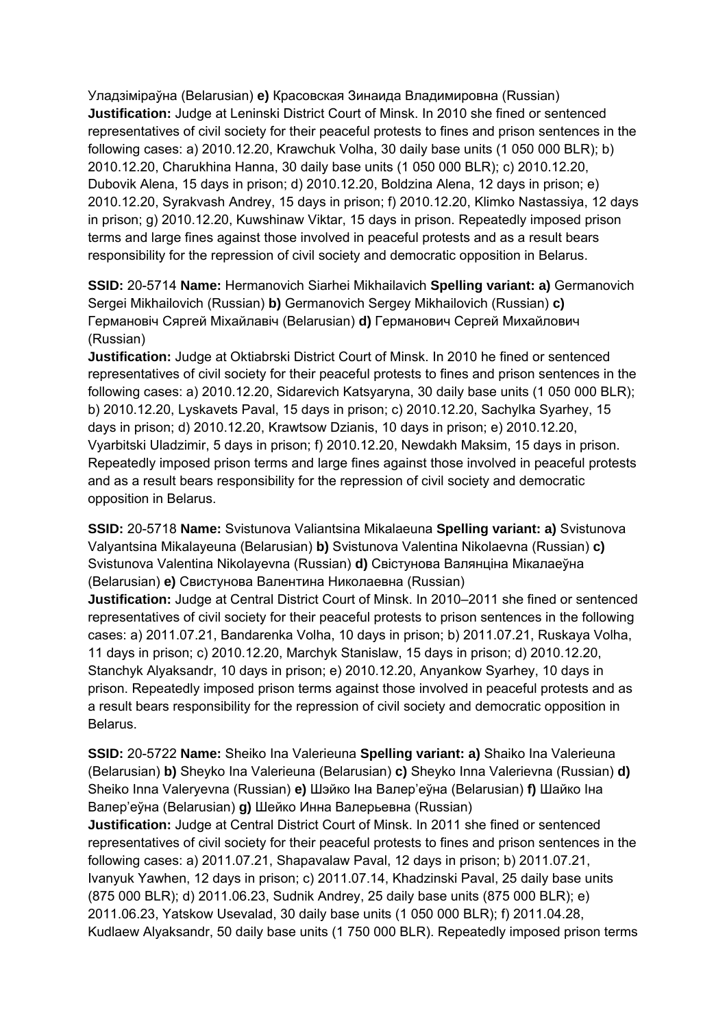Уладзіміраўна (Belarusian) **e)** Красовская Зинаида Владимировна (Russian) **Justification:** Judge at Leninski District Court of Minsk. In 2010 she fined or sentenced representatives of civil society for their peaceful protests to fines and prison sentences in the following cases: a) 2010.12.20, Krawchuk Volha, 30 daily base units (1 050 000 BLR); b) 2010.12.20, Charukhina Hanna, 30 daily base units (1 050 000 BLR); c) 2010.12.20, Dubovik Alena, 15 days in prison; d) 2010.12.20, Boldzina Alena, 12 days in prison; e) 2010.12.20, Syrakvash Andrey, 15 days in prison; f) 2010.12.20, Klimko Nastassiya, 12 days in prison; g) 2010.12.20, Kuwshinaw Viktar, 15 days in prison. Repeatedly imposed prison terms and large fines against those involved in peaceful protests and as a result bears responsibility for the repression of civil society and democratic opposition in Belarus.

**SSID:** 20-5714 **Name:** Hermanovich Siarhei Mikhailavich **Spelling variant: a)** Germanovich Sergei Mikhailovich (Russian) **b)** Germanovich Sergey Mikhailovich (Russian) **c)**  Германовіч Сяргей Міхайлавіч (Belarusian) **d)** Германович Сергей Михайлович (Russian)

**Justification:** Judge at Oktiabrski District Court of Minsk. In 2010 he fined or sentenced representatives of civil society for their peaceful protests to fines and prison sentences in the following cases: a) 2010.12.20, Sidarevich Katsyaryna, 30 daily base units (1 050 000 BLR); b) 2010.12.20, Lyskavets Paval, 15 days in prison; c) 2010.12.20, Sachylka Syarhey, 15 days in prison; d) 2010.12.20, Krawtsow Dzianis, 10 days in prison; e) 2010.12.20, Vyarbitski Uladzimir, 5 days in prison; f) 2010.12.20, Newdakh Maksim, 15 days in prison. Repeatedly imposed prison terms and large fines against those involved in peaceful protests and as a result bears responsibility for the repression of civil society and democratic opposition in Belarus.

**SSID:** 20-5718 **Name:** Svistunova Valiantsina Mikalaeuna **Spelling variant: a)** Svistunova Valyantsina Mikalayeuna (Belarusian) **b)** Svistunova Valentina Nikolaevna (Russian) **c)**  Svistunova Valentina Nikolayevna (Russian) **d)** Свістунова Валянціна Мікалаеўна (Belarusian) **e)** Свистунова Валентина Николаевна (Russian)

**Justification:** Judge at Central District Court of Minsk. In 2010–2011 she fined or sentenced representatives of civil society for their peaceful protests to prison sentences in the following cases: a) 2011.07.21, Bandarenka Volha, 10 days in prison; b) 2011.07.21, Ruskaya Volha, 11 days in prison; c) 2010.12.20, Marchyk Stanislaw, 15 days in prison; d) 2010.12.20, Stanchyk Alyaksandr, 10 days in prison; e) 2010.12.20, Anyankow Syarhey, 10 days in prison. Repeatedly imposed prison terms against those involved in peaceful protests and as a result bears responsibility for the repression of civil society and democratic opposition in Belarus.

**SSID:** 20-5722 **Name:** Sheiko Ina Valerieuna **Spelling variant: a)** Shaiko Іna Valerieuna (Belarusian) **b)** Sheyko Іna Valerieuna (Belarusian) **c)** Sheyko Inna Valerievna (Russian) **d)**  Sheiko Inna Valeryevna (Russian) **e)** Шэйко Iна Валер'еўна (Belarusian) **f)** Шайко Iна Валер'еўна (Belarusian) **g)** Шейко Инна Валерьевна (Russian)

**Justification:** Judge at Central District Court of Minsk. In 2011 she fined or sentenced representatives of civil society for their peaceful protests to fines and prison sentences in the following cases: a) 2011.07.21, Shapavalaw Paval, 12 days in prison; b) 2011.07.21, Ivanyuk Yawhen, 12 days in prison; c) 2011.07.14, Khadzinski Paval, 25 daily base units (875 000 BLR); d) 2011.06.23, Sudnik Andrey, 25 daily base units (875 000 BLR); e) 2011.06.23, Yatskow Usevalad, 30 daily base units (1 050 000 BLR); f) 2011.04.28, Kudlaew Alyaksandr, 50 daily base units (1 750 000 BLR). Repeatedly imposed prison terms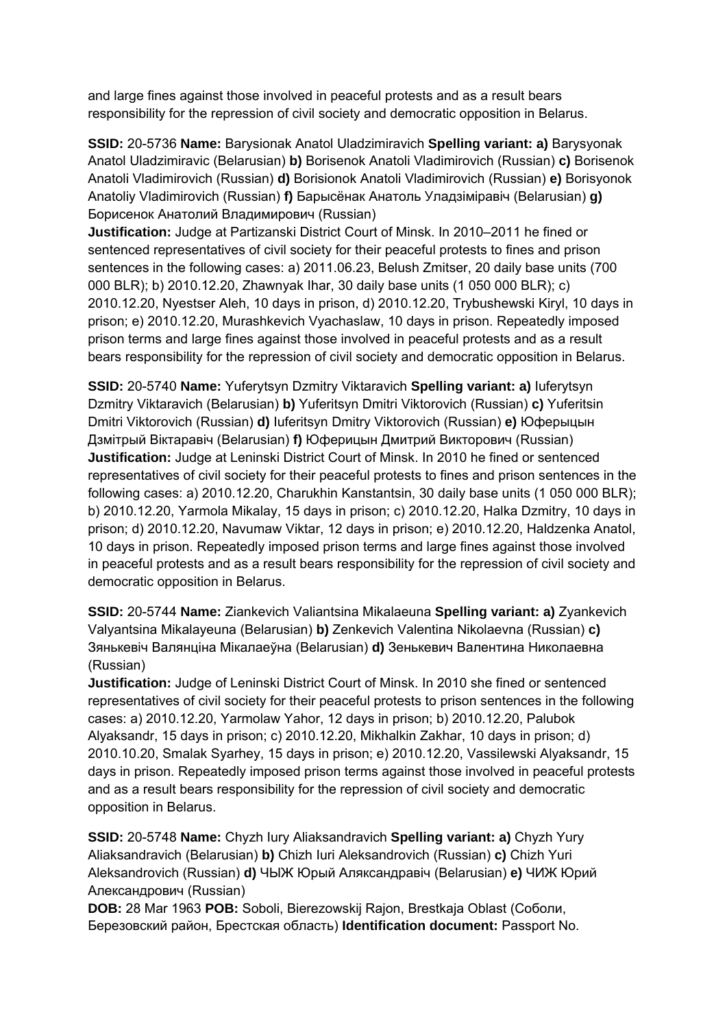and large fines against those involved in peaceful protests and as a result bears responsibility for the repression of civil society and democratic opposition in Belarus.

**SSID:** 20-5736 **Name:** Barysionak Anatol Uladzimiravich **Spelling variant: a)** Barysyonak Anatol Uladzimiravic (Belarusian) **b)** Borisenok Anatoli Vladimirovich (Russian) **c)** Borisenok Anatoli Vladimirovich (Russian) **d)** Borisionok Anatoli Vladimirovich (Russian) **e)** Borisyonok Anatoliy Vladimirovich (Russian) **f)** Барысёнак Анатоль Уладзіміравіч (Belarusian) **g)**  Борисенок Анатолий Владимирович (Russian)

**Justification:** Judge at Partizanski District Court of Minsk. In 2010–2011 he fined or sentenced representatives of civil society for their peaceful protests to fines and prison sentences in the following cases: a) 2011.06.23, Belush Zmitser, 20 daily base units (700 000 BLR); b) 2010.12.20, Zhawnyak Ihar, 30 daily base units (1 050 000 BLR); c) 2010.12.20, Nyestser Aleh, 10 days in prison, d) 2010.12.20, Trybushewski Kiryl, 10 days in prison; e) 2010.12.20, Murashkevich Vyachaslaw, 10 days in prison. Repeatedly imposed prison terms and large fines against those involved in peaceful protests and as a result bears responsibility for the repression of civil society and democratic opposition in Belarus.

**SSID:** 20-5740 **Name:** Yuferytsyn Dzmitry Viktaravich **Spelling variant: a)** Iuferytsyn Dzmitry Viktaravich (Belarusian) **b)** Yuferitsyn Dmitri Viktorovich (Russian) **c)** Yuferitsin Dmitri Viktorovich (Russian) **d)** Iuferitsyn Dmitry Viktorovich (Russian) **e)** Юферыцын Дзмітрый Віктаравіч (Belarusian) **f)** Юферицын Дмитрий Викторович (Russian) **Justification:** Judge at Leninski District Court of Minsk. In 2010 he fined or sentenced representatives of civil society for their peaceful protests to fines and prison sentences in the following cases: a) 2010.12.20, Charukhin Kanstantsin, 30 daily base units (1 050 000 BLR); b) 2010.12.20, Yarmola Mikalay, 15 days in prison; c) 2010.12.20, Halka Dzmitry, 10 days in prison; d) 2010.12.20, Navumaw Viktar, 12 days in prison; e) 2010.12.20, Haldzenka Anatol, 10 days in prison. Repeatedly imposed prison terms and large fines against those involved in peaceful protests and as a result bears responsibility for the repression of civil society and democratic opposition in Belarus.

**SSID:** 20-5744 **Name:** Ziankevich Valiantsina Mikalaeuna **Spelling variant: a)** Zyankevich Valyantsina Mikalayeuna (Belarusian) **b)** Zenkevich Valentina Nikolaevna (Russian) **c)**  Зянькевіч Валянціна Мікалаеўна (Belarusian) **d)** Зенькевич Валентина Николаевна (Russian)

**Justification:** Judge of Leninski District Court of Minsk. In 2010 she fined or sentenced representatives of civil society for their peaceful protests to prison sentences in the following cases: a) 2010.12.20, Yarmolaw Yahor, 12 days in prison; b) 2010.12.20, Palubok Alyaksandr, 15 days in prison; c) 2010.12.20, Mikhalkin Zakhar, 10 days in prison; d) 2010.10.20, Smalak Syarhey, 15 days in prison; e) 2010.12.20, Vassilewski Alyaksandr, 15 days in prison. Repeatedly imposed prison terms against those involved in peaceful protests and as a result bears responsibility for the repression of civil society and democratic opposition in Belarus.

**SSID:** 20-5748 **Name:** Chyzh Iury Aliaksandravich **Spelling variant: a)** Chyzh Yury Aliaksandravich (Belarusian) **b)** Chizh Iuri Aleksandrovich (Russian) **c)** Chizh Yuri Aleksandrovich (Russian) **d)** ЧЫЖ Юрый Аляксандравіч (Belarusian) **e)** ЧИЖ Юрий Александрович (Russian)

**DOB:** 28 Mar 1963 **POB:** Soboli, Bierezowskij Rajon, Brestkaja Oblast (Соболи, Березовский район, Брестская область) **Identification document:** Passport No.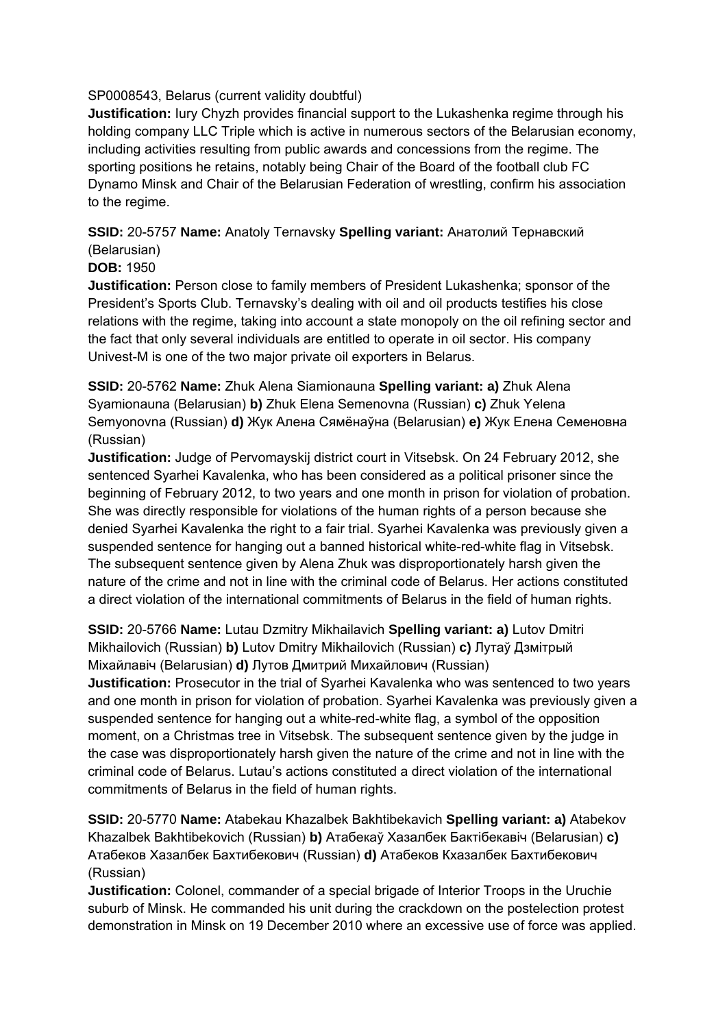## SP0008543, Belarus (current validity doubtful)

**Justification:** Iury Chyzh provides financial support to the Lukashenka regime through his holding company LLC Triple which is active in numerous sectors of the Belarusian economy, including activities resulting from public awards and concessions from the regime. The sporting positions he retains, notably being Chair of the Board of the football club FC Dynamo Minsk and Chair of the Belarusian Federation of wrestling, confirm his association to the regime.

## **SSID:** 20-5757 **Name:** Anatoly Ternavsky **Spelling variant:** Анатолий Тернавский (Belarusian)

## **DOB:** 1950

**Justification:** Person close to family members of President Lukashenka; sponsor of the President's Sports Club. Ternavsky's dealing with oil and oil products testifies his close relations with the regime, taking into account a state monopoly on the oil refining sector and the fact that only several individuals are entitled to operate in oil sector. His company Univest-M is one of the two major private oil exporters in Belarus.

**SSID:** 20-5762 **Name:** Zhuk Alena Siamionauna **Spelling variant: a)** Zhuk Alena Syamionauna (Belarusian) **b)** Zhuk Elena Semenovna (Russian) **c)** Zhuk Yelena Semyonovna (Russian) **d)** Жук Алена Сямёнаўна (Belarusian) **e)** Жук Елена Семеновна (Russian)

**Justification:** Judge of Pervomayskij district court in Vitsebsk. On 24 February 2012, she sentenced Syarhei Kavalenka, who has been considered as a political prisoner since the beginning of February 2012, to two years and one month in prison for violation of probation. She was directly responsible for violations of the human rights of a person because she denied Syarhei Kavalenka the right to a fair trial. Syarhei Kavalenka was previously given a suspended sentence for hanging out a banned historical white-red-white flag in Vitsebsk. The subsequent sentence given by Alena Zhuk was disproportionately harsh given the nature of the crime and not in line with the criminal code of Belarus. Her actions constituted a direct violation of the international commitments of Belarus in the field of human rights.

**SSID:** 20-5766 **Name:** Lutau Dzmitry Mikhailavich **Spelling variant: a)** Lutov Dmitri Mikhailovich (Russian) **b)** Lutov Dmitry Mikhailovich (Russian) **c)** Лутаў Дзмітрый Міхайлавіч (Belarusian) **d)** Лутов Дмитрий Михайлович (Russian)

**Justification:** Prosecutor in the trial of Syarhei Kavalenka who was sentenced to two years and one month in prison for violation of probation. Syarhei Kavalenka was previously given a suspended sentence for hanging out a white-red-white flag, a symbol of the opposition moment, on a Christmas tree in Vitsebsk. The subsequent sentence given by the judge in the case was disproportionately harsh given the nature of the crime and not in line with the criminal code of Belarus. Lutau's actions constituted a direct violation of the international commitments of Belarus in the field of human rights.

**SSID:** 20-5770 **Name:** Atabekau Khazalbek Bakhtibekavich **Spelling variant: a)** Atabekov Khazalbek Bakhtibekovich (Russian) **b)** Атабекаў Хазалбек Бактібекавіч (Belarusian) **c)**  Атабеков Хазалбек Бахтибекович (Russian) **d)** Атабеков Кхазалбек Бахтибекович (Russian)

**Justification:** Colonel, commander of a special brigade of Interior Troops in the Uruchie suburb of Minsk. He commanded his unit during the crackdown on the postelection protest demonstration in Minsk on 19 December 2010 where an excessive use of force was applied.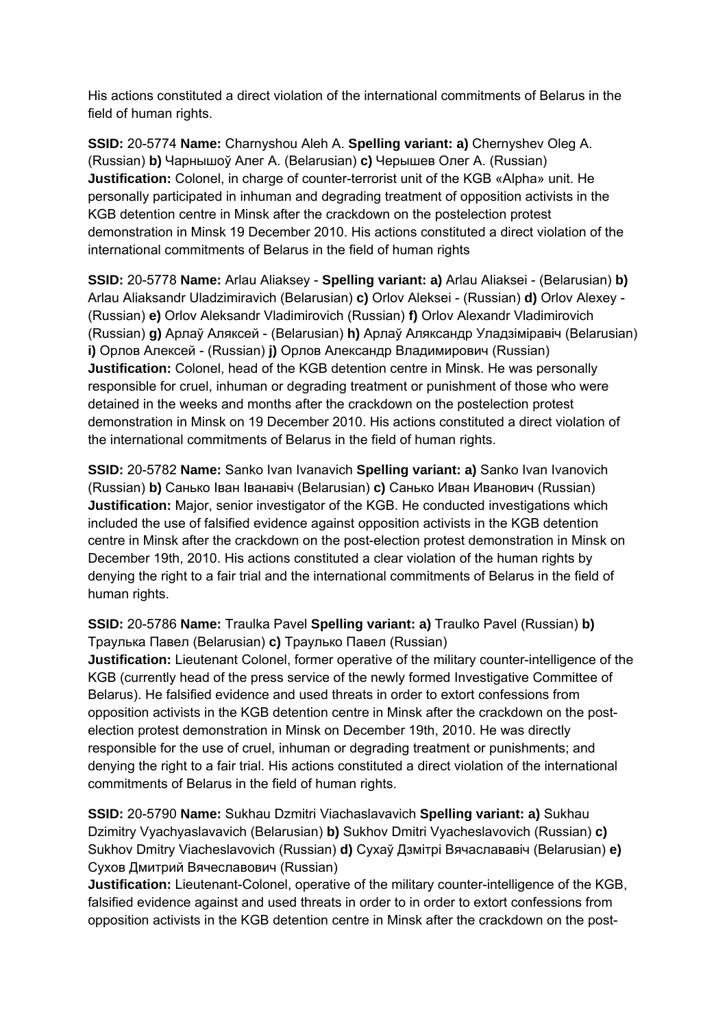His actions constituted a direct violation of the international commitments of Belarus in the field of human rights.

**SSID:** 20-5774 **Name:** Charnyshou Aleh A. **Spelling variant: a)** Chernyshev Oleg A. (Russian) **b)** Чарнышоў Алег А. (Belarusian) **c)** Черышев Олег A. (Russian) **Justification:** Colonel, in charge of counter-terrorist unit of the KGB «Alpha» unit. He personally participated in inhuman and degrading treatment of opposition activists in the KGB detention centre in Minsk after the crackdown on the postelection protest demonstration in Minsk 19 December 2010. His actions constituted a direct violation of the international commitments of Belarus in the field of human rights

**SSID:** 20-5778 **Name:** Arlau Aliaksey - **Spelling variant: a)** Arlau Aliaksei - (Belarusian) **b)**  Arlau Aliaksandr Uladzimiravich (Belarusian) **c)** Orlov Aleksei - (Russian) **d)** Orlov Alexey - (Russian) **e)** Orlov Aleksandr Vladimirovich (Russian) **f)** Orlov Alexandr Vladimirovich (Russian) **g)** Арлаў Аляксей - (Belarusian) **h)** Арлаў Аляксандр Уладзіміравіч (Belarusian) **i)** Орлов Алексей - (Russian) **j)** Орлов Александр Владимирович (Russian) **Justification:** Colonel, head of the KGB detention centre in Minsk. He was personally responsible for cruel, inhuman or degrading treatment or punishment of those who were detained in the weeks and months after the crackdown on the postelection protest demonstration in Minsk on 19 December 2010. His actions constituted a direct violation of the international commitments of Belarus in the field of human rights.

**SSID:** 20-5782 **Name:** Sanko Ivan Ivanavich **Spelling variant: a)** Sanko Ivan Ivanovich (Russian) **b)** Санько Іван Іванавіч (Belarusian) **c)** Санько Иван Иванович (Russian) **Justification:** Major, senior investigator of the KGB. He conducted investigations which included the use of falsified evidence against opposition activists in the KGB detention centre in Minsk after the crackdown on the post-election protest demonstration in Minsk on December 19th, 2010. His actions constituted a clear violation of the human rights by denying the right to a fair trial and the international commitments of Belarus in the field of human rights.

**SSID:** 20-5786 **Name:** Traulka Pavel **Spelling variant: a)** Traulko Pavel (Russian) **b)**  Траулька Павел (Belarusian) **c)** Траулько Павел (Russian) **Justification:** Lieutenant Colonel, former operative of the military counter-intelligence of the KGB (currently head of the press service of the newly formed Investigative Committee of Belarus). He falsified evidence and used threats in order to extort confessions from opposition activists in the KGB detention centre in Minsk after the crackdown on the postelection protest demonstration in Minsk on December 19th, 2010. He was directly responsible for the use of cruel, inhuman or degrading treatment or punishments; and denying the right to a fair trial. His actions constituted a direct violation of the international commitments of Belarus in the field of human rights.

**SSID:** 20-5790 **Name:** Sukhau Dzmitri Viachaslavavich **Spelling variant: a)** Sukhau Dzimitry Vyachyaslavavich (Belarusian) **b)** Sukhov Dmitri Vyacheslavovich (Russian) **c)**  Sukhov Dmitry Viacheslavovich (Russian) **d)** Сухаў Дзмітрі Вячаслававіч (Belarusian) **e)**  Сухов Дмитрий Вячеславович (Russian)

**Justification:** Lieutenant-Colonel, operative of the military counter-intelligence of the KGB, falsified evidence against and used threats in order to in order to extort confessions from opposition activists in the KGB detention centre in Minsk after the crackdown on the post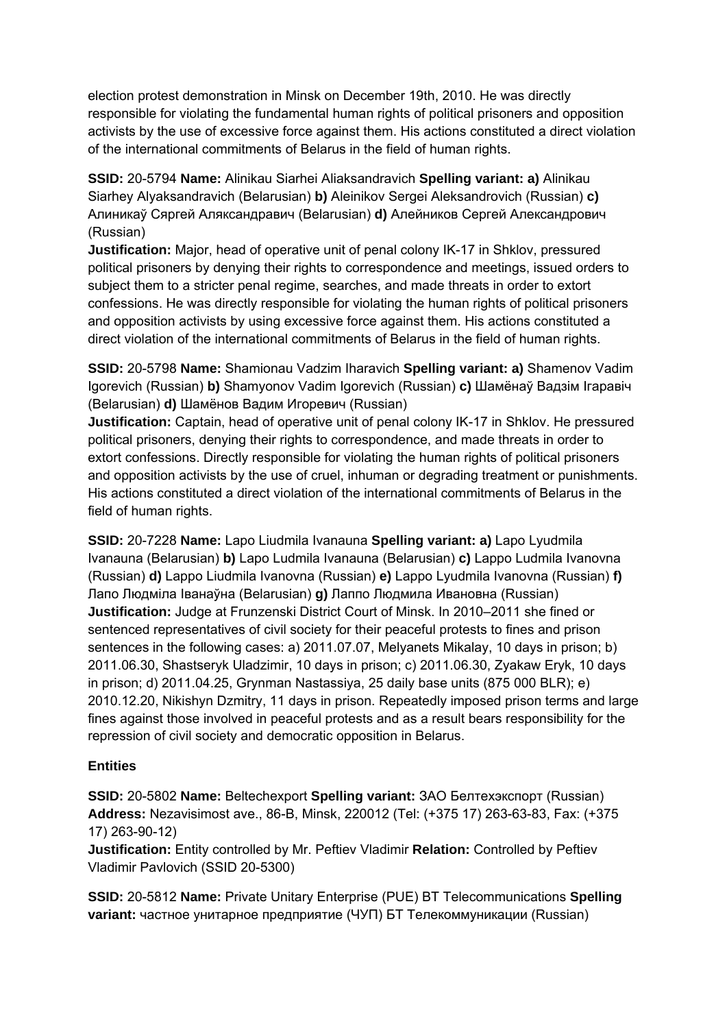election protest demonstration in Minsk on December 19th, 2010. He was directly responsible for violating the fundamental human rights of political prisoners and opposition activists by the use of excessive force against them. His actions constituted a direct violation of the international commitments of Belarus in the field of human rights.

**SSID:** 20-5794 **Name:** Alinikau Siarhei Aliaksandravich **Spelling variant: a)** Alinikau Siarhey Alyaksandravich (Belarusian) **b)** Aleinikov Sergei Aleksandrovich (Russian) **c)**  Алиникаў Сяргей Аляксандравич (Belarusian) **d)** Алейников Сергей Александрович (Russian)

**Justification:** Major, head of operative unit of penal colony IK-17 in Shklov, pressured political prisoners by denying their rights to correspondence and meetings, issued orders to subject them to a stricter penal regime, searches, and made threats in order to extort confessions. He was directly responsible for violating the human rights of political prisoners and opposition activists by using excessive force against them. His actions constituted a direct violation of the international commitments of Belarus in the field of human rights.

**SSID:** 20-5798 **Name:** Shamionau Vadzim Iharavich **Spelling variant: a)** Shamenov Vadim Igorevich (Russian) **b)** Shamyonov Vadim Igorevich (Russian) **c)** Шамёнаў Вадзiм Ігаравіч (Belarusian) **d)** Шамёнов Вадим Игоревич (Russian)

**Justification:** Captain, head of operative unit of penal colony IK-17 in Shklov. He pressured political prisoners, denying their rights to correspondence, and made threats in order to extort confessions. Directly responsible for violating the human rights of political prisoners and opposition activists by the use of cruel, inhuman or degrading treatment or punishments. His actions constituted a direct violation of the international commitments of Belarus in the field of human rights.

**SSID:** 20-7228 **Name:** Lapo Liudmila Ivanauna **Spelling variant: a)** Lapo Lyudmila Ivanauna (Belarusian) **b)** Lapo Ludmila Ivanauna (Belarusian) **c)** Lappo Ludmila Ivanovna (Russian) **d)** Lappo Liudmila Ivanovna (Russian) **e)** Lappo Lyudmila Ivanovna (Russian) **f)**  Лапо Людміла Іванаўна (Belarusian) **g)** Лаппо Людмила Ивановна (Russian) **Justification:** Judge at Frunzenski District Court of Minsk. In 2010–2011 she fined or sentenced representatives of civil society for their peaceful protests to fines and prison sentences in the following cases: a) 2011.07.07, Melyanets Mikalay, 10 days in prison; b) 2011.06.30, Shastseryk Uladzimir, 10 days in prison; c) 2011.06.30, Zyakaw Eryk, 10 days in prison; d) 2011.04.25, Grynman Nastassiya, 25 daily base units (875 000 BLR); e) 2010.12.20, Nikishyn Dzmitry, 11 days in prison. Repeatedly imposed prison terms and large fines against those involved in peaceful protests and as a result bears responsibility for the repression of civil society and democratic opposition in Belarus.

#### **Entities**

**SSID:** 20-5802 **Name:** Beltechexport **Spelling variant:** ЗАО Белтехэкспорт (Russian) **Address:** Nezavisimost ave., 86-B, Minsk, 220012 (Tel: (+375 17) 263-63-83, Fax: (+375 17) 263-90-12)

**Justification:** Entity controlled by Mr. Peftiev Vladimir **Relation:** Controlled by Peftiev Vladimir Pavlovich (SSID 20-5300)

**SSID:** 20-5812 **Name:** Private Unitary Enterprise (PUE) BT Telecommunications **Spelling variant:** частное унитарное предприятие (ЧУП) БТ Телекоммуникации (Russian)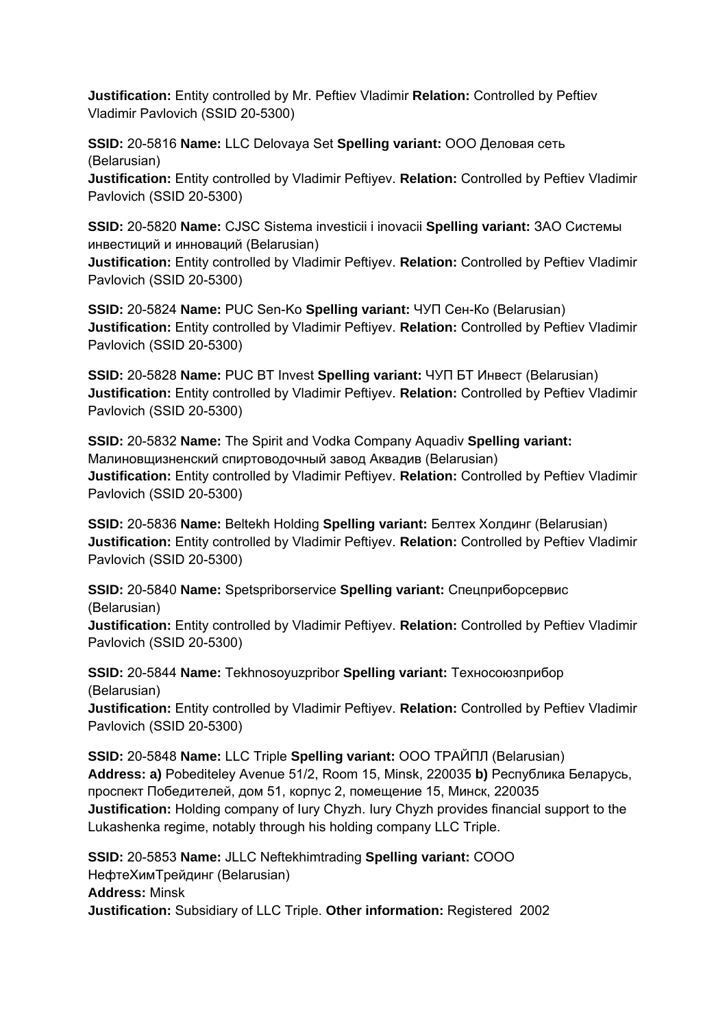**Justification:** Entity controlled by Mr. Peftiev Vladimir **Relation:** Controlled by Peftiev Vladimir Pavlovich (SSID 20-5300)

**SSID:** 20-5816 **Name:** LLC Delovaya Set **Spelling variant:** ООО Деловая сеть (Belarusian)

**Justification:** Entity controlled by Vladimir Peftiyev. **Relation:** Controlled by Peftiev Vladimir Pavlovich (SSID 20-5300)

**SSID:** 20-5820 **Name:** CJSC Sistema investicii i inovacii **Spelling variant:** ЗАО Системы инвестиций и инноваций (Belarusian)

**Justification:** Entity controlled by Vladimir Peftiyev. **Relation:** Controlled by Peftiev Vladimir Pavlovich (SSID 20-5300)

**SSID:** 20-5824 **Name:** PUC Sen-Ko **Spelling variant:** ЧУП Сен-Ко (Belarusian) **Justification:** Entity controlled by Vladimir Peftiyev. **Relation:** Controlled by Peftiev Vladimir Pavlovich (SSID 20-5300)

**SSID:** 20-5828 **Name:** PUC BT Invest **Spelling variant:** ЧУП БТ Инвест (Belarusian) **Justification:** Entity controlled by Vladimir Peftiyev. **Relation:** Controlled by Peftiev Vladimir Pavlovich (SSID 20-5300)

**SSID:** 20-5832 **Name:** The Spirit and Vodka Company Aquadiv **Spelling variant:**  Малиновщизненский спиртоводочный завод Аквадив (Belarusian) **Justification:** Entity controlled by Vladimir Peftiyev. **Relation:** Controlled by Peftiev Vladimir Pavlovich (SSID 20-5300)

**SSID:** 20-5836 **Name:** Beltekh Holding **Spelling variant:** Белтех Холдинг (Belarusian) **Justification:** Entity controlled by Vladimir Peftiyev. **Relation:** Controlled by Peftiev Vladimir Pavlovich (SSID 20-5300)

**SSID:** 20-5840 **Name:** Spetspriborservice **Spelling variant:** Спецприборсервис (Belarusian)

**Justification:** Entity controlled by Vladimir Peftiyev. **Relation:** Controlled by Peftiev Vladimir Pavlovich (SSID 20-5300)

**SSID:** 20-5844 **Name:** Tekhnosoyuzpribor **Spelling variant:** Техносоюзприбор (Belarusian)

**Justification:** Entity controlled by Vladimir Peftiyev. **Relation:** Controlled by Peftiev Vladimir Pavlovich (SSID 20-5300)

**SSID:** 20-5848 **Name:** LLC Triple **Spelling variant:** ООО ТРАЙПЛ (Belarusian) **Address: a)** Pobediteley Avenue 51/2, Room 15, Minsk, 220035 **b)** Республика Беларусь, проспект Победителей, дом 51, корпус 2, помещение 15, Минск, 220035 **Justification:** Holding company of Iury Chyzh. Iury Chyzh provides financial support to the Lukashenka regime, notably through his holding company LLC Triple.

**SSID:** 20-5853 **Name:** JLLC Neftekhimtrading **Spelling variant:** СООО НефтеХимТрейдинг (Belarusian) **Address:** Minsk **Justification:** Subsidiary of LLC Triple. **Other information:** Registered 2002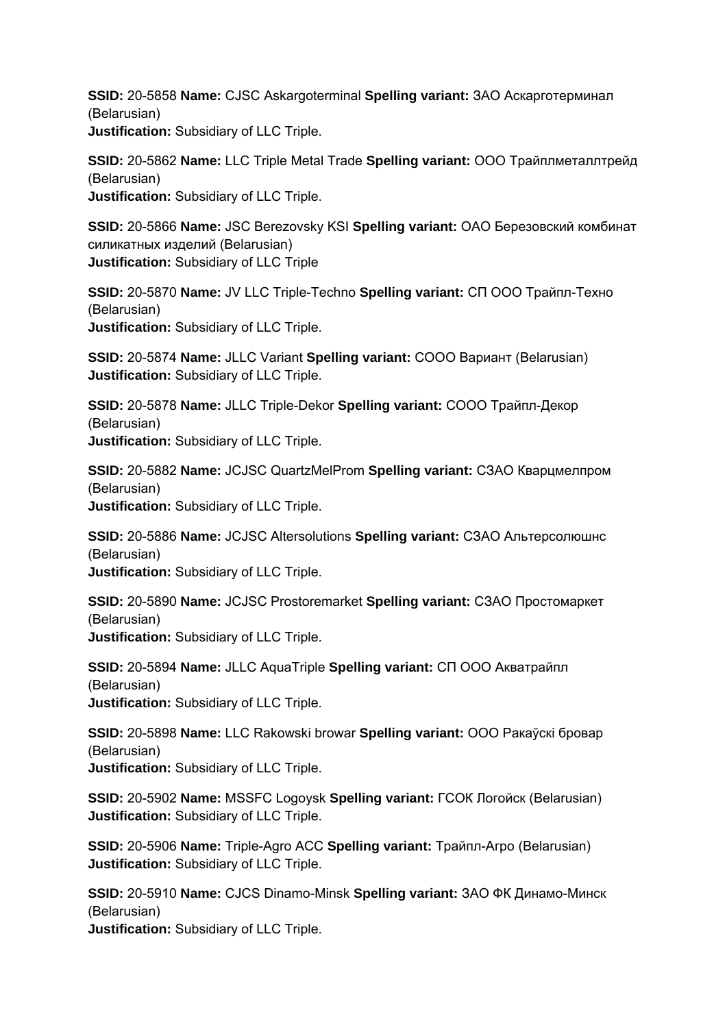**SSID:** 20-5858 **Name:** CJSC Askargoterminal **Spelling variant:** ЗАО Аскарготерминал (Belarusian) **Justification:** Subsidiary of LLC Triple.

**SSID:** 20-5862 **Name:** LLC Triple Metal Trade **Spelling variant:** ООО Трайплметаллтрейд (Belarusian) **Justification:** Subsidiary of LLC Triple.

**SSID:** 20-5866 **Name:** JSC Berezovsky KSI **Spelling variant:** ОАО Березовский комбинат силикатных изделий (Belarusian) **Justification:** Subsidiary of LLC Triple

**SSID:** 20-5870 **Name:** JV LLC Triple-Techno **Spelling variant:** СП ООО Трайпл-Техно (Belarusian) **Justification:** Subsidiary of LLC Triple.

**SSID:** 20-5874 **Name:** JLLC Variant **Spelling variant:** СООО Вариант (Belarusian) **Justification:** Subsidiary of LLC Triple.

**SSID:** 20-5878 **Name:** JLLC Triple-Dekor **Spelling variant:** СООО Трайпл-Декор (Belarusian) **Justification:** Subsidiary of LLC Triple.

**SSID:** 20-5882 **Name:** JCJSC QuartzMelProm **Spelling variant:** СЗАО Кварцмелпром (Belarusian) **Justification:** Subsidiary of LLC Triple.

**SSID:** 20-5886 **Name:** JCJSC Altersolutions **Spelling variant:** СЗАО Альтерсолюшнс (Belarusian) **Justification:** Subsidiary of LLC Triple.

**SSID:** 20-5890 **Name:** JCJSC Prostoremarket **Spelling variant:** СЗАО Простомаркет (Belarusian) **Justification:** Subsidiary of LLC Triple.

**SSID:** 20-5894 **Name:** JLLC AquaTriple **Spelling variant:** СП ООО Акватрайпл (Belarusian) **Justification:** Subsidiary of LLC Triple.

**SSID:** 20-5898 **Name:** LLC Rakowski browar **Spelling variant:** ООО Ракаўскі бровар (Belarusian) **Justification:** Subsidiary of LLC Triple.

**SSID:** 20-5902 **Name:** MSSFC Logoysk **Spelling variant:** ГСОК Логойск (Belarusian) **Justification:** Subsidiary of LLC Triple.

**SSID:** 20-5906 **Name:** Triple-Agro ACC **Spelling variant:** Трайпл-Агро (Belarusian) **Justification:** Subsidiary of LLC Triple.

**SSID:** 20-5910 **Name:** CJCS Dinamo-Minsk **Spelling variant:** ЗАО ФК Динамо-Минск (Belarusian) **Justification:** Subsidiary of LLC Triple.